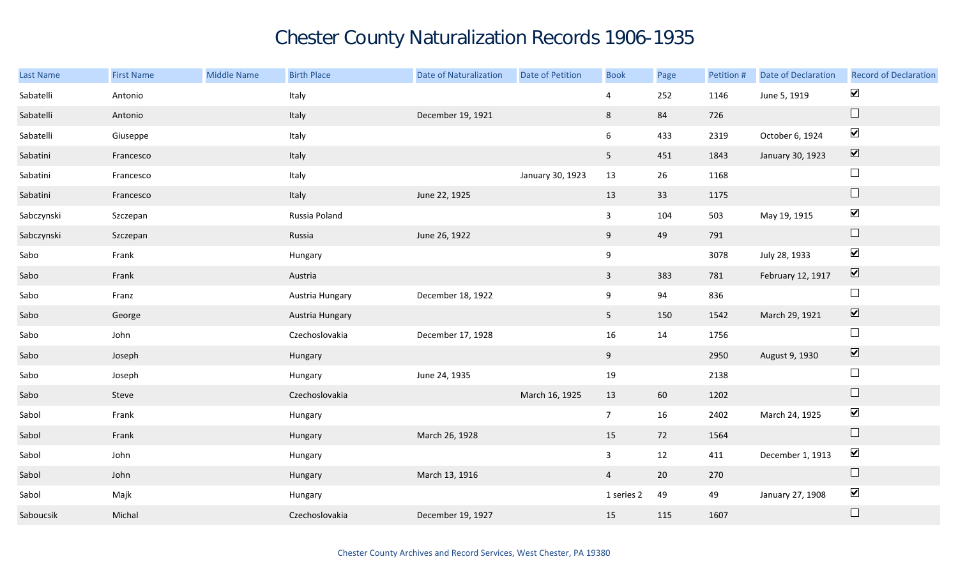## Chester County Naturalization Records 1906-1935

| Last Name  | <b>First Name</b> | <b>Middle Name</b> | <b>Birth Place</b> | Date of Naturalization | Date of Petition | <b>Book</b>    | Page        | Petition # | <b>Date of Declaration</b> | <b>Record of Declaration</b>    |
|------------|-------------------|--------------------|--------------------|------------------------|------------------|----------------|-------------|------------|----------------------------|---------------------------------|
| Sabatelli  | Antonio           |                    | Italy              |                        |                  | 4              | 252         | 1146       | June 5, 1919               | $\blacktriangledown$            |
| Sabatelli  | Antonio           |                    | Italy              | December 19, 1921      |                  | 8              | 84          | 726        |                            | $\Box$                          |
| Sabatelli  | Giuseppe          |                    | Italy              |                        |                  | 6              | 433         | 2319       | October 6, 1924            | $\blacktriangledown$            |
| Sabatini   | Francesco         |                    | Italy              |                        |                  | 5 <sub>1</sub> | 451         | 1843       | January 30, 1923           | $\overline{\blacktriangledown}$ |
| Sabatini   | Francesco         |                    | Italy              |                        | January 30, 1923 | 13             | 26          | 1168       |                            | $\Box$                          |
| Sabatini   | Francesco         |                    | Italy              | June 22, 1925          |                  | 13             | 33          | 1175       |                            | $\Box$                          |
| Sabczynski | Szczepan          |                    | Russia Poland      |                        |                  | $\mathbf{3}$   | 104         | 503        | May 19, 1915               | $\blacktriangledown$            |
| Sabczynski | Szczepan          |                    | Russia             | June 26, 1922          |                  | 9              | 49          | 791        |                            | $\Box$                          |
| Sabo       | Frank             |                    | Hungary            |                        |                  | $9\,$          |             | 3078       | July 28, 1933              | $\blacktriangledown$            |
| Sabo       | Frank             |                    | Austria            |                        |                  | $\mathbf{3}$   | 383         | 781        | February 12, 1917          | $\boxed{\blacktriangledown}$    |
| Sabo       | Franz             |                    | Austria Hungary    | December 18, 1922      |                  | 9              | 94          | 836        |                            | $\Box$                          |
| Sabo       | George            |                    | Austria Hungary    |                        |                  | 5 <sub>1</sub> | 150         | 1542       | March 29, 1921             | $\overline{\mathbf{v}}$         |
| Sabo       | John              |                    | Czechoslovakia     | December 17, 1928      |                  | 16             | 14          | 1756       |                            | $\Box$                          |
| Sabo       | Joseph            |                    | Hungary            |                        |                  | 9              |             | 2950       | August 9, 1930             | $\blacktriangledown$            |
| Sabo       | Joseph            |                    | Hungary            | June 24, 1935          |                  | 19             |             | 2138       |                            | $\Box$                          |
| Sabo       | Steve             |                    | Czechoslovakia     |                        | March 16, 1925   | 13             | 60          | 1202       |                            | $\hfill \square$                |
| Sabol      | Frank             |                    | Hungary            |                        |                  | 7 <sup>7</sup> | 16          | 2402       | March 24, 1925             | $\blacktriangledown$            |
| Sabol      | Frank             |                    | Hungary            | March 26, 1928         |                  | 15             | 72          | 1564       |                            | $\hfill \square$                |
| Sabol      | John              |                    | Hungary            |                        |                  | $\mathbf{3}$   | 12          | 411        | December 1, 1913           | $\blacktriangledown$            |
| Sabol      | John              |                    | Hungary            | March 13, 1916         |                  | $\overline{4}$ | $20\degree$ | 270        |                            | $\Box$                          |
| Sabol      | Majk              |                    | Hungary            |                        |                  | 1 series 2     | 49          | 49         | January 27, 1908           | $\blacktriangledown$            |
| Saboucsik  | Michal            |                    | Czechoslovakia     | December 19, 1927      |                  | 15             | 115         | 1607       |                            | $\hfill \square$                |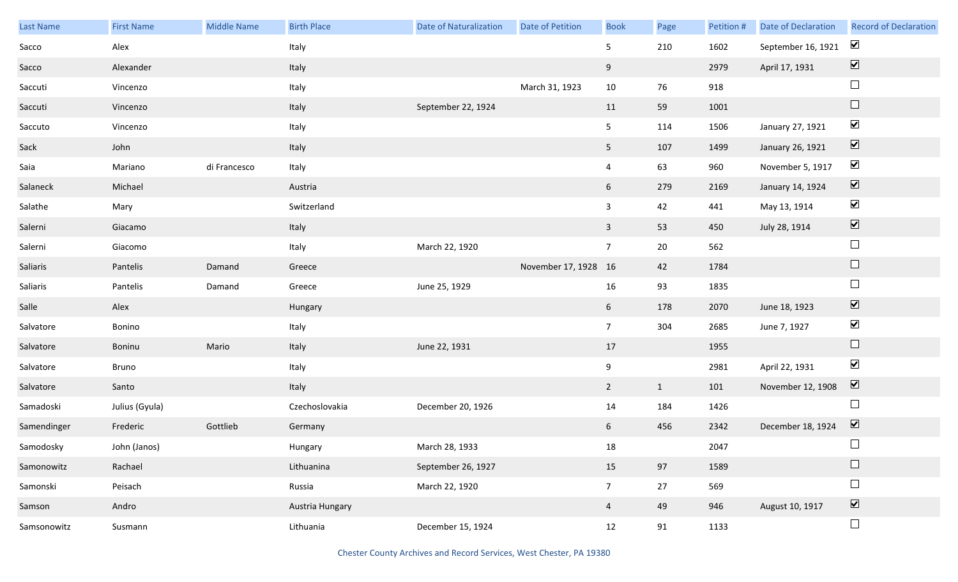| <b>Last Name</b> | <b>First Name</b> | Middle Name  | <b>Birth Place</b> | <b>Date of Naturalization</b> | Date of Petition     | <b>Book</b>     | Page         | Petition # | <b>Date of Declaration</b> | <b>Record of Declaration</b> |
|------------------|-------------------|--------------|--------------------|-------------------------------|----------------------|-----------------|--------------|------------|----------------------------|------------------------------|
| Sacco            | Alex              |              | Italy              |                               |                      | 5 <sub>5</sub>  | 210          | 1602       | September 16, 1921         | $\blacktriangledown$         |
| Sacco            | Alexander         |              | Italy              |                               |                      | 9               |              | 2979       | April 17, 1931             | $\boxed{\blacktriangledown}$ |
| Saccuti          | Vincenzo          |              | Italy              |                               | March 31, 1923       | $10\,$          | 76           | 918        |                            | $\Box$                       |
| Saccuti          | Vincenzo          |              | Italy              | September 22, 1924            |                      | 11              | 59           | 1001       |                            | $\Box$                       |
| Saccuto          | Vincenzo          |              | Italy              |                               |                      | 5 <sub>5</sub>  | 114          | 1506       | January 27, 1921           | $\blacktriangledown$         |
| Sack             | John              |              | Italy              |                               |                      | 5 <sub>1</sub>  | 107          | 1499       | January 26, 1921           | $\boxed{\blacktriangledown}$ |
| Saia             | Mariano           | di Francesco | Italy              |                               |                      | $\overline{4}$  | 63           | 960        | November 5, 1917           | $\blacktriangledown$         |
| Salaneck         | Michael           |              | Austria            |                               |                      | $6\overline{6}$ | 279          | 2169       | January 14, 1924           | $\boxed{\blacktriangledown}$ |
| Salathe          | Mary              |              | Switzerland        |                               |                      | $\mathbf{3}$    | 42           | 441        | May 13, 1914               | $\blacktriangledown$         |
| Salerni          | Giacamo           |              | Italy              |                               |                      | $\overline{3}$  | 53           | 450        | July 28, 1914              | $\boxed{\blacktriangledown}$ |
| Salerni          | Giacomo           |              | Italy              | March 22, 1920                |                      | 7 <sup>7</sup>  | 20           | 562        |                            | $\Box$                       |
| Saliaris         | Pantelis          | Damand       | Greece             |                               | November 17, 1928 16 |                 | 42           | 1784       |                            | $\Box$                       |
| Saliaris         | Pantelis          | Damand       | Greece             | June 25, 1929                 |                      | 16              | 93           | 1835       |                            | $\Box$                       |
| Salle            | Alex              |              | Hungary            |                               |                      | $6\overline{6}$ | 178          | 2070       | June 18, 1923              | $\blacktriangledown$         |
| Salvatore        | Bonino            |              | Italy              |                               |                      | 7 <sup>7</sup>  | 304          | 2685       | June 7, 1927               | $\blacktriangleright$        |
| Salvatore        | Boninu            | Mario        | Italy              | June 22, 1931                 |                      | 17              |              | 1955       |                            | $\Box$                       |
| Salvatore        | Bruno             |              | Italy              |                               |                      | 9               |              | 2981       | April 22, 1931             | $\blacktriangledown$         |
| Salvatore        | Santo             |              | Italy              |                               |                      | $\overline{2}$  | $\mathbf{1}$ | 101        | November 12, 1908          | $\overline{\mathbf{v}}$      |
| Samadoski        | Julius (Gyula)    |              | Czechoslovakia     | December 20, 1926             |                      | 14              | 184          | 1426       |                            | $\Box$                       |
| Samendinger      | Frederic          | Gottlieb     | Germany            |                               |                      | 6               | 456          | 2342       | December 18, 1924          | $\overline{\mathbf{v}}$      |
| Samodosky        | John (Janos)      |              | Hungary            | March 28, 1933                |                      | 18              |              | 2047       |                            |                              |
| Samonowitz       | Rachael           |              | Lithuanina         | September 26, 1927            |                      | 15              | 97           | 1589       |                            | $\Box$                       |
| Samonski         | Peisach           |              | Russia             | March 22, 1920                |                      | 7 <sup>7</sup>  | 27           | 569        |                            | $\Box$                       |
| Samson           | Andro             |              | Austria Hungary    |                               |                      | $\overline{4}$  | 49           | 946        | August 10, 1917            | $\overline{\mathbf{v}}$      |
| Samsonowitz      | Susmann           |              | Lithuania          | December 15, 1924             |                      | 12              | 91           | 1133       |                            | $\Box$                       |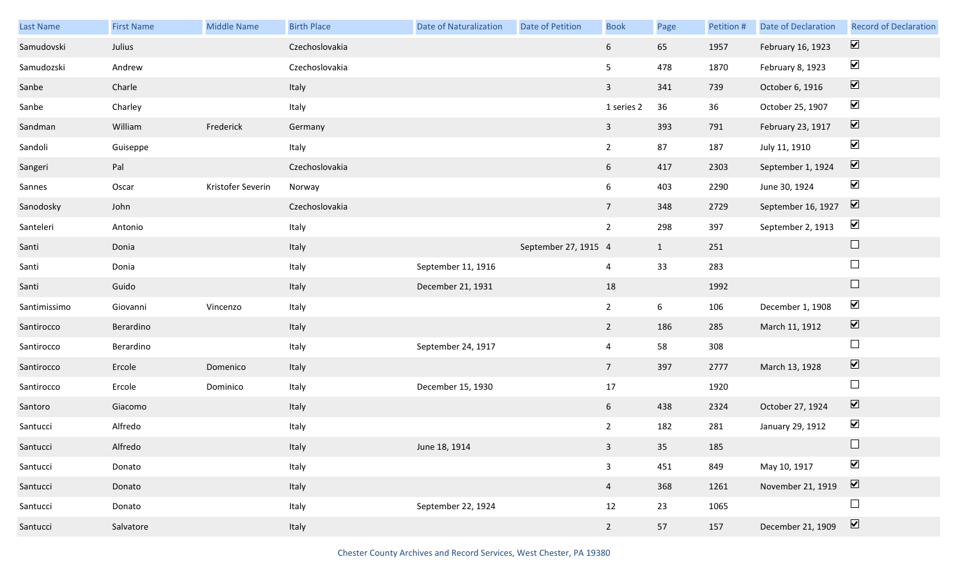| <b>Last Name</b> | <b>First Name</b> | <b>Middle Name</b> | <b>Birth Place</b> | <b>Date of Naturalization</b> | Date of Petition     | <b>Book</b>     | Page         | Petition # | <b>Date of Declaration</b> | <b>Record of Declaration</b> |
|------------------|-------------------|--------------------|--------------------|-------------------------------|----------------------|-----------------|--------------|------------|----------------------------|------------------------------|
| Samudovski       | Julius            |                    | Czechoslovakia     |                               |                      | 6 <sup>1</sup>  | 65           | 1957       | February 16, 1923          | $\boxed{\blacktriangledown}$ |
| Samudozski       | Andrew            |                    | Czechoslovakia     |                               |                      | 5 <sub>5</sub>  | 478          | 1870       | February 8, 1923           | $\blacktriangledown$         |
| Sanbe            | Charle            |                    | Italy              |                               |                      | $\overline{3}$  | 341          | 739        | October 6, 1916            | $\boxed{\blacktriangledown}$ |
| Sanbe            | Charley           |                    | Italy              |                               |                      | 1 series 2      | 36           | 36         | October 25, 1907           | $\blacktriangledown$         |
| Sandman          | William           | Frederick          | Germany            |                               |                      | $\overline{3}$  | 393          | 791        | February 23, 1917          | $\overline{\mathbf{v}}$      |
| Sandoli          | Guiseppe          |                    | Italy              |                               |                      | $\overline{2}$  | 87           | 187        | July 11, 1910              | $\blacktriangledown$         |
| Sangeri          | Pal               |                    | Czechoslovakia     |                               |                      | 6               | 417          | 2303       | September 1, 1924          | $\boxed{\blacktriangledown}$ |
| Sannes           | Oscar             | Kristofer Severin  | Norway             |                               |                      | 6               | 403          | 2290       | June 30, 1924              | $\blacktriangledown$         |
| Sanodosky        | John              |                    | Czechoslovakia     |                               |                      | $7\overline{ }$ | 348          | 2729       | September 16, 1927         | $\boxed{\blacktriangledown}$ |
| Santeleri        | Antonio           |                    | Italy              |                               |                      | $\overline{2}$  | 298          | 397        | September 2, 1913          | $\blacktriangledown$         |
| Santi            | Donia             |                    | Italy              |                               | September 27, 1915 4 |                 | $\mathbf{1}$ | 251        |                            | $\Box$                       |
| Santi            | Donia             |                    | Italy              | September 11, 1916            |                      | $\overline{4}$  | 33           | 283        |                            | $\Box$                       |
| Santi            | Guido             |                    | Italy              | December 21, 1931             |                      | 18              |              | 1992       |                            | $\hfill \square$             |
| Santimissimo     | Giovanni          | Vincenzo           | Italy              |                               |                      | $\overline{2}$  | 6            | 106        | December 1, 1908           | $\blacktriangledown$         |
| Santirocco       | Berardino         |                    | Italy              |                               |                      | 2               | 186          | 285        | March 11, 1912             | $\boxed{\blacktriangledown}$ |
| Santirocco       | Berardino         |                    | Italy              | September 24, 1917            |                      | $\overline{4}$  | 58           | 308        |                            | $\Box$                       |
| Santirocco       | Ercole            | Domenico           | Italy              |                               |                      | $7\overline{ }$ | 397          | 2777       | March 13, 1928             | $\boxed{\blacktriangledown}$ |
| Santirocco       | Ercole            | Dominico           | Italy              | December 15, 1930             |                      | 17              |              | 1920       |                            | $\Box$                       |
| Santoro          | Giacomo           |                    | Italy              |                               |                      | 6               | 438          | 2324       | October 27, 1924           | $\boxed{\blacktriangledown}$ |
| Santucci         | Alfredo           |                    | Italy              |                               |                      | $\overline{2}$  | 182          | 281        | January 29, 1912           | $\blacktriangledown$         |
| Santucci         | Alfredo           |                    | Italy              | June 18, 1914                 |                      | 3 <sup>7</sup>  | 35           | 185        |                            |                              |
| Santucci         | Donato            |                    | Italy              |                               |                      | $\mathbf{3}$    | 451          | 849        | May 10, 1917               | $\blacktriangledown$         |
| Santucci         | Donato            |                    | Italy              |                               |                      | $\overline{4}$  | 368          | 1261       | November 21, 1919          | $\boxed{\blacktriangledown}$ |
| Santucci         | Donato            |                    | Italy              | September 22, 1924            |                      | 12              | 23           | 1065       |                            | $\Box$                       |
| Santucci         | Salvatore         |                    | Italy              |                               |                      | $2\overline{ }$ | 57           | 157        | December 21, 1909          | $\boxed{\blacktriangledown}$ |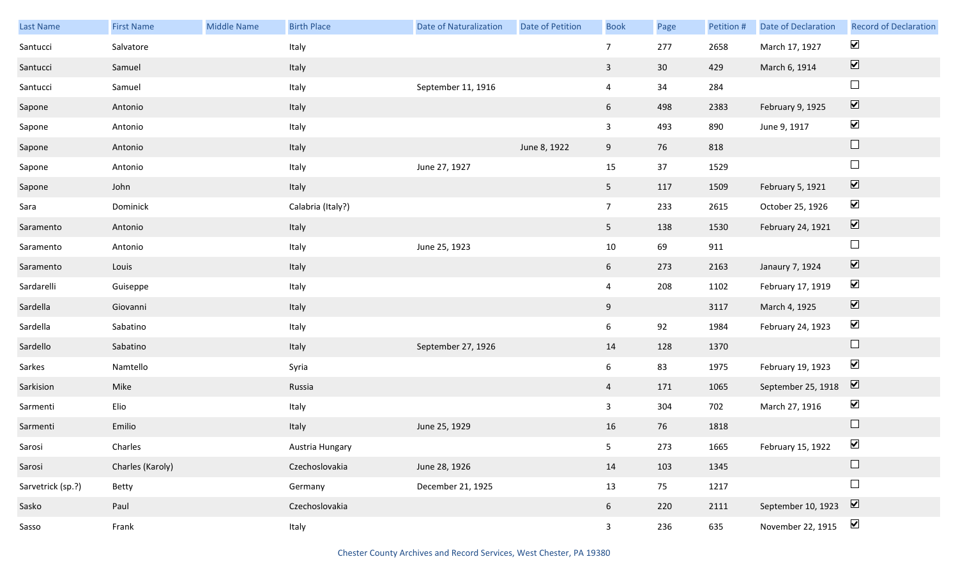| Last Name         | <b>First Name</b> | <b>Middle Name</b> | <b>Birth Place</b> | <b>Date of Naturalization</b> | <b>Date of Petition</b> | <b>Book</b>     | Page            | Petition # | Date of Declaration | <b>Record of Declaration</b> |
|-------------------|-------------------|--------------------|--------------------|-------------------------------|-------------------------|-----------------|-----------------|------------|---------------------|------------------------------|
| Santucci          | Salvatore         |                    | Italy              |                               |                         | 7 <sup>7</sup>  | 277             | 2658       | March 17, 1927      | $\blacktriangledown$         |
| Santucci          | Samuel            |                    | Italy              |                               |                         | $\mathbf{3}$    | 30 <sup>°</sup> | 429        | March 6, 1914       | $\boxed{\blacktriangledown}$ |
| Santucci          | Samuel            |                    | Italy              | September 11, 1916            |                         | $\overline{4}$  | 34              | 284        |                     | $\Box$                       |
| Sapone            | Antonio           |                    | Italy              |                               |                         | $6\overline{6}$ | 498             | 2383       | February 9, 1925    | $\boxed{\blacktriangledown}$ |
| Sapone            | Antonio           |                    | Italy              |                               |                         | $\mathbf{3}$    | 493             | 890        | June 9, 1917        | $\blacktriangledown$         |
| Sapone            | Antonio           |                    | Italy              |                               | June 8, 1922            | 9               | 76              | 818        |                     | $\hfill \square$             |
| Sapone            | Antonio           |                    | Italy              | June 27, 1927                 |                         | 15              | 37              | 1529       |                     | $\Box$                       |
| Sapone            | John              |                    | Italy              |                               |                         | 5 <sub>1</sub>  | 117             | 1509       | February 5, 1921    | $\boxed{\blacktriangledown}$ |
| Sara              | Dominick          |                    | Calabria (Italy?)  |                               |                         | 7 <sup>7</sup>  | 233             | 2615       | October 25, 1926    | $\blacktriangledown$         |
| Saramento         | Antonio           |                    | Italy              |                               |                         | 5 <sub>1</sub>  | 138             | 1530       | February 24, 1921   | $\boxed{\blacktriangledown}$ |
| Saramento         | Antonio           |                    | Italy              | June 25, 1923                 |                         | $10\,$          | 69              | 911        |                     | $\Box$                       |
| Saramento         | Louis             |                    | Italy              |                               |                         | $6\overline{6}$ | 273             | 2163       | Janaury 7, 1924     | $\overline{\mathbf{V}}$      |
| Sardarelli        | Guiseppe          |                    | Italy              |                               |                         | $\overline{4}$  | 208             | 1102       | February 17, 1919   | $\blacktriangledown$         |
| Sardella          | Giovanni          |                    | Italy              |                               |                         | 9               |                 | 3117       | March 4, 1925       | $\overline{\mathbf{v}}$      |
| Sardella          | Sabatino          |                    | Italy              |                               |                         | $6\overline{6}$ | 92              | 1984       | February 24, 1923   | $\blacktriangledown$         |
| Sardello          | Sabatino          |                    | Italy              | September 27, 1926            |                         | 14              | 128             | 1370       |                     | $\Box$                       |
| Sarkes            | Namtello          |                    | Syria              |                               |                         | $6\overline{6}$ | 83              | 1975       | February 19, 1923   | $\blacktriangledown$         |
| Sarkision         | Mike              |                    | Russia             |                               |                         | $\overline{4}$  | 171             | 1065       | September 25, 1918  | $\boxed{\blacktriangledown}$ |
| Sarmenti          | Elio              |                    | Italy              |                               |                         | $\mathbf{3}$    | 304             | 702        | March 27, 1916      | $\blacktriangledown$         |
| Sarmenti          | Emilio            |                    | Italy              | June 25, 1929                 |                         | 16              | 76              | 1818       |                     | $\hfill \square$             |
| Sarosi            | Charles           |                    | Austria Hungary    |                               |                         | 5 <sub>5</sub>  | 273             | 1665       | February 15, 1922   | $\blacktriangledown$         |
| Sarosi            | Charles (Karoly)  |                    | Czechoslovakia     | June 28, 1926                 |                         | 14              | 103             | 1345       |                     | $\Box$                       |
| Sarvetrick (sp.?) | Betty             |                    | Germany            | December 21, 1925             |                         | 13              | 75              | 1217       |                     | $\Box$                       |
| Sasko             | Paul              |                    | Czechoslovakia     |                               |                         | 6 <sup>1</sup>  | 220             | 2111       | September 10, 1923  | $\boxed{\blacktriangledown}$ |
| Sasso             | Frank             |                    | Italy              |                               |                         | 3 <sup>7</sup>  | 236             | 635        | November 22, 1915   | $\blacktriangledown$         |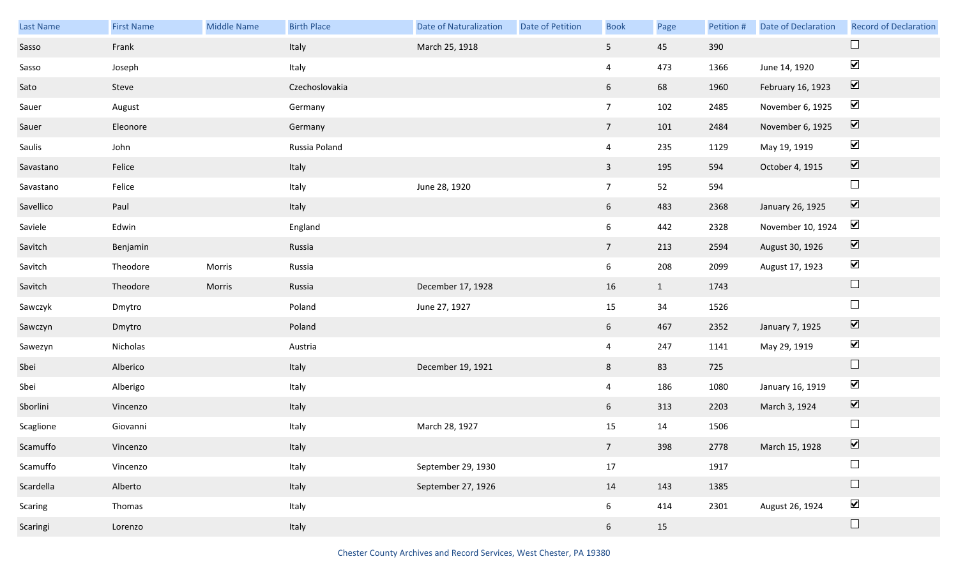| Last Name | <b>First Name</b> | Middle Name | <b>Birth Place</b> | <b>Date of Naturalization</b> | Date of Petition | <b>Book</b>     | Page         | Petition # | Date of Declaration | <b>Record of Declaration</b> |
|-----------|-------------------|-------------|--------------------|-------------------------------|------------------|-----------------|--------------|------------|---------------------|------------------------------|
| Sasso     | Frank             |             | Italy              | March 25, 1918                |                  | 5 <sub>1</sub>  | 45           | 390        |                     |                              |
| Sasso     | Joseph            |             | Italy              |                               |                  | $\overline{4}$  | 473          | 1366       | June 14, 1920       | $\blacktriangledown$         |
| Sato      | Steve             |             | Czechoslovakia     |                               |                  | 6 <sup>1</sup>  | 68           | 1960       | February 16, 1923   | $\boxed{\blacktriangledown}$ |
| Sauer     | August            |             | Germany            |                               |                  | $7\overline{ }$ | 102          | 2485       | November 6, 1925    | $\blacktriangledown$         |
| Sauer     | Eleonore          |             | Germany            |                               |                  | 7 <sup>7</sup>  | 101          | 2484       | November 6, 1925    | $\boxed{\blacktriangledown}$ |
| Saulis    | John              |             | Russia Poland      |                               |                  | $\overline{4}$  | 235          | 1129       | May 19, 1919        | $\blacktriangledown$         |
| Savastano | Felice            |             | Italy              |                               |                  | 3 <sup>1</sup>  | 195          | 594        | October 4, 1915     | $\boxed{\blacktriangledown}$ |
| Savastano | Felice            |             | Italy              | June 28, 1920                 |                  | $7\overline{ }$ | 52           | 594        |                     | $\Box$                       |
| Savellico | Paul              |             | Italy              |                               |                  | 6 <sup>1</sup>  | 483          | 2368       | January 26, 1925    | $\boxed{\blacktriangledown}$ |
| Saviele   | Edwin             |             | England            |                               |                  | $6\overline{6}$ | 442          | 2328       | November 10, 1924   | $\blacktriangledown$         |
| Savitch   | Benjamin          |             | Russia             |                               |                  | 7 <sup>7</sup>  | 213          | 2594       | August 30, 1926     | $\boxed{\blacktriangledown}$ |
| Savitch   | Theodore          | Morris      | Russia             |                               |                  | 6 <sup>1</sup>  | 208          | 2099       | August 17, 1923     | $\blacktriangledown$         |
| Savitch   | Theodore          | Morris      | Russia             | December 17, 1928             |                  | 16              | $\mathbf{1}$ | 1743       |                     | $\hfill \square$             |
| Sawczyk   | Dmytro            |             | Poland             | June 27, 1927                 |                  | 15              | 34           | 1526       |                     | $\Box$                       |
| Sawczyn   | Dmytro            |             | Poland             |                               |                  | 6 <sup>1</sup>  | 467          | 2352       | January 7, 1925     | $\blacktriangledown$         |
| Sawezyn   | Nicholas          |             | Austria            |                               |                  | $\overline{4}$  | 247          | 1141       | May 29, 1919        | $\blacktriangledown$         |
| Sbei      | Alberico          |             | Italy              | December 19, 1921             |                  | 8 <sup>1</sup>  | 83           | 725        |                     | $\Box$                       |
| Sbei      | Alberigo          |             | Italy              |                               |                  | $\overline{4}$  | 186          | 1080       | January 16, 1919    | $\blacktriangledown$         |
| Sborlini  | Vincenzo          |             | Italy              |                               |                  | 6 <sup>1</sup>  | 313          | 2203       | March 3, 1924       | $\overline{\mathbf{v}}$      |
| Scaglione | Giovanni          |             | Italy              | March 28, 1927                |                  | 15              | 14           | 1506       |                     | $\Box$                       |
| Scamuffo  | Vincenzo          |             | Italy              |                               |                  | 7 <sup>7</sup>  | 398          | 2778       | March 15, 1928      | $\boxed{\blacktriangledown}$ |
| Scamuffo  | Vincenzo          |             | Italy              | September 29, 1930            |                  | $17\,$          |              | 1917       |                     | $\Box$                       |
| Scardella | Alberto           |             | Italy              | September 27, 1926            |                  | 14              | 143          | 1385       |                     | $\Box$                       |
| Scaring   | Thomas            |             | Italy              |                               |                  | $6\overline{6}$ | 414          | 2301       | August 26, 1924     | $\blacktriangledown$         |
| Scaringi  | Lorenzo           |             | Italy              |                               |                  | $6\overline{6}$ | 15           |            |                     | $\Box$                       |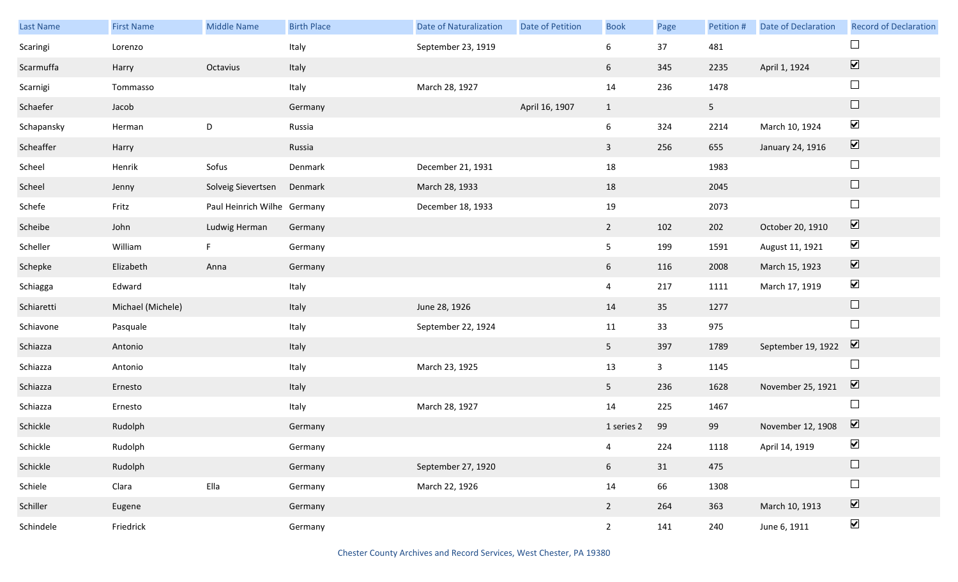| Last Name  | <b>First Name</b> | <b>Middle Name</b>          | <b>Birth Place</b> | <b>Date of Naturalization</b> | Date of Petition | <b>Book</b>    | Page         | Petition #     | <b>Date of Declaration</b> | <b>Record of Declaration</b> |
|------------|-------------------|-----------------------------|--------------------|-------------------------------|------------------|----------------|--------------|----------------|----------------------------|------------------------------|
| Scaringi   | Lorenzo           |                             | Italy              | September 23, 1919            |                  | 6              | 37           | 481            |                            | $\Box$                       |
| Scarmuffa  | Harry             | Octavius                    | Italy              |                               |                  | 6 <sup>1</sup> | 345          | 2235           | April 1, 1924              | $\boxed{\blacktriangledown}$ |
| Scarnigi   | Tommasso          |                             | Italy              | March 28, 1927                |                  | 14             | 236          | 1478           |                            | $\Box$                       |
| Schaefer   | Jacob             |                             | Germany            |                               | April 16, 1907   | $\mathbf{1}$   |              | 5 <sub>1</sub> |                            | $\hfill \square$             |
| Schapansky | Herman            | $\mathsf D$                 | Russia             |                               |                  | 6              | 324          | 2214           | March 10, 1924             | $\blacktriangledown$         |
| Scheaffer  | Harry             |                             | Russia             |                               |                  | $\mathbf{3}$   | 256          | 655            | January 24, 1916           | $\boxed{\blacktriangledown}$ |
| Scheel     | Henrik            | Sofus                       | Denmark            | December 21, 1931             |                  | 18             |              | 1983           |                            | $\Box$                       |
| Scheel     | Jenny             | Solveig Sievertsen          | Denmark            | March 28, 1933                |                  | 18             |              | 2045           |                            | $\hfill \square$             |
| Schefe     | Fritz             | Paul Heinrich Wilhe Germany |                    | December 18, 1933             |                  | 19             |              | 2073           |                            | $\Box$                       |
| Scheibe    | John              | Ludwig Herman               | Germany            |                               |                  | $\overline{2}$ | 102          | 202            | October 20, 1910           | $\boxed{\blacktriangledown}$ |
| Scheller   | William           | F                           | Germany            |                               |                  | 5 <sub>5</sub> | 199          | 1591           | August 11, 1921            | $\blacktriangledown$         |
| Schepke    | Elizabeth         | Anna                        | Germany            |                               |                  | 6 <sup>1</sup> | 116          | 2008           | March 15, 1923             | $\boxed{\blacktriangledown}$ |
| Schiagga   | Edward            |                             | Italy              |                               |                  | $\overline{4}$ | 217          | 1111           | March 17, 1919             | $\blacktriangledown$         |
| Schiaretti | Michael (Michele) |                             | Italy              | June 28, 1926                 |                  | 14             | 35           | 1277           |                            | $\Box$                       |
| Schiavone  | Pasquale          |                             | Italy              | September 22, 1924            |                  | 11             | 33           | 975            |                            | $\Box$                       |
| Schiazza   | Antonio           |                             | Italy              |                               |                  | 5 <sub>1</sub> | 397          | 1789           | September 19, 1922         | $\overline{\mathbf{v}}$      |
| Schiazza   | Antonio           |                             | Italy              | March 23, 1925                |                  | 13             | $\mathbf{3}$ | 1145           |                            | $\Box$                       |
| Schiazza   | Ernesto           |                             | Italy              |                               |                  | 5 <sub>1</sub> | 236          | 1628           | November 25, 1921          | $\boxed{\mathbf{v}}$         |
| Schiazza   | Ernesto           |                             | Italy              | March 28, 1927                |                  | 14             | 225          | 1467           |                            | $\Box$                       |
| Schickle   | Rudolph           |                             | Germany            |                               |                  | 1 series 2     | 99           | 99             | November 12, 1908          | $\triangledown$              |
| Schickle   | Rudolph           |                             | Germany            |                               |                  | $\overline{4}$ | 224          | 1118           | April 14, 1919             | $\blacktriangledown$         |
| Schickle   | Rudolph           |                             | Germany            | September 27, 1920            |                  | 6 <sup>1</sup> | 31           | 475            |                            | $\Box$                       |
| Schiele    | Clara             | Ella                        | Germany            | March 22, 1926                |                  | 14             | 66           | 1308           |                            | $\Box$                       |
| Schiller   | Eugene            |                             | Germany            |                               |                  | $\overline{2}$ | 264          | 363            | March 10, 1913             | $\boxed{\blacktriangledown}$ |
| Schindele  | Friedrick         |                             | Germany            |                               |                  | $\overline{2}$ | 141          | 240            | June 6, 1911               | $\blacktriangledown$         |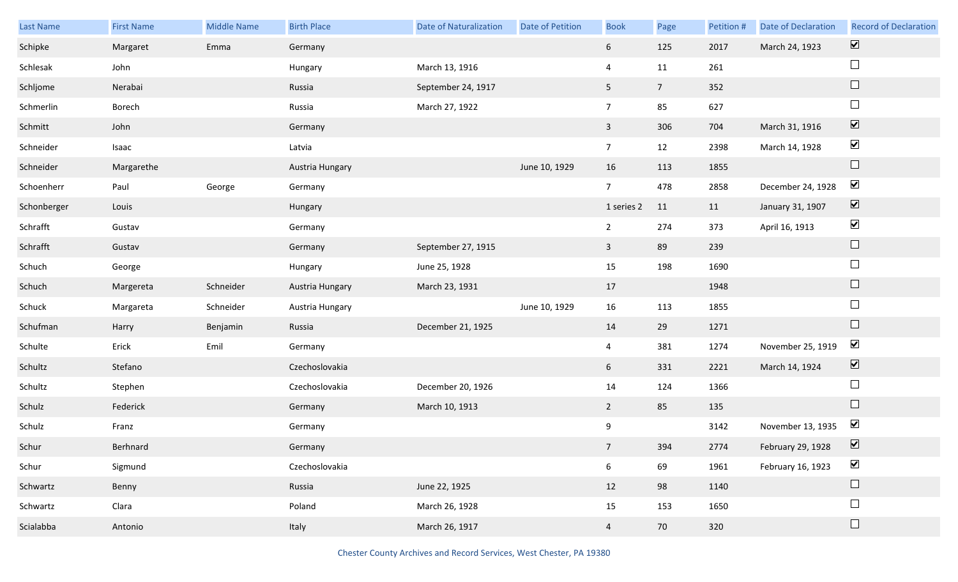| Last Name   | <b>First Name</b> | <b>Middle Name</b> | <b>Birth Place</b> | <b>Date of Naturalization</b> | Date of Petition | <b>Book</b>     | Page            | Petition # | <b>Date of Declaration</b> | <b>Record of Declaration</b> |
|-------------|-------------------|--------------------|--------------------|-------------------------------|------------------|-----------------|-----------------|------------|----------------------------|------------------------------|
| Schipke     | Margaret          | Emma               | Germany            |                               |                  | 6 <sup>1</sup>  | 125             | 2017       | March 24, 1923             | $\overline{\mathbf{v}}$      |
| Schlesak    | John              |                    | Hungary            | March 13, 1916                |                  | 4               | 11              | 261        |                            | $\Box$                       |
| Schljome    | Nerabai           |                    | Russia             | September 24, 1917            |                  | 5 <sub>1</sub>  | $7\overline{ }$ | 352        |                            | $\Box$                       |
| Schmerlin   | Borech            |                    | Russia             | March 27, 1922                |                  | $7\overline{ }$ | 85              | 627        |                            | $\Box$                       |
| Schmitt     | John              |                    | Germany            |                               |                  | $\mathbf{3}$    | 306             | 704        | March 31, 1916             | $\boxed{\blacktriangledown}$ |
| Schneider   | Isaac             |                    | Latvia             |                               |                  | $\overline{7}$  | 12              | 2398       | March 14, 1928             | $\blacktriangledown$         |
| Schneider   | Margarethe        |                    | Austria Hungary    |                               | June 10, 1929    | 16              | 113             | 1855       |                            | $\Box$                       |
| Schoenherr  | Paul              | George             | Germany            |                               |                  | $7\overline{ }$ | 478             | 2858       | December 24, 1928          | $\blacktriangledown$         |
| Schonberger | Louis             |                    | Hungary            |                               |                  | 1 series 2      | 11              | 11         | January 31, 1907           | $\blacktriangledown$         |
| Schrafft    | Gustav            |                    | Germany            |                               |                  | $\overline{2}$  | 274             | 373        | April 16, 1913             | $\blacktriangledown$         |
| Schrafft    | Gustav            |                    | Germany            | September 27, 1915            |                  | 3 <sup>7</sup>  | 89              | 239        |                            | $\Box$                       |
| Schuch      | George            |                    | Hungary            | June 25, 1928                 |                  | 15              | 198             | 1690       |                            | $\Box$                       |
| Schuch      | Margereta         | Schneider          | Austria Hungary    | March 23, 1931                |                  | 17              |                 | 1948       |                            | $\Box$                       |
| Schuck      | Margareta         | Schneider          | Austria Hungary    |                               | June 10, 1929    | 16              | 113             | 1855       |                            | $\Box$                       |
| Schufman    | Harry             | Benjamin           | Russia             | December 21, 1925             |                  | 14              | 29              | 1271       |                            | $\Box$                       |
| Schulte     | Erick             | Emil               | Germany            |                               |                  | $\overline{4}$  | 381             | 1274       | November 25, 1919          | $\blacktriangledown$         |
| Schultz     | Stefano           |                    | Czechoslovakia     |                               |                  | 6               | 331             | 2221       | March 14, 1924             | $\blacktriangledown$         |
| Schultz     | Stephen           |                    | Czechoslovakia     | December 20, 1926             |                  | 14              | 124             | 1366       |                            | $\Box$                       |
| Schulz      | Federick          |                    | Germany            | March 10, 1913                |                  | $2^{\circ}$     | 85              | 135        |                            | $\Box$                       |
| Schulz      | Franz             |                    | Germany            |                               |                  | 9               |                 | 3142       | November 13, 1935          | $\blacktriangledown$         |
| Schur       | Berhnard          |                    | Germany            |                               |                  | 7 <sup>7</sup>  | 394             | 2774       | February 29, 1928          | $\boxed{\mathbf{v}}$         |
| Schur       | Sigmund           |                    | Czechoslovakia     |                               |                  | 6 <sup>1</sup>  | 69              | 1961       | February 16, 1923          | $\blacktriangledown$         |
| Schwartz    | Benny             |                    | Russia             | June 22, 1925                 |                  | 12              | 98              | 1140       |                            | $\Box$                       |
| Schwartz    | Clara             |                    | Poland             | March 26, 1928                |                  | 15              | 153             | 1650       |                            | $\Box$                       |
| Scialabba   | Antonio           |                    | Italy              | March 26, 1917                |                  | $\overline{4}$  | 70              | 320        |                            | $\Box$                       |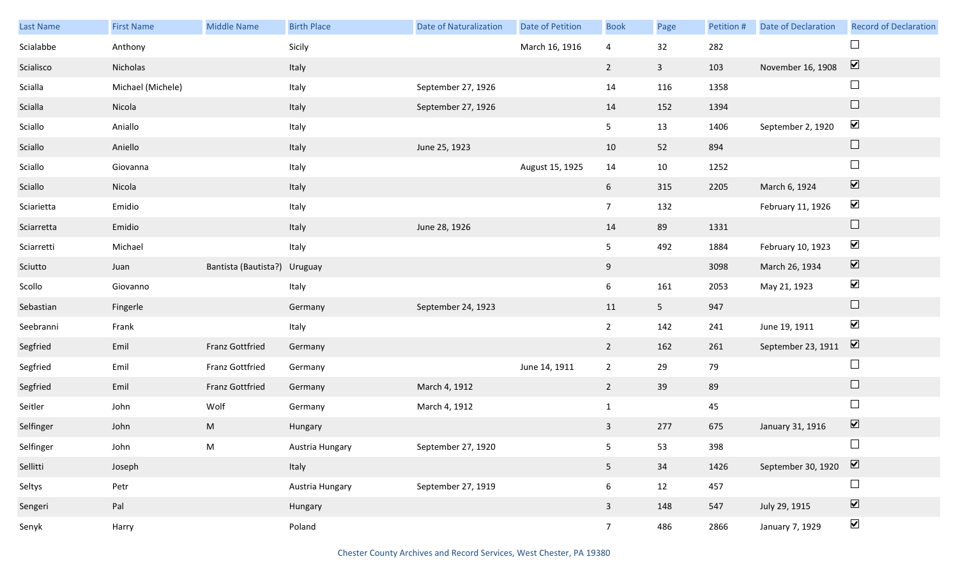| Last Name  | <b>First Name</b> | <b>Middle Name</b>           | <b>Birth Place</b> | Date of Naturalization | Date of Petition | <b>Book</b>     | Page           | Petition # | <b>Date of Declaration</b> | <b>Record of Declaration</b> |
|------------|-------------------|------------------------------|--------------------|------------------------|------------------|-----------------|----------------|------------|----------------------------|------------------------------|
| Scialabbe  | Anthony           |                              | Sicily             |                        | March 16, 1916   | 4               | 32             | 282        |                            | $\Box$                       |
| Scialisco  | Nicholas          |                              | Italy              |                        |                  | $\overline{2}$  | $\overline{3}$ | 103        | November 16, 1908          | $\boxed{\mathbf{v}}$         |
| Scialla    | Michael (Michele) |                              | Italy              | September 27, 1926     |                  | 14              | 116            | 1358       |                            | $\Box$                       |
| Scialla    | Nicola            |                              | Italy              | September 27, 1926     |                  | 14              | 152            | 1394       |                            | $\Box$                       |
| Sciallo    | Aniallo           |                              | Italy              |                        |                  | 5 <sub>1</sub>  | 13             | 1406       | September 2, 1920          | $\blacktriangledown$         |
| Sciallo    | Aniello           |                              | Italy              | June 25, 1923          |                  | 10              | 52             | 894        |                            | $\Box$                       |
| Sciallo    | Giovanna          |                              | Italy              |                        | August 15, 1925  | 14              | 10             | 1252       |                            | $\Box$                       |
| Sciallo    | Nicola            |                              | Italy              |                        |                  | $6\overline{6}$ | 315            | 2205       | March 6, 1924              | $\boxed{\blacktriangledown}$ |
| Sciarietta | Emidio            |                              | Italy              |                        |                  | 7 <sup>7</sup>  | 132            |            | February 11, 1926          | $\blacktriangledown$         |
| Sciarretta | Emidio            |                              | Italy              | June 28, 1926          |                  | 14              | 89             | 1331       |                            | $\hfill \square$             |
| Sciarretti | Michael           |                              | Italy              |                        |                  | 5               | 492            | 1884       | February 10, 1923          | $\blacktriangledown$         |
| Sciutto    | Juan              | Bantista (Bautista?) Uruguay |                    |                        |                  | 9               |                | 3098       | March 26, 1934             | $\overline{\mathbf{v}}$      |
| Scollo     | Giovanno          |                              | Italy              |                        |                  | 6               | 161            | 2053       | May 21, 1923               | $\blacktriangledown$         |
| Sebastian  | Fingerle          |                              | Germany            | September 24, 1923     |                  | 11              | 5 <sub>1</sub> | 947        |                            | $\Box$                       |
| Seebranni  | Frank             |                              | Italy              |                        |                  | $\overline{2}$  | 142            | 241        | June 19, 1911              | $\blacktriangledown$         |
| Segfried   | Emil              | <b>Franz Gottfried</b>       | Germany            |                        |                  | $\overline{2}$  | 162            | 261        | September 23, 1911         | $\overline{\mathbf{v}}$      |
| Segfried   | Emil              | Franz Gottfried              | Germany            |                        | June 14, 1911    | $\overline{2}$  | 29             | 79         |                            | $\Box$                       |
| Segfried   | Emil              | Franz Gottfried              | Germany            | March 4, 1912          |                  | $\overline{2}$  | 39             | 89         |                            | $\Box$                       |
| Seitler    | John              | Wolf                         | Germany            | March 4, 1912          |                  | $\mathbf{1}$    |                | 45         |                            | $\Box$                       |
| Selfinger  | John              | M                            | Hungary            |                        |                  | $\mathbf{3}$    | 277            | 675        | January 31, 1916           | $\boxed{\blacktriangledown}$ |
| Selfinger  | John              | M                            | Austria Hungary    | September 27, 1920     |                  | 5 <sub>1</sub>  | 53             | 398        |                            | $\Box$                       |
| Sellitti   | Joseph            |                              | Italy              |                        |                  | 5 <sub>1</sub>  | 34             | 1426       | September 30, 1920         | $\boxed{\blacktriangledown}$ |
| Seltys     | Petr              |                              | Austria Hungary    | September 27, 1919     |                  | 6               | 12             | 457        |                            | $\Box$                       |
| Sengeri    | Pal               |                              | Hungary            |                        |                  | $\mathbf{3}$    | 148            | 547        | July 29, 1915              | $\boxed{\blacktriangledown}$ |
| Senyk      | Harry             |                              | Poland             |                        |                  | $7\overline{ }$ | 486            | 2866       | January 7, 1929            | $\blacktriangledown$         |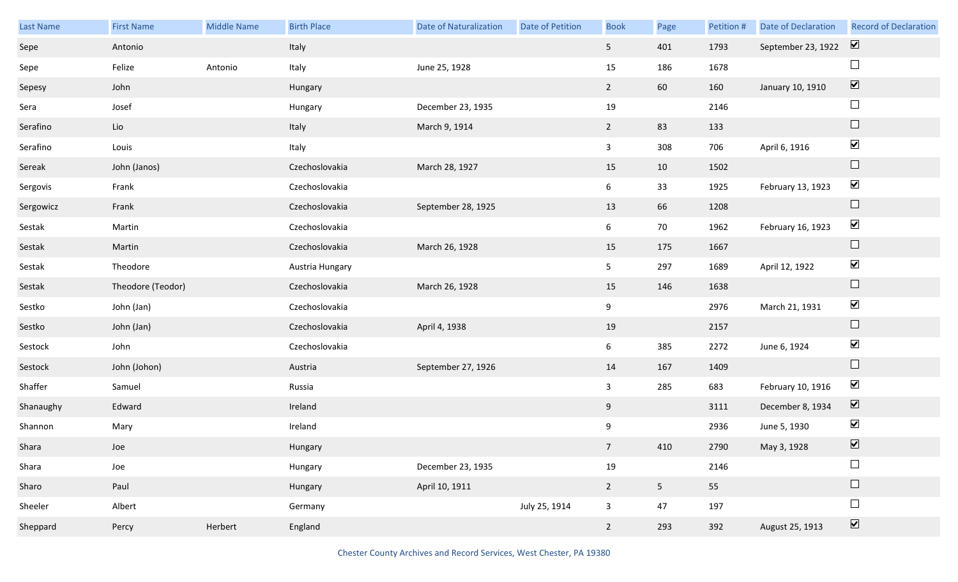| Last Name | <b>First Name</b> | Middle Name | <b>Birth Place</b> | Date of Naturalization | Date of Petition | <b>Book</b>     | Page           | Petition # | Date of Declaration | <b>Record of Declaration</b> |
|-----------|-------------------|-------------|--------------------|------------------------|------------------|-----------------|----------------|------------|---------------------|------------------------------|
| Sepe      | Antonio           |             | Italy              |                        |                  | 5 <sub>1</sub>  | 401            | 1793       | September 23, 1922  | $\overline{\mathbf{v}}$      |
| Sepe      | Felize            | Antonio     | Italy              | June 25, 1928          |                  | 15              | 186            | 1678       |                     | $\Box$                       |
| Sepesy    | John              |             | Hungary            |                        |                  | $2^{\circ}$     | 60             | 160        | January 10, 1910    | $\boxed{\blacktriangledown}$ |
| Sera      | Josef             |             | Hungary            | December 23, 1935      |                  | 19              |                | 2146       |                     | $\Box$                       |
| Serafino  | Lio               |             | Italy              | March 9, 1914          |                  | $2^{\circ}$     | 83             | 133        |                     | $\Box$                       |
| Serafino  | Louis             |             | Italy              |                        |                  | $\mathbf{3}$    | 308            | 706        | April 6, 1916       | $\blacktriangledown$         |
| Sereak    | John (Janos)      |             | Czechoslovakia     | March 28, 1927         |                  | 15              | 10             | 1502       |                     | $\Box$                       |
| Sergovis  | Frank             |             | Czechoslovakia     |                        |                  | $6\overline{6}$ | 33             | 1925       | February 13, 1923   | $\blacktriangledown$         |
| Sergowicz | Frank             |             | Czechoslovakia     | September 28, 1925     |                  | 13              | 66             | 1208       |                     | $\Box$                       |
| Sestak    | Martin            |             | Czechoslovakia     |                        |                  | 6               | 70             | 1962       | February 16, 1923   | $\blacktriangledown$         |
| Sestak    | Martin            |             | Czechoslovakia     | March 26, 1928         |                  | 15              | 175            | 1667       |                     | $\Box$                       |
| Sestak    | Theodore          |             | Austria Hungary    |                        |                  | 5 <sub>1</sub>  | 297            | 1689       | April 12, 1922      | $\blacktriangledown$         |
| Sestak    | Theodore (Teodor) |             | Czechoslovakia     | March 26, 1928         |                  | 15              | 146            | 1638       |                     | $\Box$                       |
| Sestko    | John (Jan)        |             | Czechoslovakia     |                        |                  | 9               |                | 2976       | March 21, 1931      | $\blacktriangledown$         |
| Sestko    | John (Jan)        |             | Czechoslovakia     | April 4, 1938          |                  | 19              |                | 2157       |                     | $\Box$                       |
| Sestock   | John              |             | Czechoslovakia     |                        |                  | 6               | 385            | 2272       | June 6, 1924        | $\blacktriangledown$         |
| Sestock   | John (Johon)      |             | Austria            | September 27, 1926     |                  | 14              | 167            | 1409       |                     | $\Box$                       |
| Shaffer   | Samuel            |             | Russia             |                        |                  | $\mathbf{3}$    | 285            | 683        | February 10, 1916   | $\blacktriangledown$         |
| Shanaughy | Edward            |             | Ireland            |                        |                  | 9               |                | 3111       | December 8, 1934    | $\overline{\mathbf{v}}$      |
| Shannon   | Mary              |             | Ireland            |                        |                  | 9               |                | 2936       | June 5, 1930        | $\blacktriangleright$        |
| Shara     | Joe               |             | Hungary            |                        |                  | 7 <sup>7</sup>  | 410            | 2790       | May 3, 1928         | $\overline{\mathbf{v}}$      |
| Shara     | Joe               |             | Hungary            | December 23, 1935      |                  | $19\,$          |                | 2146       |                     | $\Box$                       |
| Sharo     | Paul              |             | Hungary            | April 10, 1911         |                  | $2^{\circ}$     | 5 <sub>1</sub> | 55         |                     | $\Box$                       |
| Sheeler   | Albert            |             | Germany            |                        | July 25, 1914    | $\mathbf{3}$    | 47             | 197        |                     | $\Box$                       |
| Sheppard  | Percy             | Herbert     | England            |                        |                  | $2^{\circ}$     | 293            | 392        | August 25, 1913     | $\overline{\mathbf{v}}$      |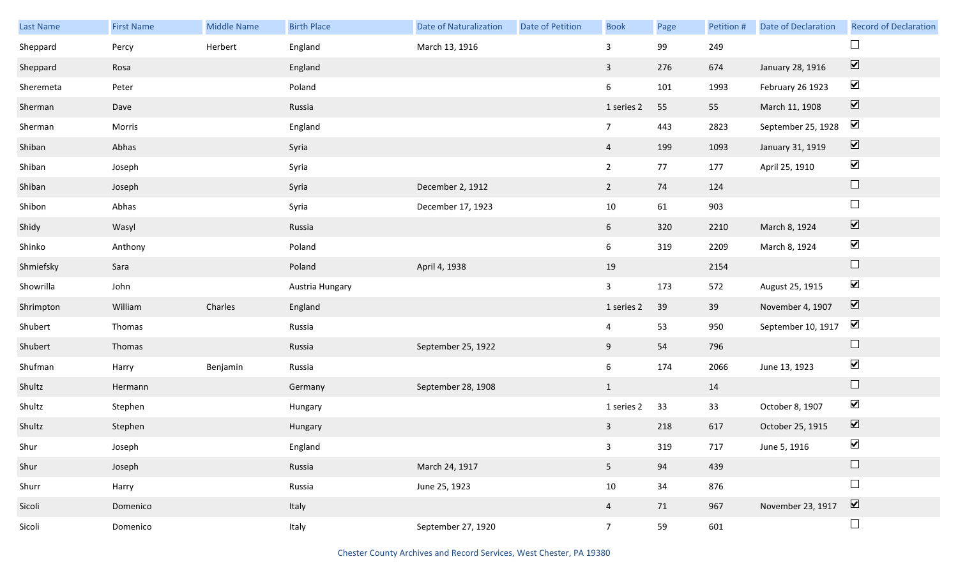| Last Name | <b>First Name</b> | <b>Middle Name</b> | <b>Birth Place</b> | <b>Date of Naturalization</b> | Date of Petition | <b>Book</b>     | Page | Petition # | Date of Declaration | <b>Record of Declaration</b> |
|-----------|-------------------|--------------------|--------------------|-------------------------------|------------------|-----------------|------|------------|---------------------|------------------------------|
| Sheppard  | Percy             | Herbert            | England            | March 13, 1916                |                  | 3               | 99   | 249        |                     |                              |
| Sheppard  | Rosa              |                    | England            |                               |                  | $\overline{3}$  | 276  | 674        | January 28, 1916    | $\boxed{\blacktriangledown}$ |
| Sheremeta | Peter             |                    | Poland             |                               |                  | $6\overline{6}$ | 101  | 1993       | February 26 1923    | $\blacktriangledown$         |
| Sherman   | Dave              |                    | Russia             |                               |                  | 1 series 2      | 55   | 55         | March 11, 1908      | $\boxed{\blacktriangledown}$ |
| Sherman   | Morris            |                    | England            |                               |                  | $7\overline{ }$ | 443  | 2823       | September 25, 1928  | $\blacktriangleright$        |
| Shiban    | Abhas             |                    | Syria              |                               |                  | $\overline{4}$  | 199  | 1093       | January 31, 1919    | $\boxed{\blacktriangledown}$ |
| Shiban    | Joseph            |                    | Syria              |                               |                  | $2^{\circ}$     | 77   | 177        | April 25, 1910      | $\blacktriangledown$         |
| Shiban    | Joseph            |                    | Syria              | December 2, 1912              |                  | $\overline{2}$  | 74   | 124        |                     | $\Box$                       |
| Shibon    | Abhas             |                    | Syria              | December 17, 1923             |                  | $10\,$          | 61   | 903        |                     | $\Box$                       |
| Shidy     | Wasyl             |                    | Russia             |                               |                  | 6               | 320  | 2210       | March 8, 1924       | $\boxed{\blacktriangledown}$ |
| Shinko    | Anthony           |                    | Poland             |                               |                  | $6\overline{6}$ | 319  | 2209       | March 8, 1924       | $\blacktriangledown$         |
| Shmiefsky | Sara              |                    | Poland             | April 4, 1938                 |                  | 19              |      | 2154       |                     | $\hfill \square$             |
| Showrilla | John              |                    | Austria Hungary    |                               |                  | $\mathbf{3}$    | 173  | 572        | August 25, 1915     | $\blacktriangledown$         |
| Shrimpton | William           | Charles            | England            |                               |                  | 1 series 2      | 39   | 39         | November 4, 1907    | $\boxed{\blacktriangledown}$ |
| Shubert   | Thomas            |                    | Russia             |                               |                  | $\overline{4}$  | 53   | 950        | September 10, 1917  | $\blacktriangledown$         |
| Shubert   | Thomas            |                    | Russia             | September 25, 1922            |                  | 9               | 54   | 796        |                     | $\Box$                       |
| Shufman   | Harry             | Benjamin           | Russia             |                               |                  | $6\overline{6}$ | 174  | 2066       | June 13, 1923       | $\blacktriangledown$         |
| Shultz    | Hermann           |                    | Germany            | September 28, 1908            |                  | $\mathbf{1}$    |      | 14         |                     | $\Box$                       |
| Shultz    | Stephen           |                    | Hungary            |                               |                  | 1 series 2      | 33   | 33         | October 8, 1907     | $\blacktriangledown$         |
| Shultz    | Stephen           |                    | Hungary            |                               |                  | $\overline{3}$  | 218  | 617        | October 25, 1915    | $\boxed{\blacktriangledown}$ |
| Shur      | Joseph            |                    | England            |                               |                  | 3 <sup>7</sup>  | 319  | 717        | June 5, 1916        | $\blacktriangledown$         |
| Shur      | Joseph            |                    | Russia             | March 24, 1917                |                  | 5 <sub>1</sub>  | 94   | 439        |                     | $\Box$                       |
| Shurr     | Harry             |                    | Russia             | June 25, 1923                 |                  | $10\,$          | 34   | 876        |                     | $\Box$                       |
| Sicoli    | Domenico          |                    | Italy              |                               |                  | $\overline{4}$  | 71   | 967        | November 23, 1917   | $\boxed{\blacktriangledown}$ |
| Sicoli    | Domenico          |                    | Italy              | September 27, 1920            |                  | $7\overline{ }$ | 59   | 601        |                     | $\Box$                       |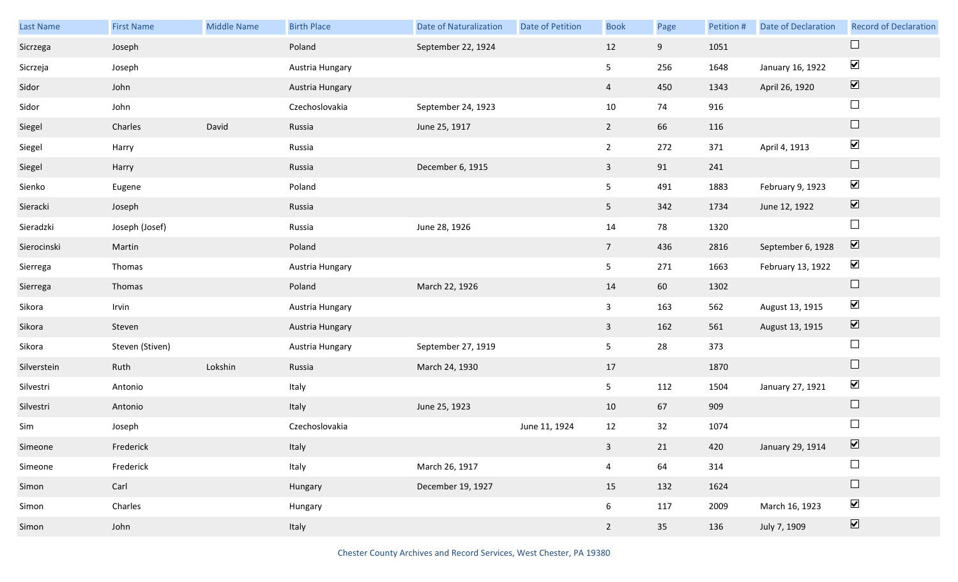| Last Name   | <b>First Name</b> | <b>Middle Name</b> | <b>Birth Place</b> | <b>Date of Naturalization</b> | Date of Petition | <b>Book</b>             | Page | Petition # | <b>Date of Declaration</b> | <b>Record of Declaration</b> |
|-------------|-------------------|--------------------|--------------------|-------------------------------|------------------|-------------------------|------|------------|----------------------------|------------------------------|
| Sicrzega    | Joseph            |                    | Poland             | September 22, 1924            |                  | 12                      | 9    | 1051       |                            | $\Box$                       |
| Sicrzeja    | Joseph            |                    | Austria Hungary    |                               |                  | 5                       | 256  | 1648       | January 16, 1922           | $\blacktriangledown$         |
| Sidor       | John              |                    | Austria Hungary    |                               |                  | $\overline{4}$          | 450  | 1343       | April 26, 1920             | $\boxed{\blacktriangledown}$ |
| Sidor       | John              |                    | Czechoslovakia     | September 24, 1923            |                  | 10                      | 74   | 916        |                            | $\Box$                       |
| Siegel      | Charles           | David              | Russia             | June 25, 1917                 |                  | $2^{\circ}$             | 66   | 116        |                            | $\Box$                       |
| Siegel      | Harry             |                    | Russia             |                               |                  | $2^{\circ}$             | 272  | 371        | April 4, 1913              | $\blacktriangledown$         |
| Siegel      | Harry             |                    | Russia             | December 6, 1915              |                  | 3 <sup>1</sup>          | 91   | 241        |                            | $\Box$                       |
| Sienko      | Eugene            |                    | Poland             |                               |                  | 5                       | 491  | 1883       | February 9, 1923           | $\blacktriangledown$         |
| Sieracki    | Joseph            |                    | Russia             |                               |                  | 5 <sub>1</sub>          | 342  | 1734       | June 12, 1922              | $\overline{\mathbf{v}}$      |
| Sieradzki   | Joseph (Josef)    |                    | Russia             | June 28, 1926                 |                  | 14                      | 78   | 1320       |                            | $\Box$                       |
| Sierocinski | Martin            |                    | Poland             |                               |                  | 7 <sup>7</sup>          | 436  | 2816       | September 6, 1928          | $\boxed{\mathbf{v}}$         |
| Sierrega    | Thomas            |                    | Austria Hungary    |                               |                  | 5                       | 271  | 1663       | February 13, 1922          | $\blacktriangledown$         |
| Sierrega    | Thomas            |                    | Poland             | March 22, 1926                |                  | 14                      | 60   | 1302       |                            | $\Box$                       |
| Sikora      | Irvin             |                    | Austria Hungary    |                               |                  | $\mathbf{3}$            | 163  | 562        | August 13, 1915            | $\blacktriangledown$         |
| Sikora      | Steven            |                    | Austria Hungary    |                               |                  | $\overline{3}$          | 162  | 561        | August 13, 1915            | $\blacktriangledown$         |
| Sikora      | Steven (Stiven)   |                    | Austria Hungary    | September 27, 1919            |                  | 5                       | 28   | 373        |                            | $\Box$                       |
| Silverstein | Ruth              | Lokshin            | Russia             | March 24, 1930                |                  | 17                      |      | 1870       |                            | $\Box$                       |
| Silvestri   | Antonio           |                    | Italy              |                               |                  | 5                       | 112  | 1504       | January 27, 1921           | $\blacktriangledown$         |
| Silvestri   | Antonio           |                    | Italy              | June 25, 1923                 |                  | 10                      | 67   | 909        |                            | $\Box$                       |
| Sim         | Joseph            |                    | Czechoslovakia     |                               | June 11, 1924    | 12                      | 32   | 1074       |                            | $\Box$                       |
| Simeone     | Frederick         |                    | Italy              |                               |                  | 3 <sup>1</sup>          | 21   | 420        | January 29, 1914           | $\sum$                       |
| Simeone     | Frederick         |                    | Italy              | March 26, 1917                |                  | $\overline{\mathbf{4}}$ | 64   | 314        |                            | $\Box$                       |
| Simon       | Carl              |                    | Hungary            | December 19, 1927             |                  | 15                      | 132  | 1624       |                            | $\hfill \square$             |
| Simon       | Charles           |                    | Hungary            |                               |                  | 6 <sup>1</sup>          | 117  | 2009       | March 16, 1923             | $\blacktriangledown$         |
| Simon       | John              |                    | Italy              |                               |                  | $2\overline{ }$         | 35   | 136        | July 7, 1909               | $\overline{\mathbf{v}}$      |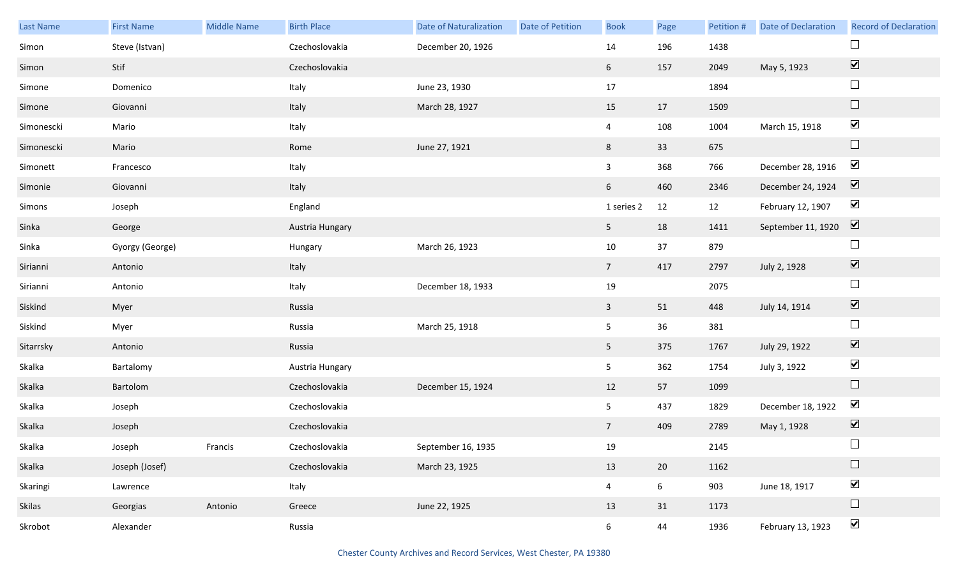| Last Name  | <b>First Name</b> | <b>Middle Name</b> | <b>Birth Place</b> | <b>Date of Naturalization</b> | <b>Date of Petition</b> | <b>Book</b>     | Page            | Petition # | <b>Date of Declaration</b> | <b>Record of Declaration</b> |
|------------|-------------------|--------------------|--------------------|-------------------------------|-------------------------|-----------------|-----------------|------------|----------------------------|------------------------------|
| Simon      | Steve (Istvan)    |                    | Czechoslovakia     | December 20, 1926             |                         | 14              | 196             | 1438       |                            | $\Box$                       |
| Simon      | Stif              |                    | Czechoslovakia     |                               |                         | 6 <sup>1</sup>  | 157             | 2049       | May 5, 1923                | $\boxed{\blacktriangledown}$ |
| Simone     | Domenico          |                    | Italy              | June 23, 1930                 |                         | 17              |                 | 1894       |                            | $\Box$                       |
| Simone     | Giovanni          |                    | Italy              | March 28, 1927                |                         | 15              | 17              | 1509       |                            | $\hfill \square$             |
| Simonescki | Mario             |                    | Italy              |                               |                         | $\overline{4}$  | 108             | 1004       | March 15, 1918             | $\blacktriangledown$         |
| Simonescki | Mario             |                    | Rome               | June 27, 1921                 |                         | 8               | 33              | 675        |                            | $\hfill \square$             |
| Simonett   | Francesco         |                    | Italy              |                               |                         | $\mathbf{3}$    | 368             | 766        | December 28, 1916          | $\blacktriangledown$         |
| Simonie    | Giovanni          |                    | Italy              |                               |                         | 6               | 460             | 2346       | December 24, 1924          | $\boxed{\blacktriangledown}$ |
| Simons     | Joseph            |                    | England            |                               |                         | 1 series 2      | 12              | 12         | February 12, 1907          | $\blacktriangledown$         |
| Sinka      | George            |                    | Austria Hungary    |                               |                         | 5 <sub>5</sub>  | 18              | 1411       | September 11, 1920         | $\boxed{\blacktriangledown}$ |
| Sinka      | Gyorgy (George)   |                    | Hungary            | March 26, 1923                |                         | 10              | 37              | 879        |                            | $\Box$                       |
| Sirianni   | Antonio           |                    | Italy              |                               |                         | $7\overline{ }$ | 417             | 2797       | July 2, 1928               | $\boxed{\blacktriangledown}$ |
| Sirianni   | Antonio           |                    | Italy              | December 18, 1933             |                         | 19              |                 | 2075       |                            | $\Box$                       |
| Siskind    | Myer              |                    | Russia             |                               |                         | $\mathbf{3}$    | 51              | 448        | July 14, 1914              | $\boxed{\blacktriangledown}$ |
| Siskind    | Myer              |                    | Russia             | March 25, 1918                |                         | 5               | 36              | 381        |                            | $\Box$                       |
| Sitarrsky  | Antonio           |                    | Russia             |                               |                         | 5 <sub>1</sub>  | 375             | 1767       | July 29, 1922              | $\boxed{\blacktriangledown}$ |
| Skalka     | Bartalomy         |                    | Austria Hungary    |                               |                         | 5               | 362             | 1754       | July 3, 1922               | $\blacktriangledown$         |
| Skalka     | Bartolom          |                    | Czechoslovakia     | December 15, 1924             |                         | 12              | 57              | 1099       |                            | $\hfill \square$             |
| Skalka     | Joseph            |                    | Czechoslovakia     |                               |                         | 5               | 437             | 1829       | December 18, 1922          | $\blacktriangledown$         |
| Skalka     | Joseph            |                    | Czechoslovakia     |                               |                         | $7\overline{ }$ | 409             | 2789       | May 1, 1928                | $\boxed{\blacktriangledown}$ |
| Skalka     | Joseph            | Francis            | Czechoslovakia     | September 16, 1935            |                         | 19              |                 | 2145       |                            | $\Box$                       |
| Skalka     | Joseph (Josef)    |                    | Czechoslovakia     | March 23, 1925                |                         | 13              | 20              | 1162       |                            | $\Box$                       |
| Skaringi   | Lawrence          |                    | Italy              |                               |                         | $\overline{4}$  | $6\overline{6}$ | 903        | June 18, 1917              | $\blacktriangledown$         |
| Skilas     | Georgias          | Antonio            | Greece             | June 22, 1925                 |                         | 13              | 31              | 1173       |                            | $\Box$                       |
| Skrobot    | Alexander         |                    | Russia             |                               |                         | 6 <sup>1</sup>  | 44              | 1936       | February 13, 1923          | $\blacktriangledown$         |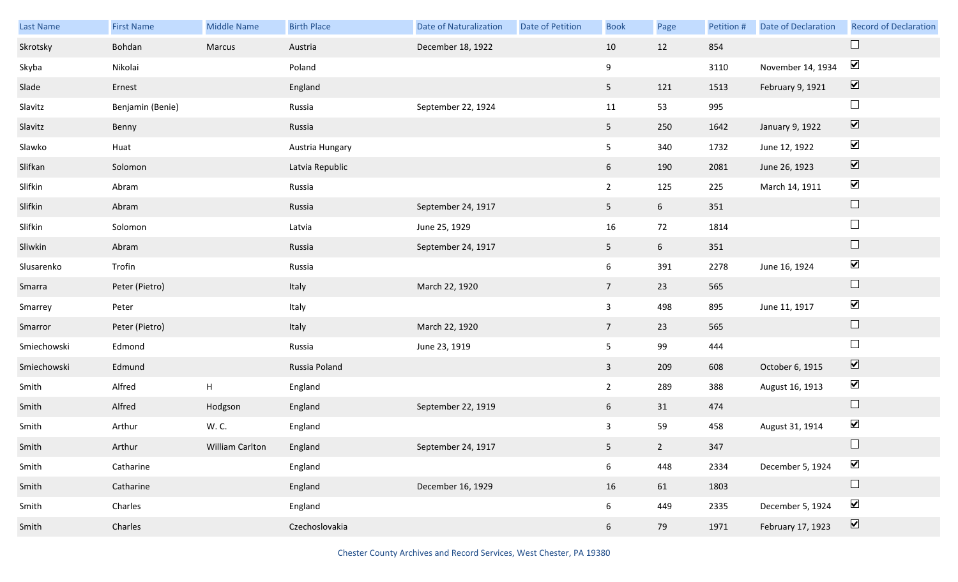| Last Name   | <b>First Name</b> | Middle Name               | <b>Birth Place</b> | <b>Date of Naturalization</b> | Date of Petition | <b>Book</b>    | Page            | Petition # | <b>Date of Declaration</b> | <b>Record of Declaration</b>    |
|-------------|-------------------|---------------------------|--------------------|-------------------------------|------------------|----------------|-----------------|------------|----------------------------|---------------------------------|
| Skrotsky    | Bohdan            | Marcus                    | Austria            | December 18, 1922             |                  | 10             | 12              | 854        |                            | $\Box$                          |
| Skyba       | Nikolai           |                           | Poland             |                               |                  | 9              |                 | 3110       | November 14, 1934          | $\blacktriangleright$           |
| Slade       | Ernest            |                           | England            |                               |                  | 5 <sub>1</sub> | 121             | 1513       | February 9, 1921           | $\overline{\mathbf{v}}$         |
| Slavitz     | Benjamin (Benie)  |                           | Russia             | September 22, 1924            |                  | 11             | 53              | 995        |                            | $\Box$                          |
| Slavitz     | Benny             |                           | Russia             |                               |                  | 5 <sub>1</sub> | 250             | 1642       | January 9, 1922            | $\overline{\blacktriangledown}$ |
| Slawko      | Huat              |                           | Austria Hungary    |                               |                  | 5              | 340             | 1732       | June 12, 1922              | $\blacktriangledown$            |
| Slifkan     | Solomon           |                           | Latvia Republic    |                               |                  | 6              | 190             | 2081       | June 26, 1923              | $\overline{\mathbf{v}}$         |
| Slifkin     | Abram             |                           | Russia             |                               |                  | $\overline{2}$ | 125             | 225        | March 14, 1911             | $\blacktriangledown$            |
| Slifkin     | Abram             |                           | Russia             | September 24, 1917            |                  | 5 <sub>1</sub> | $6\overline{6}$ | 351        |                            | $\Box$                          |
| Slifkin     | Solomon           |                           | Latvia             | June 25, 1929                 |                  | 16             | 72              | 1814       |                            | $\Box$                          |
| Sliwkin     | Abram             |                           | Russia             | September 24, 1917            |                  | 5 <sub>1</sub> | $6\overline{6}$ | 351        |                            | $\Box$                          |
| Slusarenko  | Trofin            |                           | Russia             |                               |                  | 6              | 391             | 2278       | June 16, 1924              | $\blacktriangledown$            |
| Smarra      | Peter (Pietro)    |                           | Italy              | March 22, 1920                |                  | 7 <sup>7</sup> | 23              | 565        |                            | $\Box$                          |
| Smarrey     | Peter             |                           | Italy              |                               |                  | $\mathbf{3}$   | 498             | 895        | June 11, 1917              | $\blacktriangledown$            |
| Smarror     | Peter (Pietro)    |                           | Italy              | March 22, 1920                |                  | 7 <sup>7</sup> | 23              | 565        |                            | $\Box$                          |
| Smiechowski | Edmond            |                           | Russia             | June 23, 1919                 |                  | 5              | 99              | 444        |                            | $\Box$                          |
| Smiechowski | Edmund            |                           | Russia Poland      |                               |                  | $\mathbf{3}$   | 209             | 608        | October 6, 1915            | $\blacktriangledown$            |
| Smith       | Alfred            | $\boldsymbol{\mathsf{H}}$ | England            |                               |                  | $2^{\circ}$    | 289             | 388        | August 16, 1913            | $\blacktriangledown$            |
| Smith       | Alfred            | Hodgson                   | England            | September 22, 1919            |                  | 6              | 31              | 474        |                            | $\Box$                          |
| Smith       | Arthur            | W. C.                     | England            |                               |                  | $\mathbf{3}$   | 59              | 458        | August 31, 1914            | $\blacktriangledown$            |
| Smith       | Arthur            | William Carlton           | England            | September 24, 1917            |                  | 5 <sub>1</sub> | $\overline{2}$  | 347        |                            | $\Box$                          |
| Smith       | Catharine         |                           | England            |                               |                  | 6              | 448             | 2334       | December 5, 1924           | $\blacktriangledown$            |
| Smith       | Catharine         |                           | England            | December 16, 1929             |                  | 16             | 61              | 1803       |                            | $\Box$                          |
| Smith       | Charles           |                           | England            |                               |                  | 6              | 449             | 2335       | December 5, 1924           | $\blacktriangledown$            |
| Smith       | Charles           |                           | Czechoslovakia     |                               |                  | 6              | 79              | 1971       | February 17, 1923          | $\overline{\mathbf{v}}$         |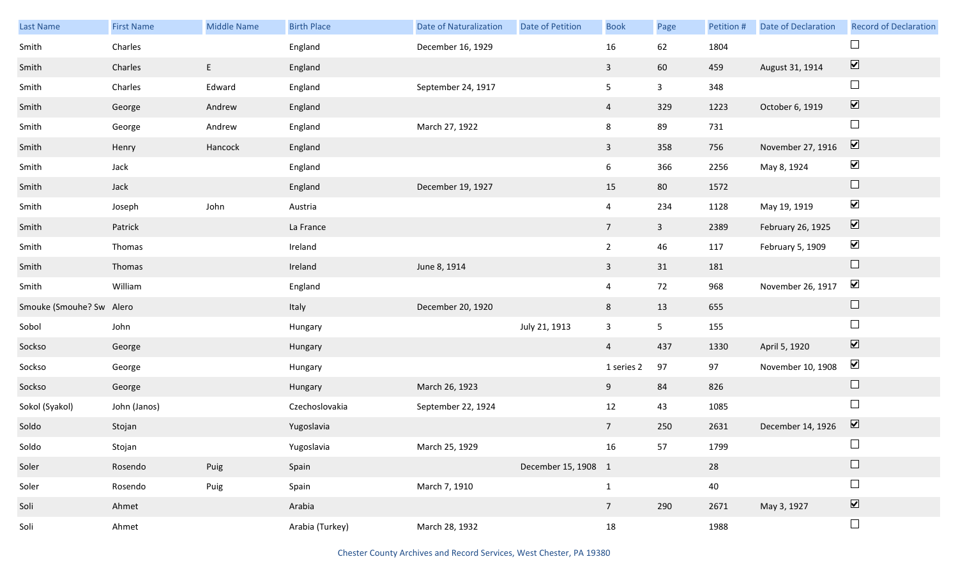| Last Name                | <b>First Name</b> | <b>Middle Name</b> | <b>Birth Place</b> | <b>Date of Naturalization</b> | Date of Petition    | <b>Book</b>     | Page           | Petition # | Date of Declaration | <b>Record of Declaration</b> |
|--------------------------|-------------------|--------------------|--------------------|-------------------------------|---------------------|-----------------|----------------|------------|---------------------|------------------------------|
| Smith                    | Charles           |                    | England            | December 16, 1929             |                     | 16              | 62             | 1804       |                     |                              |
| Smith                    | Charles           | E                  | England            |                               |                     | $\mathbf{3}$    | 60             | 459        | August 31, 1914     | $\boxed{\blacktriangledown}$ |
| Smith                    | Charles           | Edward             | England            | September 24, 1917            |                     | 5 <sub>5</sub>  | $\mathbf{3}$   | 348        |                     | $\Box$                       |
| Smith                    | George            | Andrew             | England            |                               |                     | $\overline{4}$  | 329            | 1223       | October 6, 1919     | $\boxed{\blacktriangledown}$ |
| Smith                    | George            | Andrew             | England            | March 27, 1922                |                     | 8               | 89             | 731        |                     | $\Box$                       |
| Smith                    | Henry             | Hancock            | England            |                               |                     | $\mathbf{3}$    | 358            | 756        | November 27, 1916   | $\boxed{\blacktriangledown}$ |
| Smith                    | Jack              |                    | England            |                               |                     | 6               | 366            | 2256       | May 8, 1924         | $\blacktriangledown$         |
| Smith                    | Jack              |                    | England            | December 19, 1927             |                     | 15              | 80             | 1572       |                     | $\Box$                       |
| Smith                    | Joseph            | John               | Austria            |                               |                     | $\overline{4}$  | 234            | 1128       | May 19, 1919        | $\blacktriangledown$         |
| Smith                    | Patrick           |                    | La France          |                               |                     | $7\overline{ }$ | $\mathbf{3}$   | 2389       | February 26, 1925   | $\boxed{\blacktriangledown}$ |
| Smith                    | Thomas            |                    | Ireland            |                               |                     | $\overline{2}$  | 46             | 117        | February 5, 1909    | $\blacktriangledown$         |
| Smith                    | Thomas            |                    | Ireland            | June 8, 1914                  |                     | $\mathbf{3}$    | 31             | 181        |                     | $\Box$                       |
| Smith                    | William           |                    | England            |                               |                     | $\overline{4}$  | 72             | 968        | November 26, 1917   | $\blacktriangledown$         |
| Smouke (Smouhe? Sw Alero |                   |                    | Italy              | December 20, 1920             |                     | 8               | 13             | 655        |                     | $\Box$                       |
| Sobol                    | John              |                    | Hungary            |                               | July 21, 1913       | $\mathbf{3}$    | 5 <sub>1</sub> | 155        |                     | $\Box$                       |
| Sockso                   | George            |                    | Hungary            |                               |                     | $\overline{4}$  | 437            | 1330       | April 5, 1920       | $\boxed{\blacktriangledown}$ |
| Sockso                   | George            |                    | Hungary            |                               |                     | 1 series 2      | 97             | 97         | November 10, 1908   | $\blacktriangledown$         |
| Sockso                   | George            |                    | Hungary            | March 26, 1923                |                     | 9               | 84             | 826        |                     | $\Box$                       |
| Sokol (Syakol)           | John (Janos)      |                    | Czechoslovakia     | September 22, 1924            |                     | 12              | 43             | 1085       |                     | $\Box$                       |
| Soldo                    | Stojan            |                    | Yugoslavia         |                               |                     | $7\overline{ }$ | 250            | 2631       | December 14, 1926   | $\overline{\mathbf{v}}$      |
| Soldo                    | Stojan            |                    | Yugoslavia         | March 25, 1929                |                     | 16              | 57             | 1799       |                     | $\Box$                       |
| Soler                    | Rosendo           | Puig               | Spain              |                               | December 15, 1908 1 |                 |                | 28         |                     |                              |
| Soler                    | Rosendo           | Puig               | Spain              | March 7, 1910                 |                     | $\mathbf{1}$    |                | 40         |                     | $\Box$                       |
| Soli                     | Ahmet             |                    | Arabia             |                               |                     | $7\overline{ }$ | 290            | 2671       | May 3, 1927         | $\boxed{\blacktriangledown}$ |
| Soli                     | Ahmet             |                    | Arabia (Turkey)    | March 28, 1932                |                     | 18              |                | 1988       |                     | $\Box$                       |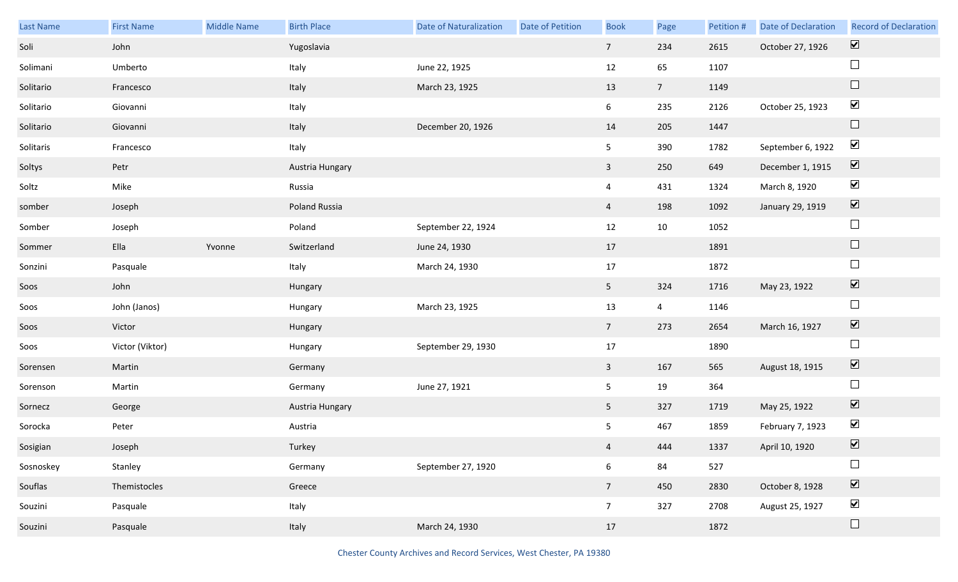| Last Name | <b>First Name</b> | Middle Name | <b>Birth Place</b> | <b>Date of Naturalization</b> | Date of Petition | <b>Book</b>     | Page           | Petition # | <b>Date of Declaration</b> | <b>Record of Declaration</b>    |
|-----------|-------------------|-------------|--------------------|-------------------------------|------------------|-----------------|----------------|------------|----------------------------|---------------------------------|
| Soli      | John              |             | Yugoslavia         |                               |                  | $7\overline{ }$ | 234            | 2615       | October 27, 1926           | $\overline{\mathbf{v}}$         |
| Solimani  | Umberto           |             | Italy              | June 22, 1925                 |                  | 12              | 65             | 1107       |                            | $\Box$                          |
| Solitario | Francesco         |             | Italy              | March 23, 1925                |                  | 13              | 7 <sup>7</sup> | 1149       |                            | $\Box$                          |
| Solitario | Giovanni          |             | Italy              |                               |                  | 6 <sup>1</sup>  | 235            | 2126       | October 25, 1923           | $\blacktriangledown$            |
| Solitario | Giovanni          |             | Italy              | December 20, 1926             |                  | 14              | 205            | 1447       |                            | $\Box$                          |
| Solitaris | Francesco         |             | Italy              |                               |                  | 5               | 390            | 1782       | September 6, 1922          | $\blacktriangledown$            |
| Soltys    | Petr              |             | Austria Hungary    |                               |                  | $\overline{3}$  | 250            | 649        | December 1, 1915           | $\overline{\mathbf{v}}$         |
| Soltz     | Mike              |             | Russia             |                               |                  | $\overline{4}$  | 431            | 1324       | March 8, 1920              | $\blacktriangledown$            |
| somber    | Joseph            |             | Poland Russia      |                               |                  | $\overline{4}$  | 198            | 1092       | January 29, 1919           | $\boxed{\blacktriangledown}$    |
| Somber    | Joseph            |             | Poland             | September 22, 1924            |                  | 12              | 10             | 1052       |                            | $\Box$                          |
| Sommer    | Ella              | Yvonne      | Switzerland        | June 24, 1930                 |                  | 17              |                | 1891       |                            | $\Box$                          |
| Sonzini   | Pasquale          |             | Italy              | March 24, 1930                |                  | 17              |                | 1872       |                            | $\Box$                          |
| Soos      | John              |             | Hungary            |                               |                  | 5 <sub>1</sub>  | 324            | 1716       | May 23, 1922               | $\blacktriangledown$            |
| Soos      | John (Janos)      |             | Hungary            | March 23, 1925                |                  | 13              | $\overline{4}$ | 1146       |                            | $\Box$                          |
| Soos      | Victor            |             | Hungary            |                               |                  | 7 <sup>7</sup>  | 273            | 2654       | March 16, 1927             | $\blacktriangledown$            |
| Soos      | Victor (Viktor)   |             | Hungary            | September 29, 1930            |                  | 17              |                | 1890       |                            | $\Box$                          |
| Sorensen  | Martin            |             | Germany            |                               |                  | $\mathbf{3}$    | 167            | 565        | August 18, 1915            | $\blacktriangledown$            |
| Sorenson  | Martin            |             | Germany            | June 27, 1921                 |                  | 5               | 19             | 364        |                            | $\Box$                          |
| Sornecz   | George            |             | Austria Hungary    |                               |                  | 5 <sub>1</sub>  | 327            | 1719       | May 25, 1922               | $\overline{\mathbf{v}}$         |
| Sorocka   | Peter             |             | Austria            |                               |                  | 5               | 467            | 1859       | February 7, 1923           | $\blacktriangledown$            |
| Sosigian  | Joseph            |             | Turkey             |                               |                  | $\overline{4}$  | 444            | 1337       | April 10, 1920             | $\blacktriangledown$            |
| Sosnoskey | Stanley           |             | Germany            | September 27, 1920            |                  | $\sqrt{6}$      | 84             | 527        |                            | $\Box$                          |
| Souflas   | Themistocles      |             | Greece             |                               |                  | 7 <sup>7</sup>  | 450            | 2830       | October 8, 1928            | $\overline{\blacktriangledown}$ |
| Souzini   | Pasquale          |             | Italy              |                               |                  | 7 <sup>7</sup>  | 327            | 2708       | August 25, 1927            | $\blacktriangledown$            |
| Souzini   | Pasquale          |             | Italy              | March 24, 1930                |                  | 17              |                | 1872       |                            | $\Box$                          |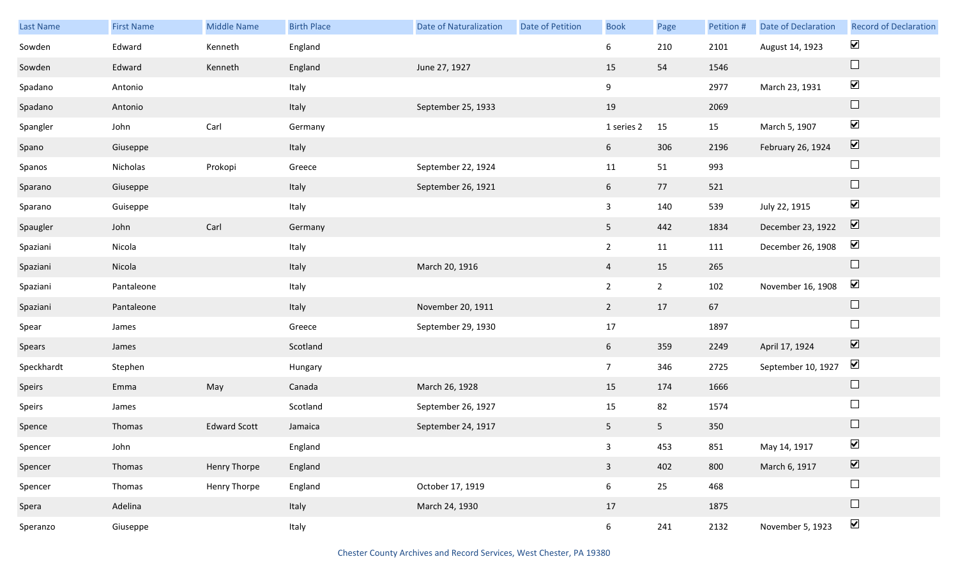| Last Name  | <b>First Name</b> | <b>Middle Name</b>  | <b>Birth Place</b> | <b>Date of Naturalization</b> | <b>Date of Petition</b> | <b>Book</b>     | Page           | Petition # | Date of Declaration | <b>Record of Declaration</b> |
|------------|-------------------|---------------------|--------------------|-------------------------------|-------------------------|-----------------|----------------|------------|---------------------|------------------------------|
| Sowden     | Edward            | Kenneth             | England            |                               |                         | 6               | 210            | 2101       | August 14, 1923     | $\blacktriangledown$         |
| Sowden     | Edward            | Kenneth             | England            | June 27, 1927                 |                         | 15              | 54             | 1546       |                     | $\Box$                       |
| Spadano    | Antonio           |                     | Italy              |                               |                         | 9               |                | 2977       | March 23, 1931      | $\blacktriangledown$         |
| Spadano    | Antonio           |                     | Italy              | September 25, 1933            |                         | 19              |                | 2069       |                     | $\Box$                       |
| Spangler   | John              | Carl                | Germany            |                               |                         | 1 series 2      | 15             | 15         | March 5, 1907       | $\blacktriangledown$         |
| Spano      | Giuseppe          |                     | Italy              |                               |                         | 6               | 306            | 2196       | February 26, 1924   | $\boxed{\blacktriangledown}$ |
| Spanos     | Nicholas          | Prokopi             | Greece             | September 22, 1924            |                         | 11              | 51             | 993        |                     | $\Box$                       |
| Sparano    | Giuseppe          |                     | Italy              | September 26, 1921            |                         | 6               | 77             | 521        |                     | $\Box$                       |
| Sparano    | Guiseppe          |                     | Italy              |                               |                         | $\mathbf{3}$    | 140            | 539        | July 22, 1915       | $\blacktriangledown$         |
| Spaugler   | John              | Carl                | Germany            |                               |                         | 5 <sub>1</sub>  | 442            | 1834       | December 23, 1922   | $\boxed{\blacktriangledown}$ |
| Spaziani   | Nicola            |                     | Italy              |                               |                         | $\overline{2}$  | 11             | 111        | December 26, 1908   | $\blacktriangledown$         |
| Spaziani   | Nicola            |                     | Italy              | March 20, 1916                |                         | $\overline{4}$  | 15             | 265        |                     | $\Box$                       |
| Spaziani   | Pantaleone        |                     | Italy              |                               |                         | $2^{\circ}$     | $2^{\circ}$    | 102        | November 16, 1908   | $\blacktriangledown$         |
| Spaziani   | Pantaleone        |                     | Italy              | November 20, 1911             |                         | $\overline{2}$  | 17             | 67         |                     | $\Box$                       |
| Spear      | James             |                     | Greece             | September 29, 1930            |                         | 17              |                | 1897       |                     | $\Box$                       |
| Spears     | James             |                     | Scotland           |                               |                         | 6               | 359            | 2249       | April 17, 1924      | $\blacktriangledown$         |
| Speckhardt | Stephen           |                     | Hungary            |                               |                         | 7 <sup>7</sup>  | 346            | 2725       | September 10, 1927  | $\blacktriangledown$         |
| Speirs     | Emma              | May                 | Canada             | March 26, 1928                |                         | 15              | 174            | 1666       |                     | $\Box$                       |
| Speirs     | James             |                     | Scotland           | September 26, 1927            |                         | 15              | 82             | 1574       |                     | $\Box$                       |
| Spence     | Thomas            | <b>Edward Scott</b> | Jamaica            | September 24, 1917            |                         | 5 <sub>1</sub>  | 5 <sub>1</sub> | 350        |                     | $\Box$                       |
| Spencer    | John              |                     | England            |                               |                         | 3 <sup>7</sup>  | 453            | 851        | May 14, 1917        | $\blacktriangledown$         |
| Spencer    | Thomas            | <b>Henry Thorpe</b> | England            |                               |                         | $\mathbf{3}$    | 402            | 800        | March 6, 1917       | $\boxed{\blacktriangledown}$ |
| Spencer    | Thomas            | <b>Henry Thorpe</b> | England            | October 17, 1919              |                         | $6\overline{6}$ | 25             | 468        |                     | $\Box$                       |
| Spera      | Adelina           |                     | Italy              | March 24, 1930                |                         | 17              |                | 1875       |                     | $\Box$                       |
| Speranzo   | Giuseppe          |                     | Italy              |                               |                         | 6 <sup>1</sup>  | 241            | 2132       | November 5, 1923    | $\blacktriangledown$         |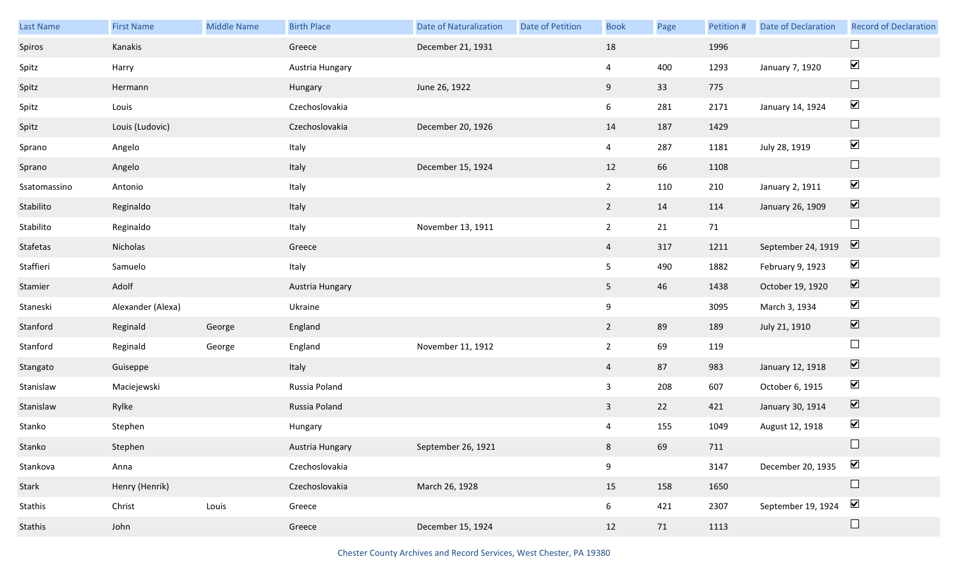| <b>Last Name</b> | <b>First Name</b> | <b>Middle Name</b> | <b>Birth Place</b> | <b>Date of Naturalization</b> | Date of Petition | <b>Book</b>    | Page | Petition # | <b>Date of Declaration</b> | <b>Record of Declaration</b> |
|------------------|-------------------|--------------------|--------------------|-------------------------------|------------------|----------------|------|------------|----------------------------|------------------------------|
| Spiros           | Kanakis           |                    | Greece             | December 21, 1931             |                  | 18             |      | 1996       |                            | $\Box$                       |
| Spitz            | Harry             |                    | Austria Hungary    |                               |                  | $\overline{4}$ | 400  | 1293       | January 7, 1920            | $\blacktriangledown$         |
| Spitz            | Hermann           |                    | Hungary            | June 26, 1922                 |                  | 9              | 33   | 775        |                            | $\Box$                       |
| Spitz            | Louis             |                    | Czechoslovakia     |                               |                  | 6              | 281  | 2171       | January 14, 1924           | $\blacktriangledown$         |
| Spitz            | Louis (Ludovic)   |                    | Czechoslovakia     | December 20, 1926             |                  | 14             | 187  | 1429       |                            | $\Box$                       |
| Sprano           | Angelo            |                    | Italy              |                               |                  | $\overline{4}$ | 287  | 1181       | July 28, 1919              | $\blacktriangledown$         |
| Sprano           | Angelo            |                    | Italy              | December 15, 1924             |                  | 12             | 66   | 1108       |                            | $\Box$                       |
| Ssatomassino     | Antonio           |                    | Italy              |                               |                  | $2^{\circ}$    | 110  | 210        | January 2, 1911            | $\blacktriangledown$         |
| Stabilito        | Reginaldo         |                    | Italy              |                               |                  | $2^{\circ}$    | 14   | 114        | January 26, 1909           | $\overline{\mathbf{v}}$      |
| Stabilito        | Reginaldo         |                    | Italy              | November 13, 1911             |                  | $\overline{2}$ | 21   | 71         |                            | $\Box$                       |
| Stafetas         | Nicholas          |                    | Greece             |                               |                  | $\overline{4}$ | 317  | 1211       | September 24, 1919         | $\blacktriangledown$         |
| Staffieri        | Samuelo           |                    | Italy              |                               |                  | 5 <sub>1</sub> | 490  | 1882       | February 9, 1923           | $\blacktriangledown$         |
| Stamier          | Adolf             |                    | Austria Hungary    |                               |                  | 5 <sub>1</sub> | 46   | 1438       | October 19, 1920           | $\blacktriangledown$         |
| Staneski         | Alexander (Alexa) |                    | Ukraine            |                               |                  | 9              |      | 3095       | March 3, 1934              | $\blacktriangledown$         |
| Stanford         | Reginald          | George             | England            |                               |                  | $\overline{2}$ | 89   | 189        | July 21, 1910              | $\blacktriangledown$         |
| Stanford         | Reginald          | George             | England            | November 11, 1912             |                  | $\overline{2}$ | 69   | 119        |                            | $\Box$                       |
| Stangato         | Guiseppe          |                    | Italy              |                               |                  | $\overline{4}$ | 87   | 983        | January 12, 1918           | $\blacktriangledown$         |
| Stanislaw        | Maciejewski       |                    | Russia Poland      |                               |                  | $\mathbf{3}$   | 208  | 607        | October 6, 1915            | $\blacktriangledown$         |
| Stanislaw        | Rylke             |                    | Russia Poland      |                               |                  | $\overline{3}$ | 22   | 421        | January 30, 1914           | $\blacktriangledown$         |
| Stanko           | Stephen           |                    | Hungary            |                               |                  | 4              | 155  | 1049       | August 12, 1918            | $\blacktriangledown$         |
| Stanko           | Stephen           |                    | Austria Hungary    | September 26, 1921            |                  | 8              | 69   | 711        |                            | $\Box$                       |
| Stankova         | Anna              |                    | Czechoslovakia     |                               |                  | 9              |      | 3147       | December 20, 1935          | $\blacktriangledown$         |
| Stark            | Henry (Henrik)    |                    | Czechoslovakia     | March 26, 1928                |                  | 15             | 158  | 1650       |                            | $\Box$                       |
| Stathis          | Christ            | Louis              | Greece             |                               |                  | 6              | 421  | 2307       | September 19, 1924         | $\blacktriangledown$         |
| Stathis          | John              |                    | Greece             | December 15, 1924             |                  | 12             | 71   | 1113       |                            | $\Box$                       |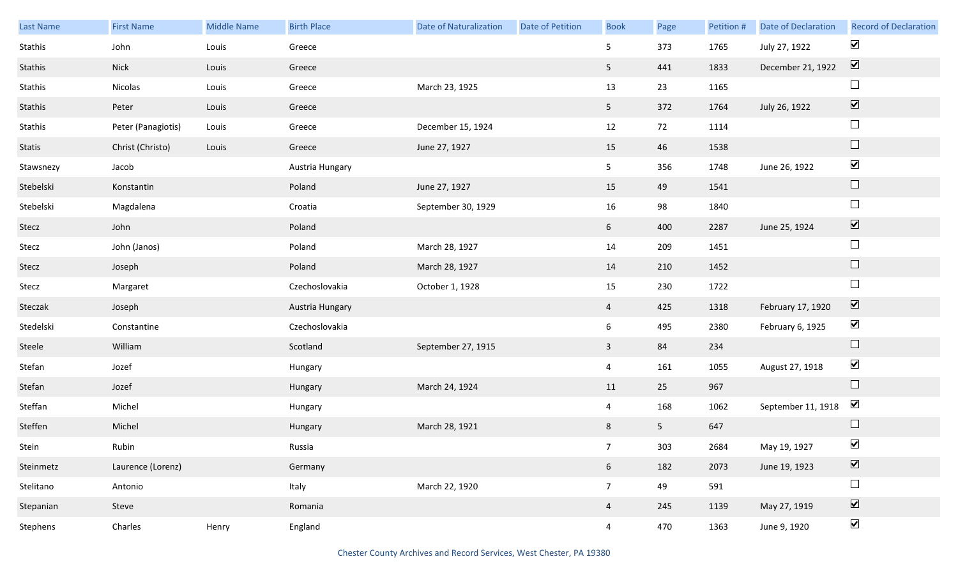| <b>Last Name</b> | <b>First Name</b>  | <b>Middle Name</b> | <b>Birth Place</b> | <b>Date of Naturalization</b> | Date of Petition | <b>Book</b>     | Page           | Petition # | <b>Date of Declaration</b> | <b>Record of Declaration</b> |
|------------------|--------------------|--------------------|--------------------|-------------------------------|------------------|-----------------|----------------|------------|----------------------------|------------------------------|
| Stathis          | John               | Louis              | Greece             |                               |                  | 5               | 373            | 1765       | July 27, 1922              | $\blacktriangledown$         |
| Stathis          | <b>Nick</b>        | Louis              | Greece             |                               |                  | 5 <sup>5</sup>  | 441            | 1833       | December 21, 1922          | $\boxed{\blacktriangledown}$ |
| Stathis          | Nicolas            | Louis              | Greece             | March 23, 1925                |                  | 13              | 23             | 1165       |                            | $\Box$                       |
| Stathis          | Peter              | Louis              | Greece             |                               |                  | 5 <sub>1</sub>  | 372            | 1764       | July 26, 1922              | $\boxed{\blacktriangledown}$ |
| Stathis          | Peter (Panagiotis) | Louis              | Greece             | December 15, 1924             |                  | 12              | 72             | 1114       |                            | $\Box$                       |
| Statis           | Christ (Christo)   | Louis              | Greece             | June 27, 1927                 |                  | 15              | 46             | 1538       |                            | $\hfill \square$             |
| Stawsnezy        | Jacob              |                    | Austria Hungary    |                               |                  | 5 <sub>5</sub>  | 356            | 1748       | June 26, 1922              | $\blacktriangledown$         |
| Stebelski        | Konstantin         |                    | Poland             | June 27, 1927                 |                  | 15              | 49             | 1541       |                            | $\hfill \square$             |
| Stebelski        | Magdalena          |                    | Croatia            | September 30, 1929            |                  | 16              | 98             | 1840       |                            | $\Box$                       |
| Stecz            | John               |                    | Poland             |                               |                  | $6\overline{6}$ | 400            | 2287       | June 25, 1924              | $\boxed{\blacktriangledown}$ |
| Stecz            | John (Janos)       |                    | Poland             | March 28, 1927                |                  | 14              | 209            | 1451       |                            | $\Box$                       |
| Stecz            | Joseph             |                    | Poland             | March 28, 1927                |                  | 14              | 210            | 1452       |                            | $\hfill \square$             |
| Stecz            | Margaret           |                    | Czechoslovakia     | October 1, 1928               |                  | 15              | 230            | 1722       |                            | $\Box$                       |
| Steczak          | Joseph             |                    | Austria Hungary    |                               |                  | $\overline{4}$  | 425            | 1318       | February 17, 1920          | $\boxed{\blacktriangledown}$ |
| Stedelski        | Constantine        |                    | Czechoslovakia     |                               |                  | $6\overline{6}$ | 495            | 2380       | February 6, 1925           | $\blacktriangledown$         |
| Steele           | William            |                    | Scotland           | September 27, 1915            |                  | $\mathbf{3}$    | 84             | 234        |                            | $\hfill \square$             |
| Stefan           | Jozef              |                    | Hungary            |                               |                  | $\overline{4}$  | 161            | 1055       | August 27, 1918            | $\blacktriangledown$         |
| Stefan           | Jozef              |                    | Hungary            | March 24, 1924                |                  | 11              | 25             | 967        |                            | $\hfill \square$             |
| Steffan          | Michel             |                    | Hungary            |                               |                  | $\overline{4}$  | 168            | 1062       | September 11, 1918         | $\blacktriangledown$         |
| Steffen          | Michel             |                    | Hungary            | March 28, 1921                |                  | 8               | 5 <sub>1</sub> | 647        |                            | $\Box$                       |
| Stein            | Rubin              |                    | Russia             |                               |                  | 7 <sup>7</sup>  | 303            | 2684       | May 19, 1927               | $\blacktriangledown$         |
| Steinmetz        | Laurence (Lorenz)  |                    | Germany            |                               |                  | 6 <sup>1</sup>  | 182            | 2073       | June 19, 1923              | $\boxed{\blacktriangledown}$ |
| Stelitano        | Antonio            |                    | Italy              | March 22, 1920                |                  | 7 <sup>7</sup>  | 49             | 591        |                            | $\Box$                       |
| Stepanian        | Steve              |                    | Romania            |                               |                  | $\overline{4}$  | 245            | 1139       | May 27, 1919               | $\boxed{\blacktriangledown}$ |
| Stephens         | Charles            | Henry              | England            |                               |                  | $\overline{4}$  | 470            | 1363       | June 9, 1920               | $\blacktriangledown$         |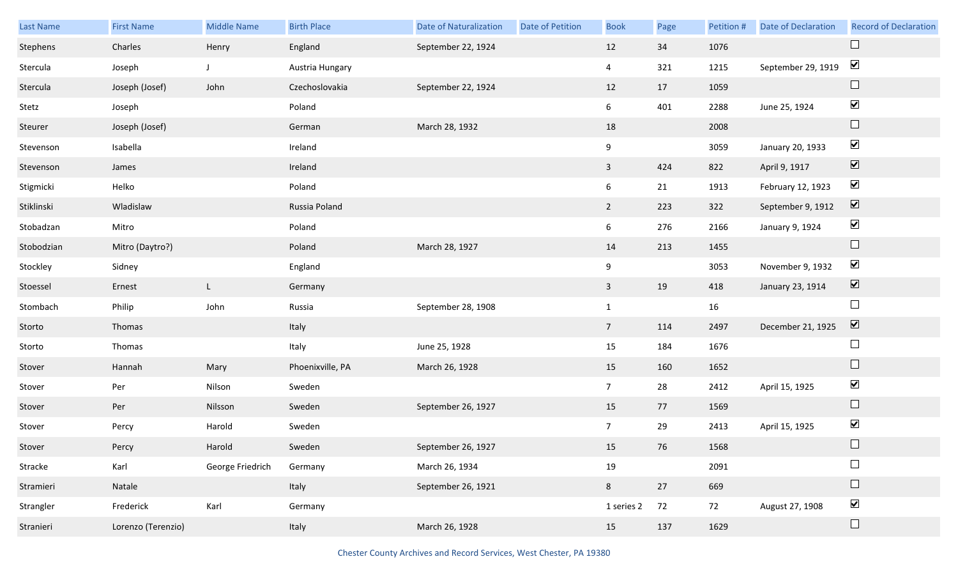| Last Name  | <b>First Name</b>  | <b>Middle Name</b> | <b>Birth Place</b> | <b>Date of Naturalization</b> | Date of Petition | <b>Book</b>    | Page | Petition # | <b>Date of Declaration</b> | <b>Record of Declaration</b> |
|------------|--------------------|--------------------|--------------------|-------------------------------|------------------|----------------|------|------------|----------------------------|------------------------------|
| Stephens   | Charles            | Henry              | England            | September 22, 1924            |                  | 12             | 34   | 1076       |                            | $\Box$                       |
| Stercula   | Joseph             |                    | Austria Hungary    |                               |                  | 4              | 321  | 1215       | September 29, 1919         | $\blacktriangledown$         |
| Stercula   | Joseph (Josef)     | John               | Czechoslovakia     | September 22, 1924            |                  | 12             | 17   | 1059       |                            | $\Box$                       |
| Stetz      | Joseph             |                    | Poland             |                               |                  | 6              | 401  | 2288       | June 25, 1924              | $\blacktriangledown$         |
| Steurer    | Joseph (Josef)     |                    | German             | March 28, 1932                |                  | 18             |      | 2008       |                            | $\Box$                       |
| Stevenson  | Isabella           |                    | Ireland            |                               |                  | 9              |      | 3059       | January 20, 1933           | $\blacktriangledown$         |
| Stevenson  | James              |                    | Ireland            |                               |                  | $\overline{3}$ | 424  | 822        | April 9, 1917              | $\blacktriangledown$         |
| Stigmicki  | Helko              |                    | Poland             |                               |                  | 6              | 21   | 1913       | February 12, 1923          | $\blacktriangledown$         |
| Stiklinski | Wladislaw          |                    | Russia Poland      |                               |                  | $2^{\circ}$    | 223  | 322        | September 9, 1912          | $\overline{\mathbf{v}}$      |
| Stobadzan  | Mitro              |                    | Poland             |                               |                  | 6              | 276  | 2166       | January 9, 1924            | $\blacktriangledown$         |
| Stobodzian | Mitro (Daytro?)    |                    | Poland             | March 28, 1927                |                  | 14             | 213  | 1455       |                            | $\Box$                       |
| Stockley   | Sidney             |                    | England            |                               |                  | 9              |      | 3053       | November 9, 1932           | $\blacktriangledown$         |
| Stoessel   | Ernest             | $\mathsf{L}$       | Germany            |                               |                  | $\mathbf{3}$   | 19   | 418        | January 23, 1914           | $\blacktriangledown$         |
| Stombach   | Philip             | John               | Russia             | September 28, 1908            |                  | $\mathbf{1}$   |      | 16         |                            | $\Box$                       |
| Storto     | Thomas             |                    | Italy              |                               |                  | 7 <sup>7</sup> | 114  | 2497       | December 21, 1925          | $\blacktriangledown$         |
| Storto     | Thomas             |                    | Italy              | June 25, 1928                 |                  | 15             | 184  | 1676       |                            | $\Box$                       |
| Stover     | Hannah             | Mary               | Phoenixville, PA   | March 26, 1928                |                  | 15             | 160  | 1652       |                            | $\Box$                       |
| Stover     | Per                | Nilson             | Sweden             |                               |                  | 7 <sup>7</sup> | 28   | 2412       | April 15, 1925             | $\blacktriangledown$         |
| Stover     | Per                | Nilsson            | Sweden             | September 26, 1927            |                  | 15             | 77   | 1569       |                            | $\Box$                       |
| Stover     | Percy              | Harold             | Sweden             |                               |                  | $\overline{7}$ | 29   | 2413       | April 15, 1925             | $\blacktriangledown$         |
| Stover     | Percy              | Harold             | Sweden             | September 26, 1927            |                  | 15             | 76   | 1568       |                            | $\Box$                       |
| Stracke    | Karl               | George Friedrich   | Germany            | March 26, 1934                |                  | 19             |      | 2091       |                            | $\Box$                       |
| Stramieri  | Natale             |                    | Italy              | September 26, 1921            |                  | 8              | 27   | 669        |                            | $\Box$                       |
| Strangler  | Frederick          | Karl               | Germany            |                               |                  | 1 series 2     | 72   | 72         | August 27, 1908            | $\blacktriangledown$         |
| Stranieri  | Lorenzo (Terenzio) |                    | Italy              | March 26, 1928                |                  | 15             | 137  | 1629       |                            | $\Box$                       |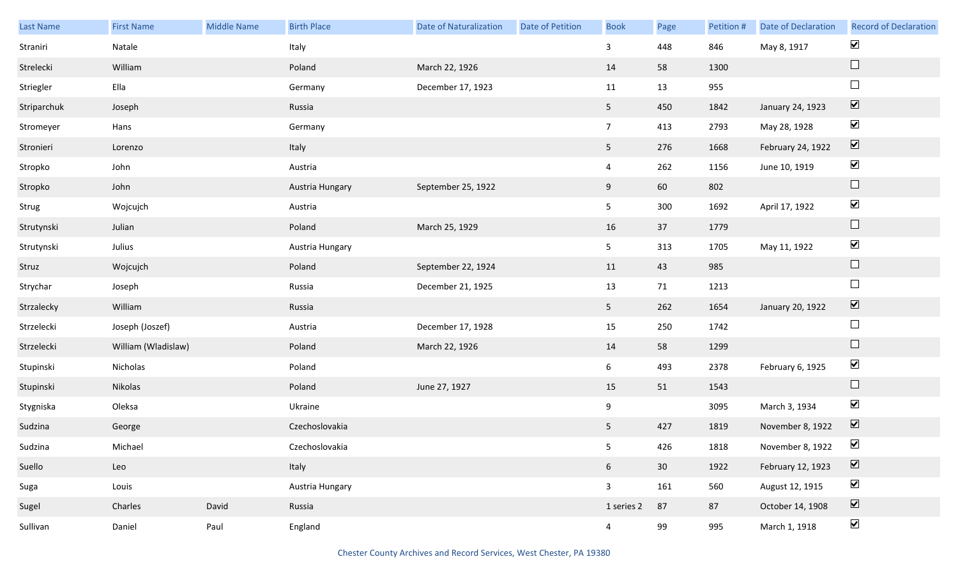| Last Name   | <b>First Name</b>   | Middle Name | <b>Birth Place</b> | <b>Date of Naturalization</b> | <b>Date of Petition</b> | <b>Book</b>     | Page | Petition # | Date of Declaration | <b>Record of Declaration</b> |
|-------------|---------------------|-------------|--------------------|-------------------------------|-------------------------|-----------------|------|------------|---------------------|------------------------------|
| Straniri    | Natale              |             | Italy              |                               |                         | $\mathbf{3}$    | 448  | 846        | May 8, 1917         | $\blacktriangledown$         |
| Strelecki   | William             |             | Poland             | March 22, 1926                |                         | 14              | 58   | 1300       |                     | $\Box$                       |
| Striegler   | Ella                |             | Germany            | December 17, 1923             |                         | 11              | 13   | 955        |                     | $\Box$                       |
| Striparchuk | Joseph              |             | Russia             |                               |                         | 5 <sub>1</sub>  | 450  | 1842       | January 24, 1923    | $\boxed{\blacktriangledown}$ |
| Stromeyer   | Hans                |             | Germany            |                               |                         | 7 <sup>7</sup>  | 413  | 2793       | May 28, 1928        | $\blacktriangledown$         |
| Stronieri   | Lorenzo             |             | Italy              |                               |                         | 5 <sub>5</sub>  | 276  | 1668       | February 24, 1922   | $\overline{\mathbf{v}}$      |
| Stropko     | John                |             | Austria            |                               |                         | $\overline{4}$  | 262  | 1156       | June 10, 1919       | $\blacktriangledown$         |
| Stropko     | John                |             | Austria Hungary    | September 25, 1922            |                         | 9               | 60   | 802        |                     | $\Box$                       |
| Strug       | Wojcujch            |             | Austria            |                               |                         | 5 <sub>1</sub>  | 300  | 1692       | April 17, 1922      | $\blacktriangledown$         |
| Strutynski  | Julian              |             | Poland             | March 25, 1929                |                         | 16              | 37   | 1779       |                     | $\Box$                       |
| Strutynski  | Julius              |             | Austria Hungary    |                               |                         | 5 <sub>1</sub>  | 313  | 1705       | May 11, 1922        | $\blacktriangledown$         |
| Struz       | Wojcujch            |             | Poland             | September 22, 1924            |                         | 11              | 43   | 985        |                     | $\hfill \square$             |
| Strychar    | Joseph              |             | Russia             | December 21, 1925             |                         | 13              | 71   | 1213       |                     | $\Box$                       |
| Strzalecky  | William             |             | Russia             |                               |                         | 5 <sub>1</sub>  | 262  | 1654       | January 20, 1922    | $\overline{\mathbf{v}}$      |
| Strzelecki  | Joseph (Joszef)     |             | Austria            | December 17, 1928             |                         | 15              | 250  | 1742       |                     | $\Box$                       |
| Strzelecki  | William (Wladislaw) |             | Poland             | March 22, 1926                |                         | 14              | 58   | 1299       |                     | $\Box$                       |
| Stupinski   | Nicholas            |             | Poland             |                               |                         | $6\overline{6}$ | 493  | 2378       | February 6, 1925    | $\blacktriangledown$         |
| Stupinski   | Nikolas             |             | Poland             | June 27, 1927                 |                         | 15              | 51   | 1543       |                     | $\Box$                       |
| Stygniska   | Oleksa              |             | Ukraine            |                               |                         | 9               |      | 3095       | March 3, 1934       | $\blacktriangledown$         |
| Sudzina     | George              |             | Czechoslovakia     |                               |                         | 5 <sub>1</sub>  | 427  | 1819       | November 8, 1922    | $\boxed{\blacktriangledown}$ |
| Sudzina     | Michael             |             | Czechoslovakia     |                               |                         | 5 <sub>5</sub>  | 426  | 1818       | November 8, 1922    | $\blacktriangledown$         |
| Suello      | Leo                 |             | Italy              |                               |                         | $6\overline{6}$ | 30   | 1922       | February 12, 1923   | $\overline{\mathbf{v}}$      |
| Suga        | Louis               |             | Austria Hungary    |                               |                         | $\mathbf{3}$    | 161  | 560        | August 12, 1915     | $\blacktriangledown$         |
| Sugel       | Charles             | David       | Russia             |                               |                         | 1 series 2      | 87   | 87         | October 14, 1908    | $\boxed{\blacktriangledown}$ |
| Sullivan    | Daniel              | Paul        | England            |                               |                         | $\overline{4}$  | 99   | 995        | March 1, 1918       | $\blacktriangledown$         |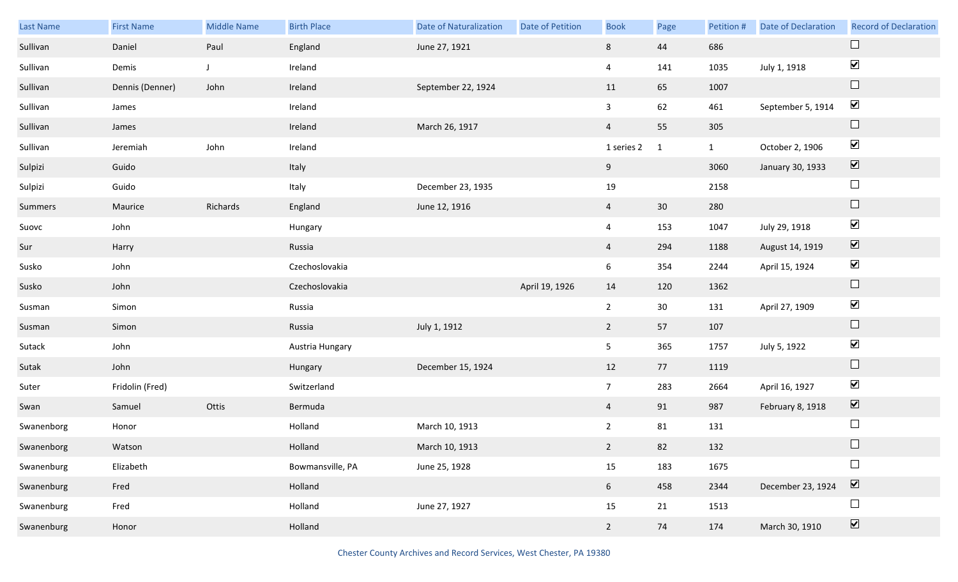| Last Name  | <b>First Name</b> | <b>Middle Name</b> | <b>Birth Place</b> | <b>Date of Naturalization</b> | Date of Petition | <b>Book</b>    | Page         | Petition #   | <b>Date of Declaration</b> | <b>Record of Declaration</b>    |
|------------|-------------------|--------------------|--------------------|-------------------------------|------------------|----------------|--------------|--------------|----------------------------|---------------------------------|
| Sullivan   | Daniel            | Paul               | England            | June 27, 1921                 |                  | 8              | 44           | 686          |                            | $\Box$                          |
| Sullivan   | Demis             | J                  | Ireland            |                               |                  | $\overline{4}$ | 141          | 1035         | July 1, 1918               | $\blacktriangledown$            |
| Sullivan   | Dennis (Denner)   | John               | Ireland            | September 22, 1924            |                  | 11             | 65           | 1007         |                            | $\Box$                          |
| Sullivan   | James             |                    | Ireland            |                               |                  | $\mathbf{3}$   | 62           | 461          | September 5, 1914          | $\blacktriangledown$            |
| Sullivan   | James             |                    | Ireland            | March 26, 1917                |                  | $\overline{4}$ | 55           | 305          |                            | $\Box$                          |
| Sullivan   | Jeremiah          | John               | Ireland            |                               |                  | 1 series 2     | $\mathbf{1}$ | $\mathbf{1}$ | October 2, 1906            | $\blacktriangledown$            |
| Sulpizi    | Guido             |                    | Italy              |                               |                  | 9              |              | 3060         | January 30, 1933           | $\overline{\mathbf{v}}$         |
| Sulpizi    | Guido             |                    | Italy              | December 23, 1935             |                  | 19             |              | 2158         |                            | $\Box$                          |
| Summers    | Maurice           | Richards           | England            | June 12, 1916                 |                  | $\overline{4}$ | 30           | 280          |                            | $\hfill \square$                |
| Suovc      | John              |                    | Hungary            |                               |                  | $\overline{4}$ | 153          | 1047         | July 29, 1918              | $\blacktriangledown$            |
| Sur        | Harry             |                    | Russia             |                               |                  | $\overline{4}$ | 294          | 1188         | August 14, 1919            | $\overline{\mathbf{v}}$         |
| Susko      | John              |                    | Czechoslovakia     |                               |                  | 6              | 354          | 2244         | April 15, 1924             | $\blacktriangledown$            |
| Susko      | John              |                    | Czechoslovakia     |                               | April 19, 1926   | 14             | 120          | 1362         |                            | $\Box$                          |
| Susman     | Simon             |                    | Russia             |                               |                  | $\overline{2}$ | 30           | 131          | April 27, 1909             | $\blacktriangledown$            |
| Susman     | Simon             |                    | Russia             | July 1, 1912                  |                  | $2^{\circ}$    | 57           | 107          |                            | $\Box$                          |
| Sutack     | John              |                    | Austria Hungary    |                               |                  | 5 <sub>1</sub> | 365          | 1757         | July 5, 1922               | $\blacktriangledown$            |
| Sutak      | John              |                    | Hungary            | December 15, 1924             |                  | 12             | 77           | 1119         |                            | $\Box$                          |
| Suter      | Fridolin (Fred)   |                    | Switzerland        |                               |                  | 7 <sup>7</sup> | 283          | 2664         | April 16, 1927             | $\blacktriangledown$            |
| Swan       | Samuel            | Ottis              | Bermuda            |                               |                  | $\overline{4}$ | 91           | 987          | February 8, 1918           | $\blacktriangledown$            |
| Swanenborg | Honor             |                    | Holland            | March 10, 1913                |                  | $\overline{2}$ | 81           | 131          |                            | $\Box$                          |
| Swanenborg | Watson            |                    | Holland            | March 10, 1913                |                  | $2^{\circ}$    | 82           | 132          |                            | $\Box$                          |
| Swanenburg | Elizabeth         |                    | Bowmansville, PA   | June 25, 1928                 |                  | 15             | 183          | 1675         |                            | $\Box$                          |
| Swanenburg | Fred              |                    | Holland            |                               |                  | 6 <sup>1</sup> | 458          | 2344         | December 23, 1924          | $\boxed{\blacktriangledown}$    |
| Swanenburg | Fred              |                    | Holland            | June 27, 1927                 |                  | 15             | 21           | 1513         |                            | $\Box$                          |
| Swanenburg | Honor             |                    | Holland            |                               |                  | $2^{\circ}$    | 74           | 174          | March 30, 1910             | $\overline{\blacktriangledown}$ |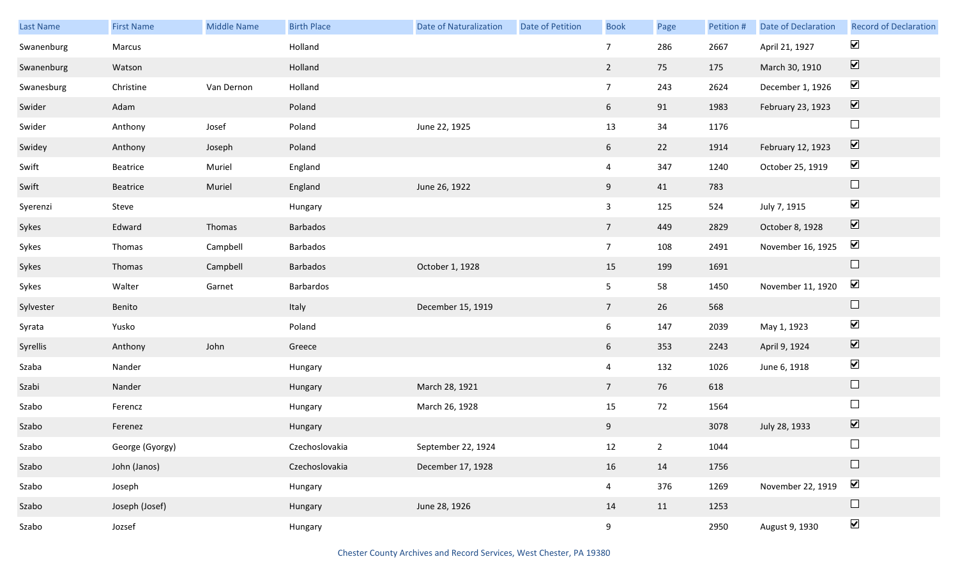| Last Name  | <b>First Name</b> | <b>Middle Name</b> | <b>Birth Place</b> | <b>Date of Naturalization</b> | Date of Petition | <b>Book</b>     | Page | Petition # | <b>Date of Declaration</b> | <b>Record of Declaration</b> |
|------------|-------------------|--------------------|--------------------|-------------------------------|------------------|-----------------|------|------------|----------------------------|------------------------------|
| Swanenburg | Marcus            |                    | Holland            |                               |                  | $\overline{7}$  | 286  | 2667       | April 21, 1927             | $\blacktriangledown$         |
| Swanenburg | Watson            |                    | Holland            |                               |                  | $\overline{2}$  | 75   | 175        | March 30, 1910             | $\boxed{\blacktriangledown}$ |
| Swanesburg | Christine         | Van Dernon         | Holland            |                               |                  | 7 <sup>7</sup>  | 243  | 2624       | December 1, 1926           | $\blacktriangledown$         |
| Swider     | Adam              |                    | Poland             |                               |                  | $6\overline{6}$ | 91   | 1983       | February 23, 1923          | $\boxed{\blacktriangledown}$ |
| Swider     | Anthony           | Josef              | Poland             | June 22, 1925                 |                  | 13              | 34   | 1176       |                            | $\Box$                       |
| Swidey     | Anthony           | Joseph             | Poland             |                               |                  | $6\overline{6}$ | 22   | 1914       | February 12, 1923          | $\boxed{\blacktriangledown}$ |
| Swift      | Beatrice          | Muriel             | England            |                               |                  | $\overline{4}$  | 347  | 1240       | October 25, 1919           | $\blacktriangledown$         |
| Swift      | Beatrice          | Muriel             | England            | June 26, 1922                 |                  | 9               | 41   | 783        |                            | $\hfill \square$             |
| Syerenzi   | Steve             |                    | Hungary            |                               |                  | $\mathbf{3}$    | 125  | 524        | July 7, 1915               | $\blacktriangledown$         |
| Sykes      | Edward            | Thomas             | Barbados           |                               |                  | $7\overline{ }$ | 449  | 2829       | October 8, 1928            | $\boxed{\blacktriangledown}$ |
| Sykes      | Thomas            | Campbell           | Barbados           |                               |                  | 7 <sup>7</sup>  | 108  | 2491       | November 16, 1925          | $\blacktriangledown$         |
| Sykes      | Thomas            | Campbell           | Barbados           | October 1, 1928               |                  | 15              | 199  | 1691       |                            | $\hfill \square$             |
| Sykes      | Walter            | Garnet             | Barbardos          |                               |                  | 5 <sub>1</sub>  | 58   | 1450       | November 11, 1920          | $\blacktriangledown$         |
| Sylvester  | Benito            |                    | Italy              | December 15, 1919             |                  | $\overline{7}$  | 26   | 568        |                            | $\hfill \square$             |
| Syrata     | Yusko             |                    | Poland             |                               |                  | $6\overline{6}$ | 147  | 2039       | May 1, 1923                | $\blacktriangledown$         |
| Syrellis   | Anthony           | John               | Greece             |                               |                  | $6\overline{6}$ | 353  | 2243       | April 9, 1924              | $\boxed{\blacktriangledown}$ |
| Szaba      | Nander            |                    | Hungary            |                               |                  | $\overline{4}$  | 132  | 1026       | June 6, 1918               | $\blacktriangledown$         |
| Szabi      | Nander            |                    | Hungary            | March 28, 1921                |                  | $7\overline{ }$ | 76   | 618        |                            | $\Box$                       |
| Szabo      | Ferencz           |                    | Hungary            | March 26, 1928                |                  | 15              | 72   | 1564       |                            | $\Box$                       |
| Szabo      | Ferenez           |                    | Hungary            |                               |                  | 9               |      | 3078       | July 28, 1933              | $\boxed{\blacktriangledown}$ |
| Szabo      | George (Gyorgy)   |                    | Czechoslovakia     | September 22, 1924            |                  | 12              | 2    | 1044       |                            | $\Box$                       |
| Szabo      | John (Janos)      |                    | Czechoslovakia     | December 17, 1928             |                  | 16              | 14   | 1756       |                            | $\hfill \square$             |
| Szabo      | Joseph            |                    | Hungary            |                               |                  | $\overline{4}$  | 376  | 1269       | November 22, 1919          | $\blacktriangledown$         |
| Szabo      | Joseph (Josef)    |                    | Hungary            | June 28, 1926                 |                  | 14              | 11   | 1253       |                            | $\Box$                       |
| Szabo      | Jozsef            |                    | Hungary            |                               |                  | 9               |      | 2950       | August 9, 1930             | $\blacktriangledown$         |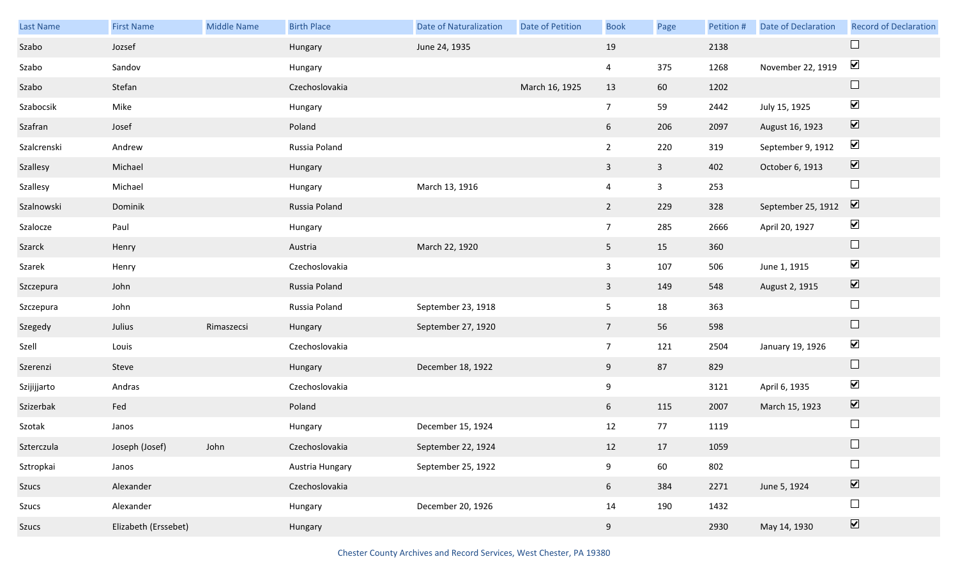| Last Name   | <b>First Name</b>    | <b>Middle Name</b> | <b>Birth Place</b> | <b>Date of Naturalization</b> | <b>Date of Petition</b> | <b>Book</b>     | Page         | Petition # | <b>Date of Declaration</b> | <b>Record of Declaration</b> |
|-------------|----------------------|--------------------|--------------------|-------------------------------|-------------------------|-----------------|--------------|------------|----------------------------|------------------------------|
| Szabo       | Jozsef               |                    | Hungary            | June 24, 1935                 |                         | 19              |              | 2138       |                            | $\Box$                       |
| Szabo       | Sandov               |                    | Hungary            |                               |                         | $\overline{4}$  | 375          | 1268       | November 22, 1919          | $\blacktriangledown$         |
| Szabo       | Stefan               |                    | Czechoslovakia     |                               | March 16, 1925          | 13              | 60           | 1202       |                            | $\Box$                       |
| Szabocsik   | Mike                 |                    | Hungary            |                               |                         | $7\overline{ }$ | 59           | 2442       | July 15, 1925              | $\blacktriangledown$         |
| Szafran     | Josef                |                    | Poland             |                               |                         | 6               | 206          | 2097       | August 16, 1923            | $\boxed{\blacktriangledown}$ |
| Szalcrenski | Andrew               |                    | Russia Poland      |                               |                         | $\overline{2}$  | 220          | 319        | September 9, 1912          | $\blacktriangledown$         |
| Szallesy    | Michael              |                    | Hungary            |                               |                         | $\mathbf{3}$    | $\mathbf{3}$ | 402        | October 6, 1913            | $\boxed{\blacktriangledown}$ |
| Szallesy    | Michael              |                    | Hungary            | March 13, 1916                |                         | $\overline{4}$  | $\mathbf{3}$ | 253        |                            | $\Box$                       |
| Szalnowski  | Dominik              |                    | Russia Poland      |                               |                         | $\overline{2}$  | 229          | 328        | September 25, 1912         | $\boxed{\blacktriangledown}$ |
| Szalocze    | Paul                 |                    | Hungary            |                               |                         | 7 <sup>7</sup>  | 285          | 2666       | April 20, 1927             | $\blacktriangledown$         |
| Szarck      | Henry                |                    | Austria            | March 22, 1920                |                         | 5 <sub>1</sub>  | 15           | 360        |                            | $\hfill \square$             |
| Szarek      | Henry                |                    | Czechoslovakia     |                               |                         | $\mathbf{3}$    | 107          | 506        | June 1, 1915               | $\blacktriangledown$         |
| Szczepura   | John                 |                    | Russia Poland      |                               |                         | $\mathbf{3}$    | 149          | 548        | August 2, 1915             | $\boxed{\blacktriangledown}$ |
| Szczepura   | John                 |                    | Russia Poland      | September 23, 1918            |                         | 5 <sub>5</sub>  | 18           | 363        |                            | $\Box$                       |
| Szegedy     | Julius               | Rimaszecsi         | Hungary            | September 27, 1920            |                         | 7 <sup>7</sup>  | 56           | 598        |                            | $\Box$                       |
| Szell       | Louis                |                    | Czechoslovakia     |                               |                         | 7 <sup>7</sup>  | 121          | 2504       | January 19, 1926           | $\blacktriangledown$         |
| Szerenzi    | Steve                |                    | Hungary            | December 18, 1922             |                         | 9               | 87           | 829        |                            | $\Box$                       |
| Szijijjarto | Andras               |                    | Czechoslovakia     |                               |                         | 9               |              | 3121       | April 6, 1935              | $\blacktriangledown$         |
| Szizerbak   | Fed                  |                    | Poland             |                               |                         | 6 <sup>1</sup>  | 115          | 2007       | March 15, 1923             | $\boxed{\blacktriangledown}$ |
| Szotak      | Janos                |                    | Hungary            | December 15, 1924             |                         | 12              | 77           | 1119       |                            | $\Box$                       |
| Szterczula  | Joseph (Josef)       | John               | Czechoslovakia     | September 22, 1924            |                         | 12              | 17           | 1059       |                            |                              |
| Sztropkai   | Janos                |                    | Austria Hungary    | September 25, 1922            |                         | 9               | 60           | 802        |                            | $\Box$                       |
| Szucs       | Alexander            |                    | Czechoslovakia     |                               |                         | 6               | 384          | 2271       | June 5, 1924               | $\boxed{\blacktriangledown}$ |
| Szucs       | Alexander            |                    | Hungary            | December 20, 1926             |                         | 14              | 190          | 1432       |                            | $\Box$                       |
| Szucs       | Elizabeth (Erssebet) |                    | Hungary            |                               |                         | 9               |              | 2930       | May 14, 1930               | $\boxed{\blacktriangledown}$ |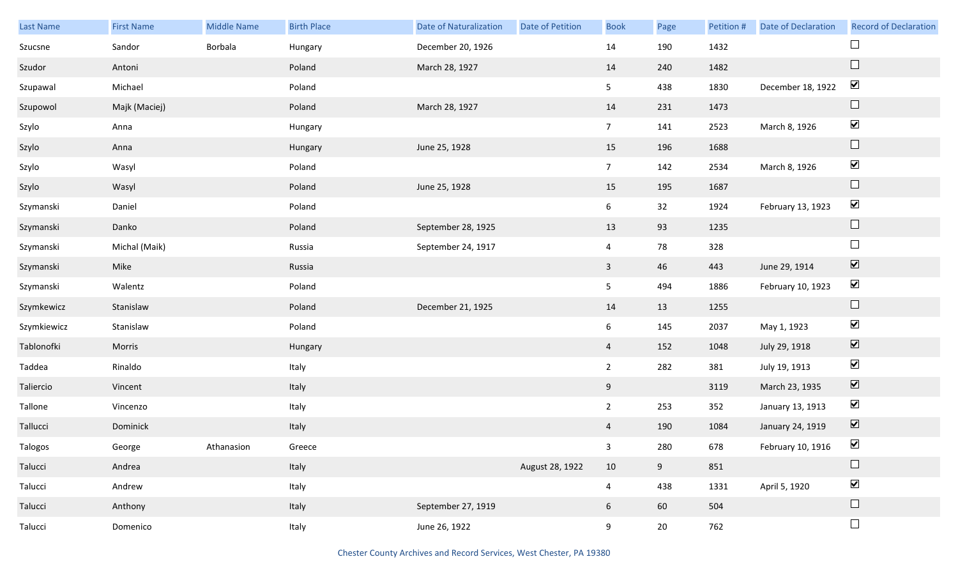| Last Name   | <b>First Name</b> | <b>Middle Name</b> | <b>Birth Place</b> | <b>Date of Naturalization</b> | <b>Date of Petition</b> | <b>Book</b>     | Page   | Petition # | Date of Declaration | <b>Record of Declaration</b> |
|-------------|-------------------|--------------------|--------------------|-------------------------------|-------------------------|-----------------|--------|------------|---------------------|------------------------------|
| Szucsne     | Sandor            | Borbala            | Hungary            | December 20, 1926             |                         | 14              | 190    | 1432       |                     | $\Box$                       |
| Szudor      | Antoni            |                    | Poland             | March 28, 1927                |                         | 14              | 240    | 1482       |                     | $\hfill \square$             |
| Szupawal    | Michael           |                    | Poland             |                               |                         | 5 <sub>1</sub>  | 438    | 1830       | December 18, 1922   | $\blacktriangledown$         |
| Szupowol    | Majk (Maciej)     |                    | Poland             | March 28, 1927                |                         | 14              | 231    | 1473       |                     | $\hfill \square$             |
| Szylo       | Anna              |                    | Hungary            |                               |                         | 7 <sup>7</sup>  | 141    | 2523       | March 8, 1926       | $\blacktriangledown$         |
| Szylo       | Anna              |                    | Hungary            | June 25, 1928                 |                         | 15              | 196    | 1688       |                     | $\hfill \square$             |
| Szylo       | Wasyl             |                    | Poland             |                               |                         | 7 <sup>7</sup>  | 142    | 2534       | March 8, 1926       | $\blacktriangledown$         |
| Szylo       | Wasyl             |                    | Poland             | June 25, 1928                 |                         | 15              | 195    | 1687       |                     | $\hfill \square$             |
| Szymanski   | Daniel            |                    | Poland             |                               |                         | $6\overline{6}$ | 32     | 1924       | February 13, 1923   | $\blacktriangledown$         |
| Szymanski   | Danko             |                    | Poland             | September 28, 1925            |                         | 13              | 93     | 1235       |                     | $\hfill \square$             |
| Szymanski   | Michal (Maik)     |                    | Russia             | September 24, 1917            |                         | $\overline{4}$  | 78     | 328        |                     | $\Box$                       |
| Szymanski   | Mike              |                    | Russia             |                               |                         | $\mathbf{3}$    | 46     | 443        | June 29, 1914       | $\blacktriangledown$         |
| Szymanski   | Walentz           |                    | Poland             |                               |                         | 5 <sub>1</sub>  | 494    | 1886       | February 10, 1923   | $\blacktriangledown$         |
| Szymkewicz  | Stanislaw         |                    | Poland             | December 21, 1925             |                         | 14              | 13     | 1255       |                     | $\hfill \square$             |
| Szymkiewicz | Stanislaw         |                    | Poland             |                               |                         | $6\overline{6}$ | 145    | 2037       | May 1, 1923         | $\blacktriangledown$         |
| Tablonofki  | Morris            |                    | Hungary            |                               |                         | $\overline{4}$  | 152    | 1048       | July 29, 1918       | $\overline{\mathbf{v}}$      |
| Taddea      | Rinaldo           |                    | Italy              |                               |                         | $2^{\circ}$     | 282    | 381        | July 19, 1913       | $\blacktriangledown$         |
| Taliercio   | Vincent           |                    | Italy              |                               |                         | 9               |        | 3119       | March 23, 1935      | $\overline{\mathbf{V}}$      |
| Tallone     | Vincenzo          |                    | Italy              |                               |                         | $2^{\circ}$     | 253    | 352        | January 13, 1913    | $\blacktriangledown$         |
| Tallucci    | Dominick          |                    | Italy              |                               |                         | $\overline{4}$  | 190    | 1084       | January 24, 1919    | $\boxed{\blacktriangledown}$ |
| Talogos     | George            | Athanasion         | Greece             |                               |                         | 3 <sup>7</sup>  | 280    | 678        | February 10, 1916   | $\blacktriangledown$         |
| Talucci     | Andrea            |                    | Italy              |                               | August 28, 1922         | 10              | 9      | 851        |                     | $\Box$                       |
| Talucci     | Andrew            |                    | Italy              |                               |                         | $\overline{4}$  | 438    | 1331       | April 5, 1920       | $\blacktriangledown$         |
| Talucci     | Anthony           |                    | Italy              | September 27, 1919            |                         | $6\overline{6}$ | 60     | 504        |                     | $\Box$                       |
| Talucci     | Domenico          |                    | Italy              | June 26, 1922                 |                         | 9               | $20\,$ | 762        |                     | $\Box$                       |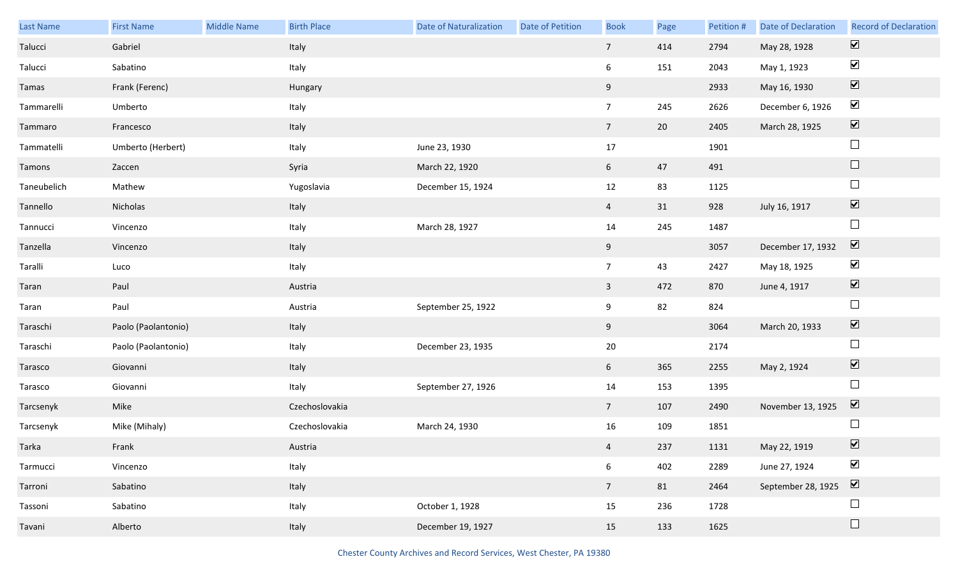| Last Name   | <b>First Name</b>   | <b>Middle Name</b> | <b>Birth Place</b> | Date of Naturalization | Date of Petition | <b>Book</b>     | Page   | Petition # | <b>Date of Declaration</b> | <b>Record of Declaration</b> |
|-------------|---------------------|--------------------|--------------------|------------------------|------------------|-----------------|--------|------------|----------------------------|------------------------------|
| Talucci     | Gabriel             |                    | Italy              |                        |                  | $7\overline{ }$ | 414    | 2794       | May 28, 1928               | $\boxed{\blacktriangledown}$ |
| Talucci     | Sabatino            |                    | Italy              |                        |                  | 6               | 151    | 2043       | May 1, 1923                | $\blacktriangledown$         |
| Tamas       | Frank (Ferenc)      |                    | Hungary            |                        |                  | 9               |        | 2933       | May 16, 1930               | $\boxed{\blacktriangledown}$ |
| Tammarelli  | Umberto             |                    | Italy              |                        |                  | 7 <sup>7</sup>  | 245    | 2626       | December 6, 1926           | $\blacktriangledown$         |
| Tammaro     | Francesco           |                    | Italy              |                        |                  | $7\overline{ }$ | $20\,$ | 2405       | March 28, 1925             | $\boxed{\blacktriangledown}$ |
| Tammatelli  | Umberto (Herbert)   |                    | Italy              | June 23, 1930          |                  | 17              |        | 1901       |                            | $\Box$                       |
| Tamons      | Zaccen              |                    | Syria              | March 22, 1920         |                  | 6 <sup>1</sup>  | 47     | 491        |                            | $\Box$                       |
| Taneubelich | Mathew              |                    | Yugoslavia         | December 15, 1924      |                  | 12              | 83     | 1125       |                            | $\Box$                       |
| Tannello    | Nicholas            |                    | Italy              |                        |                  | $\overline{4}$  | 31     | 928        | July 16, 1917              | $\boxed{\blacktriangledown}$ |
| Tannucci    | Vincenzo            |                    | Italy              | March 28, 1927         |                  | 14              | 245    | 1487       |                            | $\Box$                       |
| Tanzella    | Vincenzo            |                    | Italy              |                        |                  | 9               |        | 3057       | December 17, 1932          | $\overline{\mathbf{v}}$      |
| Taralli     | Luco                |                    | Italy              |                        |                  | $7\overline{ }$ | 43     | 2427       | May 18, 1925               | $\blacktriangledown$         |
| Taran       | Paul                |                    | Austria            |                        |                  | $\overline{3}$  | 472    | 870        | June 4, 1917               | $\boxed{\blacktriangledown}$ |
| Taran       | Paul                |                    | Austria            | September 25, 1922     |                  | 9               | 82     | 824        |                            | $\Box$                       |
| Taraschi    | Paolo (Paolantonio) |                    | Italy              |                        |                  | 9               |        | 3064       | March 20, 1933             | $\boxed{\blacktriangledown}$ |
| Taraschi    | Paolo (Paolantonio) |                    | Italy              | December 23, 1935      |                  | 20              |        | 2174       |                            | $\Box$                       |
| Tarasco     | Giovanni            |                    | Italy              |                        |                  | 6 <sup>1</sup>  | 365    | 2255       | May 2, 1924                | $\boxed{\blacktriangledown}$ |
| Tarasco     | Giovanni            |                    | Italy              | September 27, 1926     |                  | 14              | 153    | 1395       |                            | $\Box$                       |
| Tarcsenyk   | Mike                |                    | Czechoslovakia     |                        |                  | $7\overline{ }$ | 107    | 2490       | November 13, 1925          | $\overline{\mathbf{v}}$      |
| Tarcsenyk   | Mike (Mihaly)       |                    | Czechoslovakia     | March 24, 1930         |                  | 16              | 109    | 1851       |                            | $\Box$                       |
| Tarka       | Frank               |                    | Austria            |                        |                  | $\overline{4}$  | 237    | 1131       | May 22, 1919               | $\triangledown$              |
| Tarmucci    | Vincenzo            |                    | Italy              |                        |                  | $6\overline{6}$ | 402    | 2289       | June 27, 1924              | $\blacktriangledown$         |
| Tarroni     | Sabatino            |                    | Italy              |                        |                  | 7 <sup>7</sup>  | 81     | 2464       | September 28, 1925         | $\overline{\mathbf{v}}$      |
| Tassoni     | Sabatino            |                    | Italy              | October 1, 1928        |                  | 15              | 236    | 1728       |                            | $\Box$                       |
| Tavani      | Alberto             |                    | Italy              | December 19, 1927      |                  | 15              | 133    | 1625       |                            | $\Box$                       |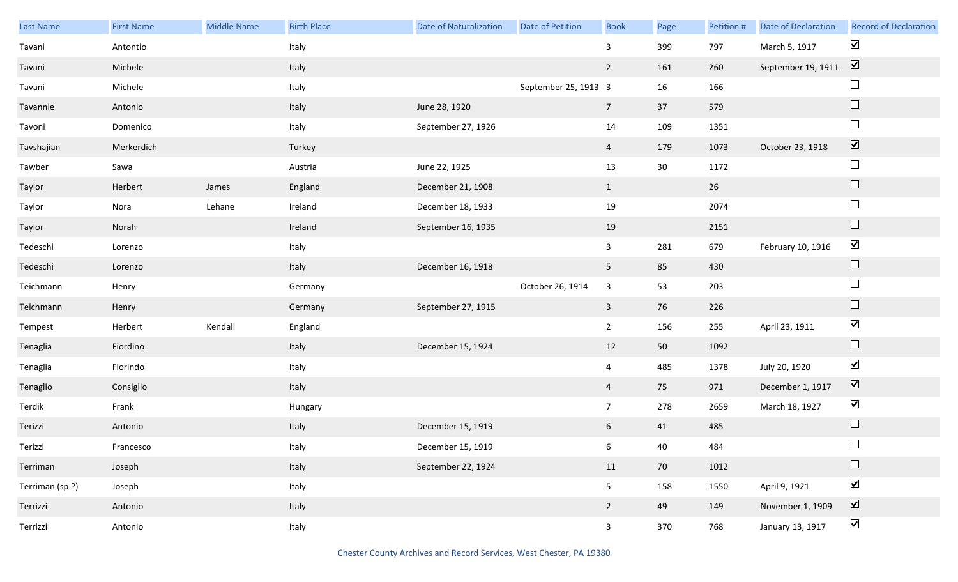| Last Name       | <b>First Name</b> | Middle Name | <b>Birth Place</b> | <b>Date of Naturalization</b> | Date of Petition     | <b>Book</b>     | Page | Petition # | <b>Date of Declaration</b> | <b>Record of Declaration</b> |
|-----------------|-------------------|-------------|--------------------|-------------------------------|----------------------|-----------------|------|------------|----------------------------|------------------------------|
| Tavani          | Antontio          |             | Italy              |                               |                      | $\mathbf{3}$    | 399  | 797        | March 5, 1917              | $\blacktriangledown$         |
| Tavani          | Michele           |             | Italy              |                               |                      | $\overline{2}$  | 161  | 260        | September 19, 1911         | $\boxed{\mathbf{v}}$         |
| Tavani          | Michele           |             | Italy              |                               | September 25, 1913 3 |                 | 16   | 166        |                            | $\sqcup$                     |
| Tavannie        | Antonio           |             | Italy              | June 28, 1920                 |                      | $7\overline{ }$ | 37   | 579        |                            | $\hfill \square$             |
| Tavoni          | Domenico          |             | Italy              | September 27, 1926            |                      | 14              | 109  | 1351       |                            | $\Box$                       |
| Tavshajian      | Merkerdich        |             | Turkey             |                               |                      | $\overline{4}$  | 179  | 1073       | October 23, 1918           | $\boxed{\blacktriangledown}$ |
| Tawber          | Sawa              |             | Austria            | June 22, 1925                 |                      | 13              | 30   | 1172       |                            | $\Box$                       |
| Taylor          | Herbert           | James       | England            | December 21, 1908             |                      | $\mathbf{1}$    |      | 26         |                            | $\Box$                       |
| Taylor          | Nora              | Lehane      | Ireland            | December 18, 1933             |                      | 19              |      | 2074       |                            | $\Box$                       |
| Taylor          | Norah             |             | Ireland            | September 16, 1935            |                      | 19              |      | 2151       |                            | $\hfill \square$             |
| Tedeschi        | Lorenzo           |             | Italy              |                               |                      | $\mathbf{3}$    | 281  | 679        | February 10, 1916          | $\blacktriangledown$         |
| Tedeschi        | Lorenzo           |             | Italy              | December 16, 1918             |                      | 5 <sub>1</sub>  | 85   | 430        |                            | $\Box$                       |
| Teichmann       | Henry             |             | Germany            |                               | October 26, 1914     | $\mathbf{3}$    | 53   | 203        |                            | $\Box$                       |
| Teichmann       | Henry             |             | Germany            | September 27, 1915            |                      | $\mathbf{3}$    | 76   | 226        |                            | $\Box$                       |
| Tempest         | Herbert           | Kendall     | England            |                               |                      | $2^{\circ}$     | 156  | 255        | April 23, 1911             | $\blacktriangledown$         |
| Tenaglia        | Fiordino          |             | Italy              | December 15, 1924             |                      | 12              | 50   | 1092       |                            | $\Box$                       |
| Tenaglia        | Fiorindo          |             | Italy              |                               |                      | $\overline{4}$  | 485  | 1378       | July 20, 1920              | $\blacktriangledown$         |
| Tenaglio        | Consiglio         |             | Italy              |                               |                      | $\overline{4}$  | 75   | 971        | December 1, 1917           | $\boxed{\blacktriangledown}$ |
| Terdik          | Frank             |             | Hungary            |                               |                      | $7\overline{ }$ | 278  | 2659       | March 18, 1927             | $\blacktriangledown$         |
| Terizzi         | Antonio           |             | Italy              | December 15, 1919             |                      | 6               | 41   | 485        |                            | $\Box$                       |
| Terizzi         | Francesco         |             | Italy              | December 15, 1919             |                      | 6               | 40   | 484        |                            | $\Box$                       |
| Terriman        | Joseph            |             | Italy              | September 22, 1924            |                      | 11              | 70   | 1012       |                            | $\Box$                       |
| Terriman (sp.?) | Joseph            |             | Italy              |                               |                      | 5               | 158  | 1550       | April 9, 1921              | $\blacktriangledown$         |
| Terrizzi        | Antonio           |             | Italy              |                               |                      | $2^{\circ}$     | 49   | 149        | November 1, 1909           | $\boxed{\blacktriangledown}$ |
| Terrizzi        | Antonio           |             | Italy              |                               |                      | $\overline{3}$  | 370  | 768        | January 13, 1917           | $\blacktriangledown$         |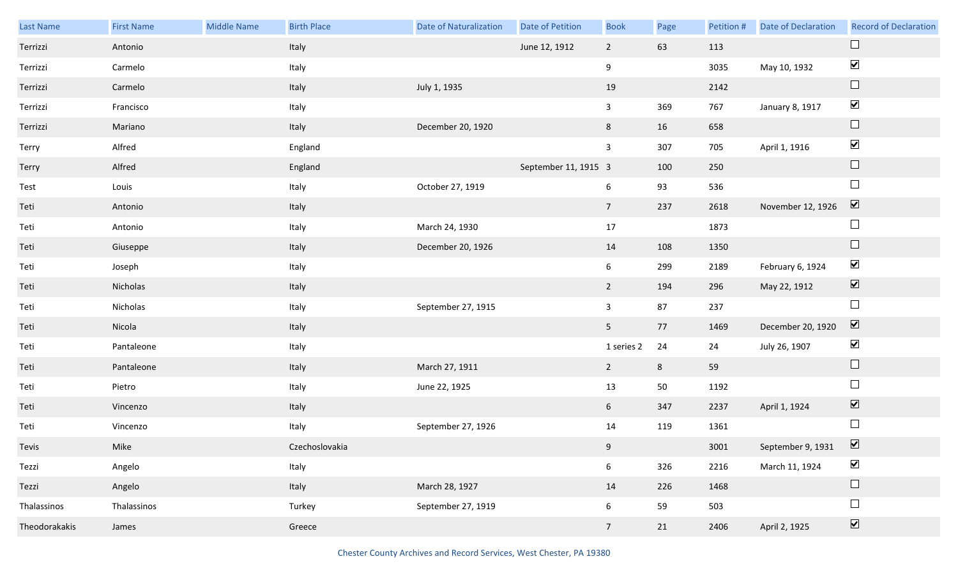| Last Name     | <b>First Name</b> | <b>Middle Name</b> | <b>Birth Place</b> | <b>Date of Naturalization</b> | Date of Petition     | <b>Book</b>     | Page | Petition # | Date of Declaration | <b>Record of Declaration</b> |
|---------------|-------------------|--------------------|--------------------|-------------------------------|----------------------|-----------------|------|------------|---------------------|------------------------------|
| Terrizzi      | Antonio           |                    | Italy              |                               | June 12, 1912        | $\overline{2}$  | 63   | 113        |                     |                              |
| Terrizzi      | Carmelo           |                    | Italy              |                               |                      | 9               |      | 3035       | May 10, 1932        | $\blacktriangledown$         |
| Terrizzi      | Carmelo           |                    | Italy              | July 1, 1935                  |                      | 19              |      | 2142       |                     | $\Box$                       |
| Terrizzi      | Francisco         |                    | Italy              |                               |                      | $\mathbf{3}$    | 369  | 767        | January 8, 1917     | $\blacktriangledown$         |
| Terrizzi      | Mariano           |                    | Italy              | December 20, 1920             |                      | 8               | 16   | 658        |                     | $\Box$                       |
| Terry         | Alfred            |                    | England            |                               |                      | $\mathbf{3}$    | 307  | 705        | April 1, 1916       | $\blacktriangledown$         |
| Terry         | Alfred            |                    | England            |                               | September 11, 1915 3 |                 | 100  | 250        |                     | $\Box$                       |
| Test          | Louis             |                    | Italy              | October 27, 1919              |                      | 6               | 93   | 536        |                     | $\Box$                       |
| Teti          | Antonio           |                    | Italy              |                               |                      | $7\overline{ }$ | 237  | 2618       | November 12, 1926   | $\boxed{\blacktriangledown}$ |
| Teti          | Antonio           |                    | Italy              | March 24, 1930                |                      | 17              |      | 1873       |                     | $\Box$                       |
| Teti          | Giuseppe          |                    | Italy              | December 20, 1926             |                      | 14              | 108  | 1350       |                     | $\Box$                       |
| Teti          | Joseph            |                    | Italy              |                               |                      | $6\overline{6}$ | 299  | 2189       | February 6, 1924    | $\blacktriangledown$         |
| Teti          | Nicholas          |                    | Italy              |                               |                      | $\overline{2}$  | 194  | 296        | May 22, 1912        | $\boxed{\blacktriangledown}$ |
| Teti          | Nicholas          |                    | Italy              | September 27, 1915            |                      | $\mathbf{3}$    | 87   | 237        |                     | $\Box$                       |
| Teti          | Nicola            |                    | Italy              |                               |                      | 5 <sub>1</sub>  | 77   | 1469       | December 20, 1920   | $\overline{\mathbf{v}}$      |
| Teti          | Pantaleone        |                    | Italy              |                               |                      | 1 series 2      | 24   | 24         | July 26, 1907       | $\blacktriangledown$         |
| Teti          | Pantaleone        |                    | Italy              | March 27, 1911                |                      | $2^{\circ}$     | 8    | 59         |                     | $\Box$                       |
| Teti          | Pietro            |                    | Italy              | June 22, 1925                 |                      | 13              | 50   | 1192       |                     | $\Box$                       |
| Teti          | Vincenzo          |                    | Italy              |                               |                      | 6 <sup>1</sup>  | 347  | 2237       | April 1, 1924       | $\boxed{\blacktriangledown}$ |
| Teti          | Vincenzo          |                    | Italy              | September 27, 1926            |                      | 14              | 119  | 1361       |                     | $\Box$                       |
| Tevis         | Mike              |                    | Czechoslovakia     |                               |                      | 9               |      | 3001       | September 9, 1931   | $\overline{\mathbf{v}}$      |
| Tezzi         | Angelo            |                    | Italy              |                               |                      | $6\overline{6}$ | 326  | 2216       | March 11, 1924      | $\blacktriangledown$         |
| Tezzi         | Angelo            |                    | Italy              | March 28, 1927                |                      | 14              | 226  | 1468       |                     | $\Box$                       |
| Thalassinos   | Thalassinos       |                    | Turkey             | September 27, 1919            |                      | $6\overline{6}$ | 59   | 503        |                     | $\Box$                       |
| Theodorakakis | James             |                    | Greece             |                               |                      | $7\overline{ }$ | 21   | 2406       | April 2, 1925       | $\boxed{\blacktriangledown}$ |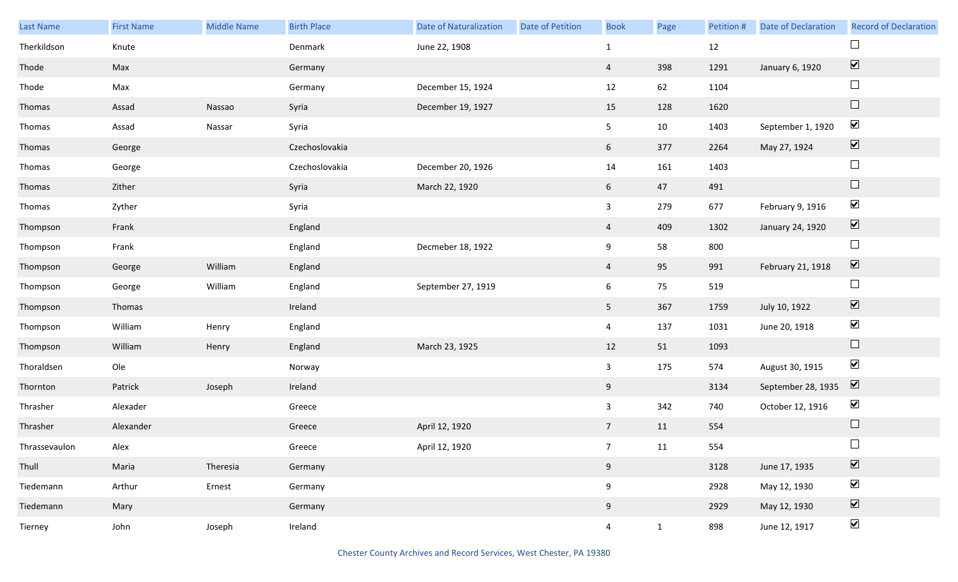| Last Name     | <b>First Name</b> | <b>Middle Name</b> | <b>Birth Place</b> | <b>Date of Naturalization</b> | Date of Petition | <b>Book</b>     | Page         | Petition # | <b>Date of Declaration</b> | <b>Record of Declaration</b> |
|---------------|-------------------|--------------------|--------------------|-------------------------------|------------------|-----------------|--------------|------------|----------------------------|------------------------------|
| Therkildson   | Knute             |                    | Denmark            | June 22, 1908                 |                  | $\mathbf{1}$    |              | 12         |                            |                              |
| Thode         | Max               |                    | Germany            |                               |                  | $\overline{4}$  | 398          | 1291       | January 6, 1920            | $\boxed{\blacktriangledown}$ |
| Thode         | Max               |                    | Germany            | December 15, 1924             |                  | 12              | 62           | 1104       |                            | $\Box$                       |
| Thomas        | Assad             | Nassao             | Syria              | December 19, 1927             |                  | 15              | 128          | 1620       |                            | $\Box$                       |
| Thomas        | Assad             | Nassar             | Syria              |                               |                  | 5 <sub>1</sub>  | 10           | 1403       | September 1, 1920          | $\blacktriangledown$         |
| Thomas        | George            |                    | Czechoslovakia     |                               |                  | 6               | 377          | 2264       | May 27, 1924               | $\boxed{\blacktriangledown}$ |
| Thomas        | George            |                    | Czechoslovakia     | December 20, 1926             |                  | 14              | 161          | 1403       |                            | $\Box$                       |
| Thomas        | Zither            |                    | Syria              | March 22, 1920                |                  | 6 <sup>1</sup>  | 47           | 491        |                            | $\Box$                       |
| Thomas        | Zyther            |                    | Syria              |                               |                  | $\mathbf{3}$    | 279          | 677        | February 9, 1916           | $\blacktriangledown$         |
| Thompson      | Frank             |                    | England            |                               |                  | $\overline{4}$  | 409          | 1302       | January 24, 1920           | $\boxed{\blacktriangledown}$ |
| Thompson      | Frank             |                    | England            | Decmeber 18, 1922             |                  | 9               | 58           | 800        |                            | $\Box$                       |
| Thompson      | George            | William            | England            |                               |                  | $\overline{4}$  | 95           | 991        | February 21, 1918          | $\boxed{\blacktriangledown}$ |
| Thompson      | George            | William            | England            | September 27, 1919            |                  | 6               | 75           | 519        |                            | $\Box$                       |
| Thompson      | Thomas            |                    | Ireland            |                               |                  | 5 <sub>1</sub>  | 367          | 1759       | July 10, 1922              | $\boxed{\blacktriangledown}$ |
| Thompson      | William           | Henry              | England            |                               |                  | $\overline{4}$  | 137          | 1031       | June 20, 1918              | $\blacktriangledown$         |
| Thompson      | William           | Henry              | England            | March 23, 1925                |                  | 12              | 51           | 1093       |                            | $\hfill \square$             |
| Thoraldsen    | Ole               |                    | Norway             |                               |                  | $\mathbf{3}$    | 175          | 574        | August 30, 1915            | $\blacktriangledown$         |
| Thornton      | Patrick           | Joseph             | Ireland            |                               |                  | 9               |              | 3134       | September 28, 1935         | $\boxed{\blacktriangledown}$ |
| Thrasher      | Alexader          |                    | Greece             |                               |                  | $\mathbf{3}$    | 342          | 740        | October 12, 1916           | $\blacktriangleright$        |
| Thrasher      | Alexander         |                    | Greece             | April 12, 1920                |                  | $7\overline{ }$ | 11           | 554        |                            | $\Box$                       |
| Thrassevaulon | Alex              |                    | Greece             | April 12, 1920                |                  | 7 <sup>7</sup>  | 11           | 554        |                            | $\Box$                       |
| Thull         | Maria             | Theresia           | Germany            |                               |                  | 9               |              | 3128       | June 17, 1935              | $\boxed{\blacktriangledown}$ |
| Tiedemann     | Arthur            | Ernest             | Germany            |                               |                  | 9               |              | 2928       | May 12, 1930               | $\blacktriangledown$         |
| Tiedemann     | Mary              |                    | Germany            |                               |                  | 9               |              | 2929       | May 12, 1930               | $\boxed{\blacktriangledown}$ |
| Tierney       | John              | Joseph             | Ireland            |                               |                  | $\overline{4}$  | $\mathbf{1}$ | 898        | June 12, 1917              | $\blacktriangledown$         |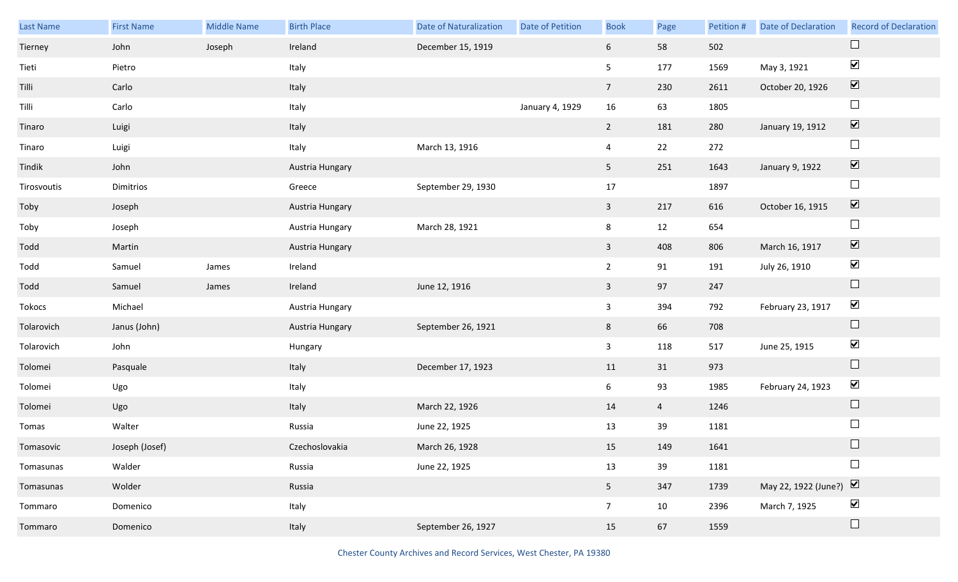| Last Name   | <b>First Name</b> | <b>Middle Name</b> | <b>Birth Place</b> | <b>Date of Naturalization</b> | <b>Date of Petition</b> | <b>Book</b>             | Page           | Petition # | <b>Date of Declaration</b> | <b>Record of Declaration</b> |
|-------------|-------------------|--------------------|--------------------|-------------------------------|-------------------------|-------------------------|----------------|------------|----------------------------|------------------------------|
| Tierney     | John              | Joseph             | Ireland            | December 15, 1919             |                         | 6 <sup>1</sup>          | 58             | 502        |                            | $\Box$                       |
| Tieti       | Pietro            |                    | Italy              |                               |                         | 5                       | 177            | 1569       | May 3, 1921                | $\blacktriangledown$         |
| Tilli       | Carlo             |                    | Italy              |                               |                         | $7\overline{ }$         | 230            | 2611       | October 20, 1926           | $\overline{\mathbf{v}}$      |
| Tilli       | Carlo             |                    | Italy              |                               | January 4, 1929         | 16                      | 63             | 1805       |                            | $\Box$                       |
| Tinaro      | Luigi             |                    | Italy              |                               |                         | $2^{\circ}$             | 181            | 280        | January 19, 1912           | $\boxed{\blacktriangledown}$ |
| Tinaro      | Luigi             |                    | Italy              | March 13, 1916                |                         | 4                       | 22             | 272        |                            | $\Box$                       |
| Tindik      | John              |                    | Austria Hungary    |                               |                         | 5 <sub>1</sub>          | 251            | 1643       | January 9, 1922            | $\blacktriangledown$         |
| Tirosvoutis | Dimitrios         |                    | Greece             | September 29, 1930            |                         | 17                      |                | 1897       |                            | $\Box$                       |
| Toby        | Joseph            |                    | Austria Hungary    |                               |                         | $\overline{3}$          | 217            | 616        | October 16, 1915           | $\boxed{\blacktriangledown}$ |
| Toby        | Joseph            |                    | Austria Hungary    | March 28, 1921                |                         | 8                       | 12             | 654        |                            | $\Box$                       |
| Todd        | Martin            |                    | Austria Hungary    |                               |                         | $\mathbf{3}$            | 408            | 806        | March 16, 1917             | $\boxed{\blacktriangledown}$ |
| Todd        | Samuel            | James              | Ireland            |                               |                         | $2^{\circ}$             | 91             | 191        | July 26, 1910              | $\blacktriangledown$         |
| Todd        | Samuel            | James              | Ireland            | June 12, 1916                 |                         | $\overline{\mathbf{3}}$ | 97             | 247        |                            | $\Box$                       |
| Tokocs      | Michael           |                    | Austria Hungary    |                               |                         | $\mathbf{3}$            | 394            | 792        | February 23, 1917          | $\blacktriangledown$         |
| Tolarovich  | Janus (John)      |                    | Austria Hungary    | September 26, 1921            |                         | 8                       | 66             | 708        |                            | $\Box$                       |
| Tolarovich  | John              |                    | Hungary            |                               |                         | $\mathbf{3}$            | 118            | 517        | June 25, 1915              | $\blacktriangledown$         |
| Tolomei     | Pasquale          |                    | Italy              | December 17, 1923             |                         | 11                      | 31             | 973        |                            | $\Box$                       |
| Tolomei     | Ugo               |                    | Italy              |                               |                         | 6                       | 93             | 1985       | February 24, 1923          | $\blacktriangledown$         |
| Tolomei     | Ugo               |                    | Italy              | March 22, 1926                |                         | 14                      | $\overline{4}$ | 1246       |                            | $\Box$                       |
| Tomas       | Walter            |                    | Russia             | June 22, 1925                 |                         | 13                      | 39             | 1181       |                            | $\Box$                       |
| Tomasovic   | Joseph (Josef)    |                    | Czechoslovakia     | March 26, 1928                |                         | 15                      | 149            | 1641       |                            | $\Box$                       |
| Tomasunas   | Walder            |                    | Russia             | June 22, 1925                 |                         | 13                      | 39             | 1181       |                            | $\Box$                       |
| Tomasunas   | Wolder            |                    | Russia             |                               |                         | 5 <sub>1</sub>          | 347            | 1739       | May 22, 1922 (June?)       | $\boxed{\blacktriangledown}$ |
| Tommaro     | Domenico          |                    | Italy              |                               |                         | 7 <sup>7</sup>          | 10             | 2396       | March 7, 1925              | $\blacktriangledown$         |
| Tommaro     | Domenico          |                    | Italy              | September 26, 1927            |                         | 15                      | 67             | 1559       |                            | $\Box$                       |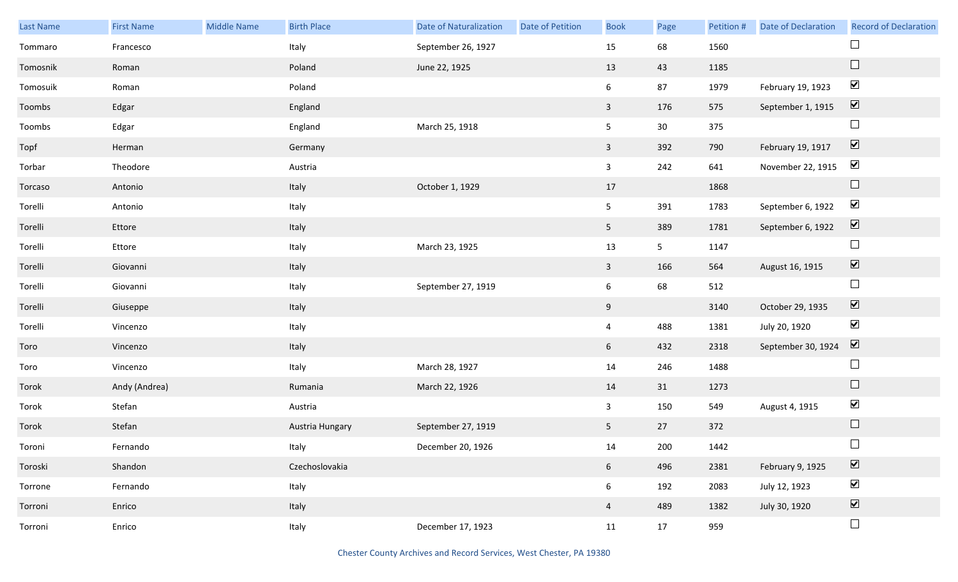| <b>Last Name</b> | <b>First Name</b> | Middle Name | <b>Birth Place</b> | <b>Date of Naturalization</b> | Date of Petition | <b>Book</b>     | Page           | Petition # | <b>Date of Declaration</b> | <b>Record of Declaration</b>    |
|------------------|-------------------|-------------|--------------------|-------------------------------|------------------|-----------------|----------------|------------|----------------------------|---------------------------------|
| Tommaro          | Francesco         |             | Italy              | September 26, 1927            |                  | 15              | 68             | 1560       |                            |                                 |
| Tomosnik         | Roman             |             | Poland             | June 22, 1925                 |                  | 13              | 43             | 1185       |                            | $\Box$                          |
| Tomosuik         | Roman             |             | Poland             |                               |                  | $6\overline{6}$ | 87             | 1979       | February 19, 1923          | $\blacktriangledown$            |
| Toombs           | Edgar             |             | England            |                               |                  | $\mathbf{3}$    | 176            | 575        | September 1, 1915          | $\boxed{\blacktriangledown}$    |
| Toombs           | Edgar             |             | England            | March 25, 1918                |                  | 5 <sub>5</sub>  | 30             | 375        |                            | $\Box$                          |
| Topf             | Herman            |             | Germany            |                               |                  | $\mathbf{3}$    | 392            | 790        | February 19, 1917          | $\overline{\mathbf{v}}$         |
| Torbar           | Theodore          |             | Austria            |                               |                  | $\mathbf{3}$    | 242            | 641        | November 22, 1915          | $\blacktriangledown$            |
| Torcaso          | Antonio           |             | Italy              | October 1, 1929               |                  | 17              |                | 1868       |                            | $\Box$                          |
| Torelli          | Antonio           |             | Italy              |                               |                  | 5 <sub>1</sub>  | 391            | 1783       | September 6, 1922          | $\blacktriangledown$            |
| Torelli          | Ettore            |             | Italy              |                               |                  | 5 <sub>1</sub>  | 389            | 1781       | September 6, 1922          | $\overline{\mathbf{v}}$         |
| Torelli          | Ettore            |             | Italy              | March 23, 1925                |                  | 13              | 5 <sub>1</sub> | 1147       |                            | $\Box$                          |
| Torelli          | Giovanni          |             | Italy              |                               |                  | $\mathbf{3}$    | 166            | 564        | August 16, 1915            | $\blacktriangledown$            |
| Torelli          | Giovanni          |             | Italy              | September 27, 1919            |                  | $6\overline{6}$ | 68             | 512        |                            | $\Box$                          |
| Torelli          | Giuseppe          |             | Italy              |                               |                  | 9               |                | 3140       | October 29, 1935           | $\blacktriangledown$            |
| Torelli          | Vincenzo          |             | Italy              |                               |                  | $\overline{4}$  | 488            | 1381       | July 20, 1920              | $\blacktriangledown$            |
| Toro             | Vincenzo          |             | Italy              |                               |                  | $6\overline{6}$ | 432            | 2318       | September 30, 1924         | $\blacktriangledown$            |
| Toro             | Vincenzo          |             | Italy              | March 28, 1927                |                  | 14              | 246            | 1488       |                            | $\Box$                          |
| Torok            | Andy (Andrea)     |             | Rumania            | March 22, 1926                |                  | 14              | 31             | 1273       |                            | $\Box$                          |
| Torok            | Stefan            |             | Austria            |                               |                  | $\mathbf{3}$    | 150            | 549        | August 4, 1915             | $\blacktriangledown$            |
| Torok            | Stefan            |             | Austria Hungary    | September 27, 1919            |                  | 5 <sub>1</sub>  | 27             | 372        |                            | $\Box$                          |
| Toroni           | Fernando          |             | Italy              | December 20, 1926             |                  | 14              | 200            | 1442       |                            |                                 |
| Toroski          | Shandon           |             | Czechoslovakia     |                               |                  | 6 <sup>1</sup>  | 496            | 2381       | February 9, 1925           | $\overline{\mathbf{v}}$         |
| Torrone          | Fernando          |             | Italy              |                               |                  | $6\overline{6}$ | 192            | 2083       | July 12, 1923              | $\blacktriangledown$            |
| Torroni          | Enrico            |             | Italy              |                               |                  | $\overline{4}$  | 489            | 1382       | July 30, 1920              | $\overline{\blacktriangledown}$ |
| Torroni          | Enrico            |             | Italy              | December 17, 1923             |                  | 11              | 17             | 959        |                            | $\Box$                          |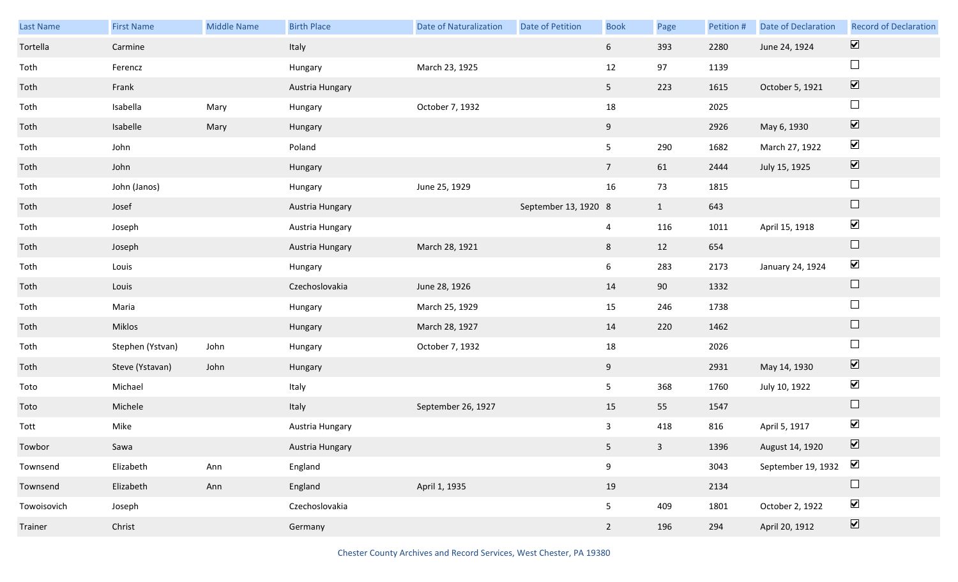| Last Name   | <b>First Name</b> | <b>Middle Name</b> | <b>Birth Place</b> | Date of Naturalization | Date of Petition     | <b>Book</b>    | Page           | Petition # | <b>Date of Declaration</b> | <b>Record of Declaration</b> |
|-------------|-------------------|--------------------|--------------------|------------------------|----------------------|----------------|----------------|------------|----------------------------|------------------------------|
| Tortella    | Carmine           |                    | Italy              |                        |                      | 6              | 393            | 2280       | June 24, 1924              | $\overline{\mathbf{v}}$      |
| Toth        | Ferencz           |                    | Hungary            | March 23, 1925         |                      | 12             | 97             | 1139       |                            | $\Box$                       |
| Toth        | Frank             |                    | Austria Hungary    |                        |                      | 5 <sub>1</sub> | 223            | 1615       | October 5, 1921            | $\boxed{\blacktriangledown}$ |
| Toth        | Isabella          | Mary               | Hungary            | October 7, 1932        |                      | 18             |                | 2025       |                            | $\Box$                       |
| Toth        | Isabelle          | Mary               | Hungary            |                        |                      | 9 <sub>o</sub> |                | 2926       | May 6, 1930                | $\boxed{\blacktriangledown}$ |
| Toth        | John              |                    | Poland             |                        |                      | 5              | 290            | 1682       | March 27, 1922             | $\blacktriangledown$         |
| Toth        | John              |                    | Hungary            |                        |                      | 7 <sup>7</sup> | 61             | 2444       | July 15, 1925              | $\boxed{\blacktriangledown}$ |
| Toth        | John (Janos)      |                    | Hungary            | June 25, 1929          |                      | 16             | 73             | 1815       |                            | $\Box$                       |
| Toth        | Josef             |                    | Austria Hungary    |                        | September 13, 1920 8 |                | $\mathbf{1}$   | 643        |                            | $\Box$                       |
| Toth        | Joseph            |                    | Austria Hungary    |                        |                      | $\overline{4}$ | 116            | 1011       | April 15, 1918             | $\blacktriangledown$         |
| Toth        | Joseph            |                    | Austria Hungary    | March 28, 1921         |                      | 8              | 12             | 654        |                            | $\Box$                       |
| Toth        | Louis             |                    | Hungary            |                        |                      | 6              | 283            | 2173       | January 24, 1924           | $\blacktriangledown$         |
| Toth        | Louis             |                    | Czechoslovakia     | June 28, 1926          |                      | 14             | 90             | 1332       |                            | $\Box$                       |
| Toth        | Maria             |                    | Hungary            | March 25, 1929         |                      | 15             | 246            | 1738       |                            | $\Box$                       |
| Toth        | Miklos            |                    | Hungary            | March 28, 1927         |                      | 14             | 220            | 1462       |                            | $\Box$                       |
| Toth        | Stephen (Ystvan)  | John               | Hungary            | October 7, 1932        |                      | 18             |                | 2026       |                            | $\Box$                       |
| Toth        | Steve (Ystavan)   | John               | Hungary            |                        |                      | 9              |                | 2931       | May 14, 1930               | $\boxed{\blacktriangledown}$ |
| Toto        | Michael           |                    | Italy              |                        |                      | 5              | 368            | 1760       | July 10, 1922              | $\blacktriangledown$         |
| Toto        | Michele           |                    | Italy              | September 26, 1927     |                      | 15             | 55             | 1547       |                            | $\Box$                       |
| Tott        | Mike              |                    | Austria Hungary    |                        |                      | $\overline{3}$ | 418            | 816        | April 5, 1917              | $\blacktriangledown$         |
| Towbor      | Sawa              |                    | Austria Hungary    |                        |                      | $5 -$          | 3 <sup>1</sup> | 1396       | August 14, 1920            | $\overline{\mathbf{v}}$      |
| Townsend    | Elizabeth         | Ann                | England            |                        |                      | 9              |                | 3043       | September 19, 1932         | $\blacktriangledown$         |
| Townsend    | Elizabeth         | Ann                | England            | April 1, 1935          |                      | 19             |                | 2134       |                            | $\Box$                       |
| Towoisovich | Joseph            |                    | Czechoslovakia     |                        |                      | 5              | 409            | 1801       | October 2, 1922            | $\blacktriangledown$         |
| Trainer     | Christ            |                    | Germany            |                        |                      | $2^{\circ}$    | 196            | 294        | April 20, 1912             | $\boxed{\blacktriangledown}$ |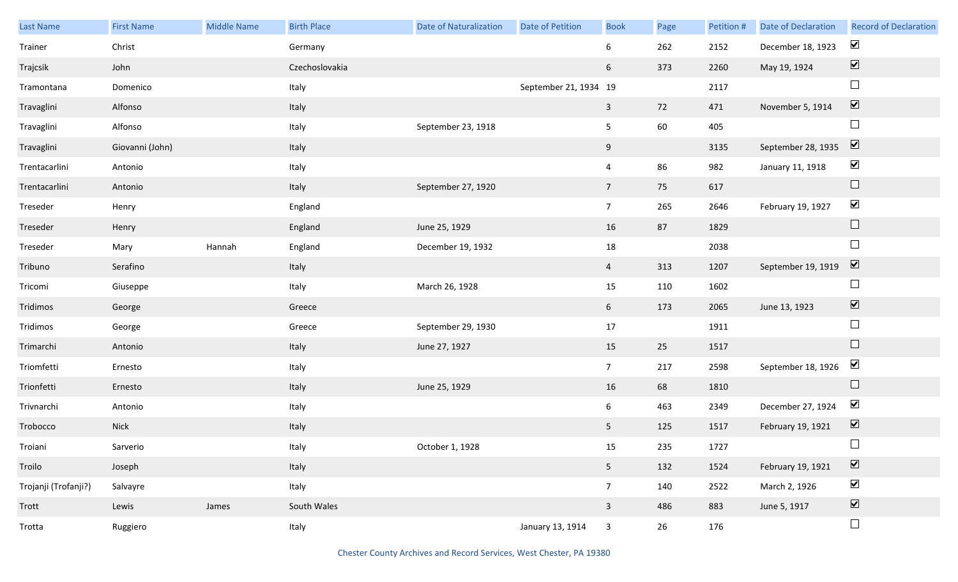| Last Name            | <b>First Name</b> | <b>Middle Name</b> | <b>Birth Place</b> | <b>Date of Naturalization</b> | <b>Date of Petition</b> | <b>Book</b>     | Page | Petition # | Date of Declaration | <b>Record of Declaration</b> |
|----------------------|-------------------|--------------------|--------------------|-------------------------------|-------------------------|-----------------|------|------------|---------------------|------------------------------|
| Trainer              | Christ            |                    | Germany            |                               |                         | 6               | 262  | 2152       | December 18, 1923   | $\blacktriangledown$         |
| Trajcsik             | John              |                    | Czechoslovakia     |                               |                         | 6               | 373  | 2260       | May 19, 1924        | $\boxed{\blacktriangledown}$ |
| Tramontana           | Domenico          |                    | Italy              |                               | September 21, 1934 19   |                 |      | 2117       |                     | $\Box$                       |
| Travaglini           | Alfonso           |                    | Italy              |                               |                         | $\mathbf{3}$    | 72   | 471        | November 5, 1914    | $\boxed{\blacktriangledown}$ |
| Travaglini           | Alfonso           |                    | Italy              | September 23, 1918            |                         | 5 <sub>1</sub>  | 60   | 405        |                     | $\Box$                       |
| Travaglini           | Giovanni (John)   |                    | Italy              |                               |                         | 9               |      | 3135       | September 28, 1935  | $\boxed{\blacktriangledown}$ |
| Trentacarlini        | Antonio           |                    | Italy              |                               |                         | $\overline{4}$  | 86   | 982        | January 11, 1918    | $\blacktriangledown$         |
| Trentacarlini        | Antonio           |                    | Italy              | September 27, 1920            |                         | $\overline{7}$  | 75   | 617        |                     | $\Box$                       |
| Treseder             | Henry             |                    | England            |                               |                         | 7 <sup>7</sup>  | 265  | 2646       | February 19, 1927   | $\blacktriangledown$         |
| Treseder             | Henry             |                    | England            | June 25, 1929                 |                         | 16              | 87   | 1829       |                     | $\Box$                       |
| Treseder             | Mary              | Hannah             | England            | December 19, 1932             |                         | 18              |      | 2038       |                     | $\Box$                       |
| Tribuno              | Serafino          |                    | Italy              |                               |                         | $\overline{4}$  | 313  | 1207       | September 19, 1919  | $\overline{\mathbf{V}}$      |
| Tricomi              | Giuseppe          |                    | Italy              | March 26, 1928                |                         | 15              | 110  | 1602       |                     | $\Box$                       |
| Tridimos             | George            |                    | Greece             |                               |                         | $6\overline{6}$ | 173  | 2065       | June 13, 1923       | $\boxed{\blacktriangledown}$ |
| Tridimos             | George            |                    | Greece             | September 29, 1930            |                         | 17              |      | 1911       |                     | $\Box$                       |
| Trimarchi            | Antonio           |                    | Italy              | June 27, 1927                 |                         | 15              | 25   | 1517       |                     | $\Box$                       |
| Triomfetti           | Ernesto           |                    | Italy              |                               |                         | 7 <sup>7</sup>  | 217  | 2598       | September 18, 1926  | $\blacktriangledown$         |
| Trionfetti           | Ernesto           |                    | Italy              | June 25, 1929                 |                         | 16              | 68   | 1810       |                     | $\Box$                       |
| Trivnarchi           | Antonio           |                    | Italy              |                               |                         | $6\overline{6}$ | 463  | 2349       | December 27, 1924   | $\blacktriangledown$         |
| Trobocco             | Nick              |                    | Italy              |                               |                         | 5 <sub>1</sub>  | 125  | 1517       | February 19, 1921   | $\boxed{\blacktriangledown}$ |
| Troiani              | Sarverio          |                    | Italy              | October 1, 1928               |                         | 15              | 235  | 1727       |                     | $\Box$                       |
| Troilo               | Joseph            |                    | Italy              |                               |                         | 5 <sub>1</sub>  | 132  | 1524       | February 19, 1921   | $\boxed{\blacktriangledown}$ |
| Trojanji (Trofanji?) | Salvayre          |                    | Italy              |                               |                         | 7 <sup>7</sup>  | 140  | 2522       | March 2, 1926       | $\blacktriangledown$         |
| Trott                | Lewis             | James              | South Wales        |                               |                         | $\mathbf{3}$    | 486  | 883        | June 5, 1917        | $\boxed{\blacktriangledown}$ |
| Trotta               | Ruggiero          |                    | Italy              |                               | January 13, 1914        | $\mathbf{3}$    | 26   | 176        |                     | $\hfill \square$             |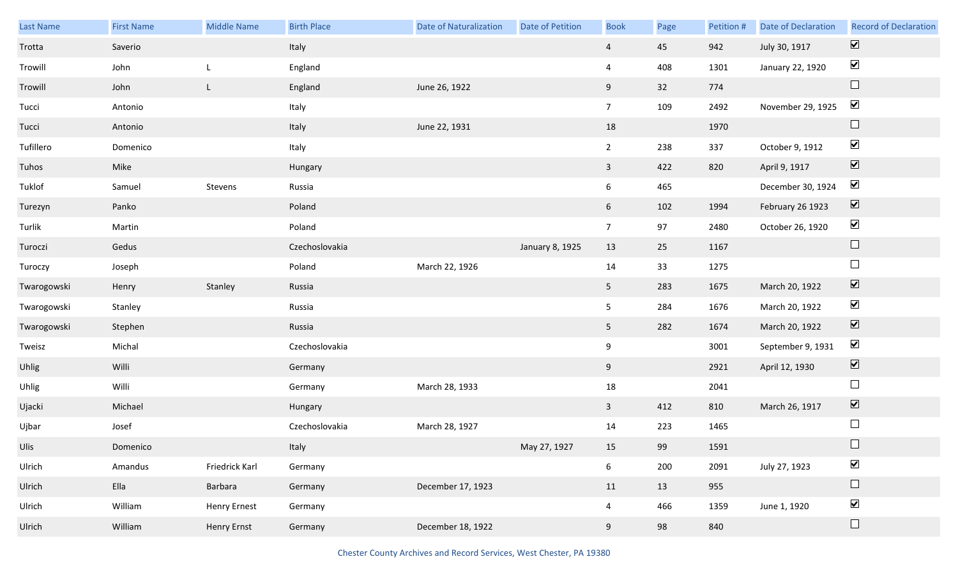| Last Name   | <b>First Name</b> | Middle Name         | <b>Birth Place</b> | <b>Date of Naturalization</b> | Date of Petition | <b>Book</b>    | Page | Petition # | Date of Declaration | <b>Record of Declaration</b> |
|-------------|-------------------|---------------------|--------------------|-------------------------------|------------------|----------------|------|------------|---------------------|------------------------------|
| Trotta      | Saverio           |                     | Italy              |                               |                  | $\overline{4}$ | 45   | 942        | July 30, 1917       | $\overline{\mathbf{v}}$      |
| Trowill     | John              | L,                  | England            |                               |                  | $\overline{4}$ | 408  | 1301       | January 22, 1920    | $\blacktriangledown$         |
| Trowill     | John              | $\mathsf{L}$        | England            | June 26, 1922                 |                  | 9              | 32   | 774        |                     | $\Box$                       |
| Tucci       | Antonio           |                     | Italy              |                               |                  | 7 <sup>7</sup> | 109  | 2492       | November 29, 1925   | $\blacktriangledown$         |
| Tucci       | Antonio           |                     | Italy              | June 22, 1931                 |                  | 18             |      | 1970       |                     | $\Box$                       |
| Tufillero   | Domenico          |                     | Italy              |                               |                  | $\overline{2}$ | 238  | 337        | October 9, 1912     | $\blacktriangledown$         |
| Tuhos       | Mike              |                     | Hungary            |                               |                  | $\mathbf{3}$   | 422  | 820        | April 9, 1917       | $\overline{\mathbf{v}}$      |
| Tuklof      | Samuel            | Stevens             | Russia             |                               |                  | 6              | 465  |            | December 30, 1924   | $\blacktriangledown$         |
| Turezyn     | Panko             |                     | Poland             |                               |                  | 6 <sup>1</sup> | 102  | 1994       | February 26 1923    | $\boxed{\blacktriangledown}$ |
| Turlik      | Martin            |                     | Poland             |                               |                  | 7 <sup>7</sup> | 97   | 2480       | October 26, 1920    | $\blacktriangledown$         |
| Turoczi     | Gedus             |                     | Czechoslovakia     |                               | January 8, 1925  | 13             | 25   | 1167       |                     | $\Box$                       |
| Turoczy     | Joseph            |                     | Poland             | March 22, 1926                |                  | 14             | 33   | 1275       |                     | $\Box$                       |
| Twarogowski | Henry             | Stanley             | Russia             |                               |                  | 5 <sub>1</sub> | 283  | 1675       | March 20, 1922      | $\blacktriangledown$         |
| Twarogowski | Stanley           |                     | Russia             |                               |                  | 5              | 284  | 1676       | March 20, 1922      | $\blacktriangledown$         |
| Twarogowski | Stephen           |                     | Russia             |                               |                  | 5 <sub>1</sub> | 282  | 1674       | March 20, 1922      | $\blacktriangledown$         |
| Tweisz      | Michal            |                     | Czechoslovakia     |                               |                  | 9              |      | 3001       | September 9, 1931   | $\blacktriangledown$         |
| Uhlig       | Willi             |                     | Germany            |                               |                  | 9              |      | 2921       | April 12, 1930      | $\blacktriangledown$         |
| Uhlig       | Willi             |                     | Germany            | March 28, 1933                |                  | $18\,$         |      | 2041       |                     | $\Box$                       |
| Ujacki      | Michael           |                     | Hungary            |                               |                  | $\mathbf{3}$   | 412  | 810        | March 26, 1917      | $\boxed{\blacktriangledown}$ |
| Ujbar       | Josef             |                     | Czechoslovakia     | March 28, 1927                |                  | 14             | 223  | 1465       |                     | $\Box$                       |
| Ulis        | Domenico          |                     | Italy              |                               | May 27, 1927     | 15             | 99   | 1591       |                     | $\Box$                       |
| Ulrich      | Amandus           | Friedrick Karl      | Germany            |                               |                  | 6 <sup>1</sup> | 200  | 2091       | July 27, 1923       | $\blacktriangledown$         |
| Ulrich      | Ella              | Barbara             | Germany            | December 17, 1923             |                  | 11             | 13   | 955        |                     | $\Box$                       |
| Ulrich      | William           | <b>Henry Ernest</b> | Germany            |                               |                  | $\overline{4}$ | 466  | 1359       | June 1, 1920        | $\blacktriangledown$         |
| Ulrich      | William           | Henry Ernst         | Germany            | December 18, 1922             |                  | 9              | 98   | 840        |                     | $\Box$                       |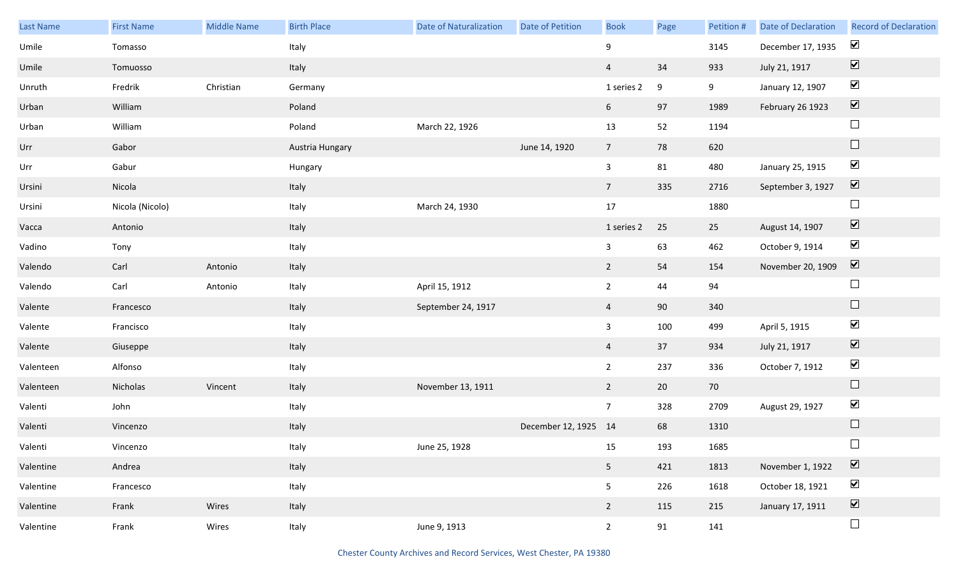| Last Name | <b>First Name</b> | Middle Name | <b>Birth Place</b> | Date of Naturalization | Date of Petition     | <b>Book</b>     | Page             | Petition # | <b>Date of Declaration</b> | <b>Record of Declaration</b> |
|-----------|-------------------|-------------|--------------------|------------------------|----------------------|-----------------|------------------|------------|----------------------------|------------------------------|
| Umile     | Tomasso           |             | Italy              |                        |                      | 9               |                  | 3145       | December 17, 1935          | $\blacktriangledown$         |
| Umile     | Tomuosso          |             | Italy              |                        |                      | $\overline{4}$  | 34               | 933        | July 21, 1917              | $\boxed{\blacktriangledown}$ |
| Unruth    | Fredrik           | Christian   | Germany            |                        |                      | 1 series 2      | $\boldsymbol{9}$ | 9          | January 12, 1907           | $\blacktriangledown$         |
| Urban     | William           |             | Poland             |                        |                      | 6               | 97               | 1989       | February 26 1923           | $\boxed{\blacktriangledown}$ |
| Urban     | William           |             | Poland             | March 22, 1926         |                      | 13              | 52               | 1194       |                            | $\Box$                       |
| Urr       | Gabor             |             | Austria Hungary    |                        | June 14, 1920        | $7\overline{ }$ | 78               | 620        |                            | $\Box$                       |
| Urr       | Gabur             |             | Hungary            |                        |                      | $\mathbf{3}$    | 81               | 480        | January 25, 1915           | $\blacktriangledown$         |
| Ursini    | Nicola            |             | Italy              |                        |                      | $7\overline{ }$ | 335              | 2716       | September 3, 1927          | $\boxed{\blacktriangledown}$ |
| Ursini    | Nicola (Nicolo)   |             | Italy              | March 24, 1930         |                      | 17              |                  | 1880       |                            | $\Box$                       |
| Vacca     | Antonio           |             | Italy              |                        |                      | 1 series 2      | 25               | 25         | August 14, 1907            | $\boxed{\blacktriangledown}$ |
| Vadino    | Tony              |             | Italy              |                        |                      | $\mathbf{3}$    | 63               | 462        | October 9, 1914            | $\blacktriangleright$        |
| Valendo   | Carl              | Antonio     | Italy              |                        |                      | $\overline{2}$  | 54               | 154        | November 20, 1909          | $\boxed{\blacktriangledown}$ |
| Valendo   | Carl              | Antonio     | Italy              | April 15, 1912         |                      | $\overline{2}$  | 44               | 94         |                            | $\Box$                       |
| Valente   | Francesco         |             | Italy              | September 24, 1917     |                      | $\overline{4}$  | 90               | 340        |                            | $\Box$                       |
| Valente   | Francisco         |             | Italy              |                        |                      | $\mathbf{3}$    | 100              | 499        | April 5, 1915              | $\blacktriangledown$         |
| Valente   | Giuseppe          |             | Italy              |                        |                      | $\overline{4}$  | 37               | 934        | July 21, 1917              | $\overline{\mathbf{v}}$      |
| Valenteen | Alfonso           |             | Italy              |                        |                      | $2^{\circ}$     | 237              | 336        | October 7, 1912            | $\blacktriangledown$         |
| Valenteen | Nicholas          | Vincent     | Italy              | November 13, 1911      |                      | $\overline{2}$  | 20               | 70         |                            | $\Box$                       |
| Valenti   | John              |             | Italy              |                        |                      | $7\overline{ }$ | 328              | 2709       | August 29, 1927            | $\blacktriangleright$        |
| Valenti   | Vincenzo          |             | Italy              |                        | December 12, 1925 14 |                 | 68               | 1310       |                            | $\Box$                       |
| Valenti   | Vincenzo          |             | Italy              | June 25, 1928          |                      | 15              | 193              | 1685       |                            |                              |
| Valentine | Andrea            |             | Italy              |                        |                      | 5 <sub>1</sub>  | 421              | 1813       | November 1, 1922           | $\boxed{\blacktriangledown}$ |
| Valentine | Francesco         |             | Italy              |                        |                      | 5 <sub>1</sub>  | 226              | 1618       | October 18, 1921           | $\blacktriangleright$        |
| Valentine | Frank             | Wires       | Italy              |                        |                      | $\overline{2}$  | 115              | 215        | January 17, 1911           | $\boxed{\blacktriangledown}$ |
| Valentine | Frank             | Wires       | Italy              | June 9, 1913           |                      | $2\overline{ }$ | 91               | 141        |                            | $\Box$                       |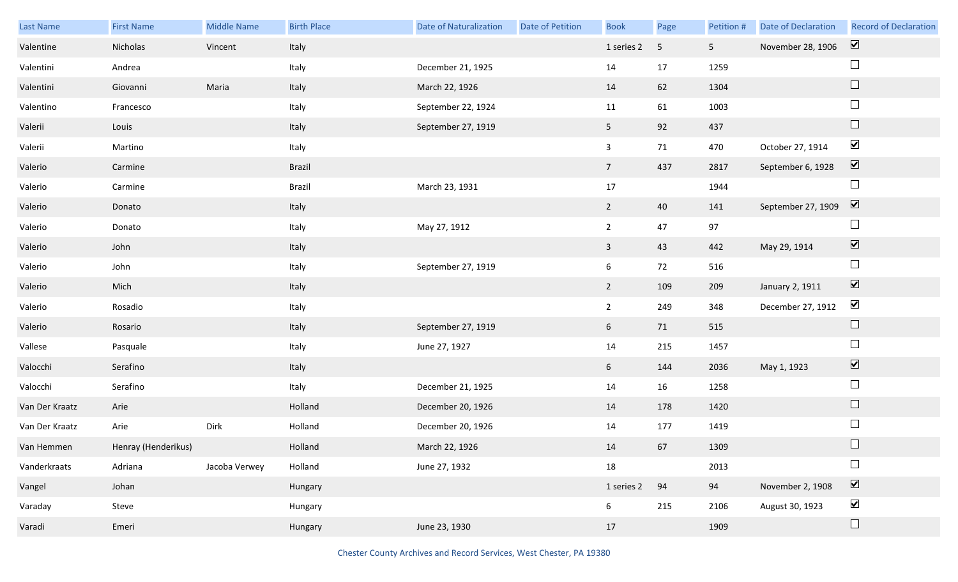| Last Name      | <b>First Name</b>   | <b>Middle Name</b> | <b>Birth Place</b> | <b>Date of Naturalization</b> | Date of Petition | <b>Book</b>             | Page                    | Petition #     | Date of Declaration | <b>Record of Declaration</b> |
|----------------|---------------------|--------------------|--------------------|-------------------------------|------------------|-------------------------|-------------------------|----------------|---------------------|------------------------------|
| Valentine      | Nicholas            | Vincent            | Italy              |                               |                  | 1 series 2              | $\overline{\mathbf{5}}$ | 5 <sub>1</sub> | November 28, 1906   | $\overline{\mathbf{v}}$      |
| Valentini      | Andrea              |                    | Italy              | December 21, 1925             |                  | 14                      | 17                      | 1259           |                     | $\Box$                       |
| Valentini      | Giovanni            | Maria              | Italy              | March 22, 1926                |                  | 14                      | 62                      | 1304           |                     | $\Box$                       |
| Valentino      | Francesco           |                    | Italy              | September 22, 1924            |                  | 11                      | 61                      | 1003           |                     | $\Box$                       |
| Valerii        | Louis               |                    | Italy              | September 27, 1919            |                  | 5 <sub>1</sub>          | 92                      | 437            |                     | $\Box$                       |
| Valerii        | Martino             |                    | Italy              |                               |                  | $\mathbf{3}$            | 71                      | 470            | October 27, 1914    | $\blacktriangledown$         |
| Valerio        | Carmine             |                    | Brazil             |                               |                  | 7 <sup>7</sup>          | 437                     | 2817           | September 6, 1928   | $\overline{\mathbf{v}}$      |
| Valerio        | Carmine             |                    | Brazil             | March 23, 1931                |                  | $17\,$                  |                         | 1944           |                     | $\Box$                       |
| Valerio        | Donato              |                    | Italy              |                               |                  | $2^{\circ}$             | 40                      | 141            | September 27, 1909  | $\boxed{\blacktriangledown}$ |
| Valerio        | Donato              |                    | Italy              | May 27, 1912                  |                  | $\overline{2}$          | 47                      | 97             |                     | $\Box$                       |
| Valerio        | John                |                    | Italy              |                               |                  | $\overline{\mathbf{3}}$ | 43                      | 442            | May 29, 1914        | $\overline{\mathbf{v}}$      |
| Valerio        | John                |                    | Italy              | September 27, 1919            |                  | 6                       | 72                      | 516            |                     | $\Box$                       |
| Valerio        | Mich                |                    | Italy              |                               |                  | $2^{\circ}$             | 109                     | 209            | January 2, 1911     | $\blacktriangledown$         |
| Valerio        | Rosadio             |                    | Italy              |                               |                  | 2 <sub>2</sub>          | 249                     | 348            | December 27, 1912   | $\blacktriangledown$         |
| Valerio        | Rosario             |                    | Italy              | September 27, 1919            |                  | $6\overline{6}$         | 71                      | 515            |                     | $\Box$                       |
| Vallese        | Pasquale            |                    | Italy              | June 27, 1927                 |                  | 14                      | 215                     | 1457           |                     | $\Box$                       |
| Valocchi       | Serafino            |                    | Italy              |                               |                  | 6                       | 144                     | 2036           | May 1, 1923         | $\blacktriangledown$         |
| Valocchi       | Serafino            |                    | Italy              | December 21, 1925             |                  | 14                      | 16                      | 1258           |                     | $\Box$                       |
| Van Der Kraatz | Arie                |                    | Holland            | December 20, 1926             |                  | 14                      | 178                     | 1420           |                     | $\Box$                       |
| Van Der Kraatz | Arie                | Dirk               | Holland            | December 20, 1926             |                  | 14                      | 177                     | 1419           |                     | $\Box$                       |
| Van Hemmen     | Henray (Henderikus) |                    | Holland            | March 22, 1926                |                  | 14                      | 67                      | 1309           |                     | $\Box$                       |
| Vanderkraats   | Adriana             | Jacoba Verwey      | Holland            | June 27, 1932                 |                  | 18                      |                         | 2013           |                     | $\Box$                       |
| Vangel         | Johan               |                    | Hungary            |                               |                  | 1 series 2              | 94                      | 94             | November 2, 1908    | $\overline{\mathbf{v}}$      |
| Varaday        | Steve               |                    | Hungary            |                               |                  | 6                       | 215                     | 2106           | August 30, 1923     | $\blacktriangledown$         |
| Varadi         | Emeri               |                    | Hungary            | June 23, 1930                 |                  | 17                      |                         | 1909           |                     | $\Box$                       |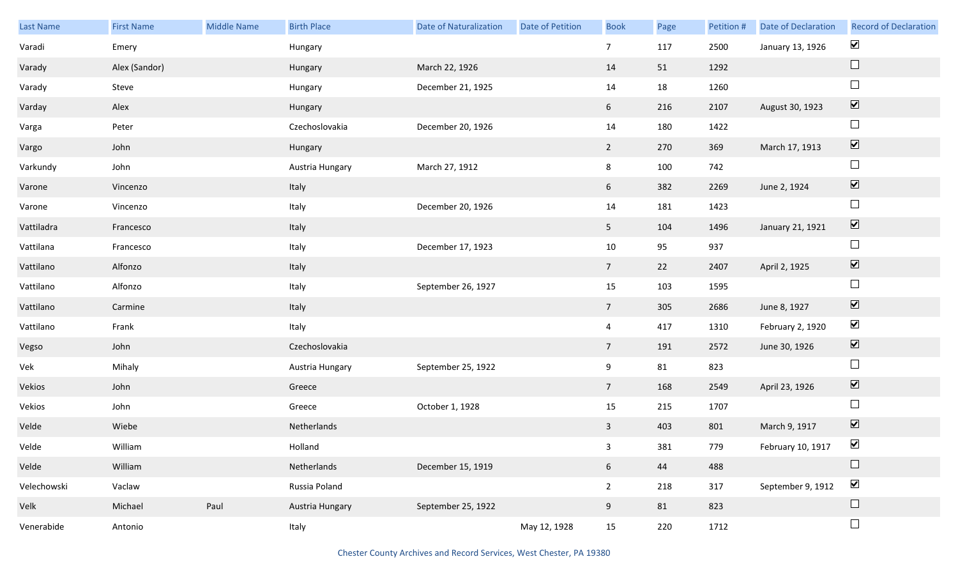| Last Name   | <b>First Name</b> | Middle Name | <b>Birth Place</b> | <b>Date of Naturalization</b> | <b>Date of Petition</b> | <b>Book</b>     | Page | Petition # | Date of Declaration | <b>Record of Declaration</b> |
|-------------|-------------------|-------------|--------------------|-------------------------------|-------------------------|-----------------|------|------------|---------------------|------------------------------|
| Varadi      | Emery             |             | Hungary            |                               |                         | $7\overline{ }$ | 117  | 2500       | January 13, 1926    | $\blacktriangledown$         |
| Varady      | Alex (Sandor)     |             | Hungary            | March 22, 1926                |                         | 14              | 51   | 1292       |                     | $\Box$                       |
| Varady      | Steve             |             | Hungary            | December 21, 1925             |                         | 14              | 18   | 1260       |                     | $\Box$                       |
| Varday      | Alex              |             | Hungary            |                               |                         | 6               | 216  | 2107       | August 30, 1923     | $\boxed{\blacktriangledown}$ |
| Varga       | Peter             |             | Czechoslovakia     | December 20, 1926             |                         | $14\,$          | 180  | 1422       |                     | $\Box$                       |
| Vargo       | John              |             | Hungary            |                               |                         | $\overline{2}$  | 270  | 369        | March 17, 1913      | $\boxed{\blacktriangledown}$ |
| Varkundy    | John              |             | Austria Hungary    | March 27, 1912                |                         | 8               | 100  | 742        |                     | $\Box$                       |
| Varone      | Vincenzo          |             | Italy              |                               |                         | 6 <sup>1</sup>  | 382  | 2269       | June 2, 1924        | $\boxed{\blacktriangledown}$ |
| Varone      | Vincenzo          |             | Italy              | December 20, 1926             |                         | $14\,$          | 181  | 1423       |                     | $\Box$                       |
| Vattiladra  | Francesco         |             | Italy              |                               |                         | 5 <sub>1</sub>  | 104  | 1496       | January 21, 1921    | $\boxed{\blacktriangledown}$ |
| Vattilana   | Francesco         |             | Italy              | December 17, 1923             |                         | $10\,$          | 95   | 937        |                     | $\Box$                       |
| Vattilano   | Alfonzo           |             | Italy              |                               |                         | $7\overline{ }$ | 22   | 2407       | April 2, 1925       | $\boxed{\blacktriangledown}$ |
| Vattilano   | Alfonzo           |             | Italy              | September 26, 1927            |                         | $15\,$          | 103  | 1595       |                     | $\Box$                       |
| Vattilano   | Carmine           |             | Italy              |                               |                         | $7\overline{ }$ | 305  | 2686       | June 8, 1927        | $\boxed{\blacktriangledown}$ |
| Vattilano   | Frank             |             | Italy              |                               |                         | $\overline{4}$  | 417  | 1310       | February 2, 1920    | $\blacktriangledown$         |
| Vegso       | John              |             | Czechoslovakia     |                               |                         | $7\overline{ }$ | 191  | 2572       | June 30, 1926       | $\boxed{\blacktriangledown}$ |
| Vek         | Mihaly            |             | Austria Hungary    | September 25, 1922            |                         | 9               | 81   | 823        |                     | $\Box$                       |
| Vekios      | John              |             | Greece             |                               |                         | $7\overline{ }$ | 168  | 2549       | April 23, 1926      | $\overline{\mathbf{v}}$      |
| Vekios      | John              |             | Greece             | October 1, 1928               |                         | 15              | 215  | 1707       |                     | $\Box$                       |
| Velde       | Wiebe             |             | Netherlands        |                               |                         | $\mathbf{3}$    | 403  | 801        | March 9, 1917       | $\boxed{\blacktriangledown}$ |
| Velde       | William           |             | Holland            |                               |                         | 3 <sup>7</sup>  | 381  | 779        | February 10, 1917   | $\blacktriangledown$         |
| Velde       | William           |             | Netherlands        | December 15, 1919             |                         | $6\overline{6}$ | 44   | 488        |                     | $\Box$                       |
| Velechowski | Vaclaw            |             | Russia Poland      |                               |                         | $2^{\circ}$     | 218  | 317        | September 9, 1912   | $\blacktriangledown$         |
| Velk        | Michael           | Paul        | Austria Hungary    | September 25, 1922            |                         | 9               | 81   | 823        |                     | $\Box$                       |
| Venerabide  | Antonio           |             | Italy              |                               | May 12, 1928            | 15              | 220  | 1712       |                     | $\Box$                       |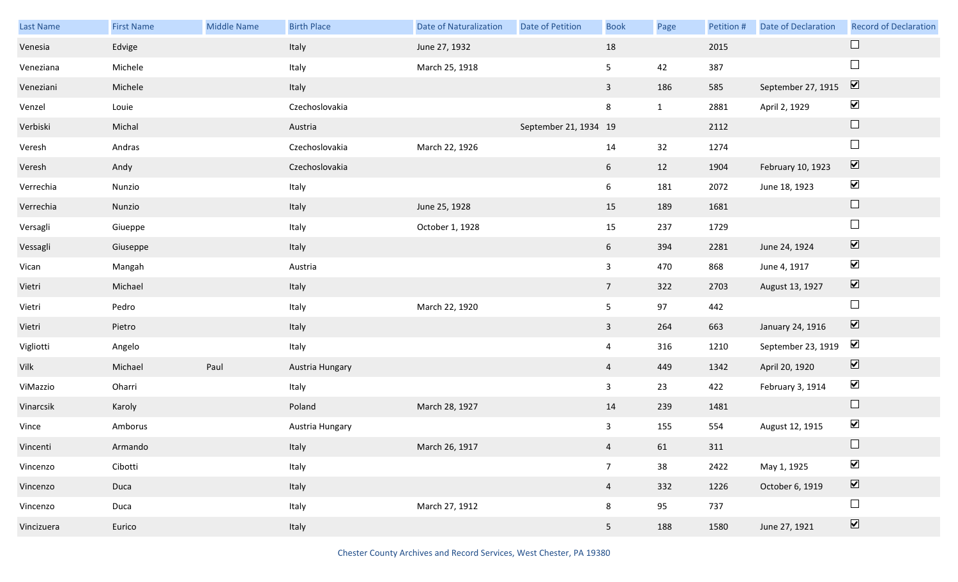| Last Name  | <b>First Name</b> | <b>Middle Name</b> | <b>Birth Place</b> | <b>Date of Naturalization</b> | Date of Petition      | <b>Book</b>    | Page         | Petition # | <b>Date of Declaration</b> | <b>Record of Declaration</b> |
|------------|-------------------|--------------------|--------------------|-------------------------------|-----------------------|----------------|--------------|------------|----------------------------|------------------------------|
| Venesia    | Edvige            |                    | Italy              | June 27, 1932                 |                       | 18             |              | 2015       |                            | $\Box$                       |
| Veneziana  | Michele           |                    | Italy              | March 25, 1918                |                       | 5              | 42           | 387        |                            | $\Box$                       |
| Veneziani  | Michele           |                    | Italy              |                               |                       | $\mathbf{3}$   | 186          | 585        | September 27, 1915         | $\overline{\mathbf{v}}$      |
| Venzel     | Louie             |                    | Czechoslovakia     |                               |                       | 8              | $\mathbf{1}$ | 2881       | April 2, 1929              | $\blacktriangledown$         |
| Verbiski   | Michal            |                    | Austria            |                               | September 21, 1934 19 |                |              | 2112       |                            | $\Box$                       |
| Veresh     | Andras            |                    | Czechoslovakia     | March 22, 1926                |                       | 14             | 32           | 1274       |                            | $\Box$                       |
| Veresh     | Andy              |                    | Czechoslovakia     |                               |                       | 6 <sup>1</sup> | 12           | 1904       | February 10, 1923          | $\boxed{\blacktriangledown}$ |
| Verrechia  | Nunzio            |                    | Italy              |                               |                       | 6              | 181          | 2072       | June 18, 1923              | $\blacktriangledown$         |
| Verrechia  | Nunzio            |                    | Italy              | June 25, 1928                 |                       | 15             | 189          | 1681       |                            | $\Box$                       |
| Versagli   | Giueppe           |                    | Italy              | October 1, 1928               |                       | 15             | 237          | 1729       |                            | $\Box$                       |
| Vessagli   | Giuseppe          |                    | Italy              |                               |                       | 6 <sup>1</sup> | 394          | 2281       | June 24, 1924              | $\boxed{\blacktriangledown}$ |
| Vican      | Mangah            |                    | Austria            |                               |                       | $\mathbf{3}$   | 470          | 868        | June 4, 1917               | $\blacktriangledown$         |
| Vietri     | Michael           |                    | Italy              |                               |                       | 7 <sup>7</sup> | 322          | 2703       | August 13, 1927            | $\boxed{\blacktriangledown}$ |
| Vietri     | Pedro             |                    | Italy              | March 22, 1920                |                       | 5              | 97           | 442        |                            | $\Box$                       |
| Vietri     | Pietro            |                    | Italy              |                               |                       | $\mathbf{3}$   | 264          | 663        | January 24, 1916           | $\boxed{\blacktriangledown}$ |
| Vigliotti  | Angelo            |                    | Italy              |                               |                       | $\overline{4}$ | 316          | 1210       | September 23, 1919         | $\blacktriangleright$        |
| Vilk       | Michael           | Paul               | Austria Hungary    |                               |                       | $\overline{4}$ | 449          | 1342       | April 20, 1920             | $\boxed{\blacktriangledown}$ |
| ViMazzio   | Oharri            |                    | Italy              |                               |                       | $\mathbf{3}$   | 23           | 422        | February 3, 1914           | $\blacktriangledown$         |
| Vinarcsik  | Karoly            |                    | Poland             | March 28, 1927                |                       | 14             | 239          | 1481       |                            | $\Box$                       |
| Vince      | Amborus           |                    | Austria Hungary    |                               |                       | $\mathbf{3}$   | 155          | 554        | August 12, 1915            | $\blacktriangledown$         |
| Vincenti   | Armando           |                    | Italy              | March 26, 1917                |                       | $\overline{4}$ | 61           | 311        |                            | $\Box$                       |
| Vincenzo   | Cibotti           |                    | Italy              |                               |                       | $\overline{7}$ | 38           | 2422       | May 1, 1925                | $\blacktriangledown$         |
| Vincenzo   | Duca              |                    | Italy              |                               |                       | $\overline{4}$ | 332          | 1226       | October 6, 1919            | $\boxed{\blacktriangledown}$ |
| Vincenzo   | Duca              |                    | Italy              | March 27, 1912                |                       | 8              | 95           | 737        |                            | $\Box$                       |
| Vincizuera | Eurico            |                    | Italy              |                               |                       | 5 <sub>1</sub> | 188          | 1580       | June 27, 1921              | $\boxed{\blacktriangledown}$ |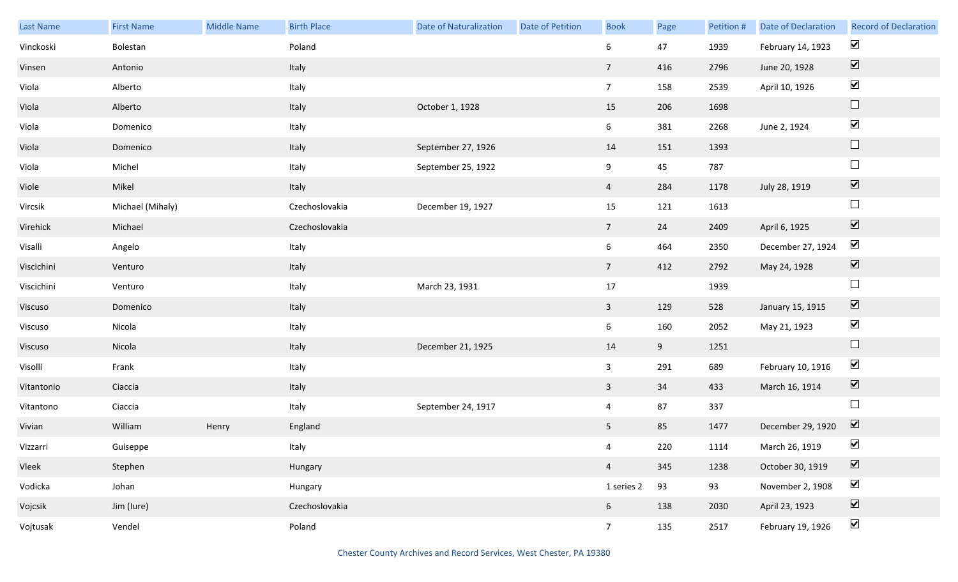| Last Name  | <b>First Name</b> | Middle Name | <b>Birth Place</b> | <b>Date of Naturalization</b> | <b>Date of Petition</b> | <b>Book</b>     | Page | Petition # | Date of Declaration | <b>Record of Declaration</b> |
|------------|-------------------|-------------|--------------------|-------------------------------|-------------------------|-----------------|------|------------|---------------------|------------------------------|
| Vinckoski  | Bolestan          |             | Poland             |                               |                         | $6\phantom{.}6$ | 47   | 1939       | February 14, 1923   | $\blacktriangledown$         |
| Vinsen     | Antonio           |             | Italy              |                               |                         | $7\overline{ }$ | 416  | 2796       | June 20, 1928       | $\boxed{\blacktriangledown}$ |
| Viola      | Alberto           |             | Italy              |                               |                         | 7 <sup>7</sup>  | 158  | 2539       | April 10, 1926      | $\blacktriangledown$         |
| Viola      | Alberto           |             | Italy              | October 1, 1928               |                         | 15              | 206  | 1698       |                     | $\hfill \square$             |
| Viola      | Domenico          |             | Italy              |                               |                         | $6\overline{6}$ | 381  | 2268       | June 2, 1924        | $\blacktriangledown$         |
| Viola      | Domenico          |             | Italy              | September 27, 1926            |                         | 14              | 151  | 1393       |                     | $\hfill \square$             |
| Viola      | Michel            |             | Italy              | September 25, 1922            |                         | 9               | 45   | 787        |                     | $\Box$                       |
| Viole      | Mikel             |             | Italy              |                               |                         | $\overline{4}$  | 284  | 1178       | July 28, 1919       | $\boxed{\blacktriangledown}$ |
| Vircsik    | Michael (Mihaly)  |             | Czechoslovakia     | December 19, 1927             |                         | 15              | 121  | 1613       |                     | $\hfill \square$             |
| Virehick   | Michael           |             | Czechoslovakia     |                               |                         | $7\overline{ }$ | 24   | 2409       | April 6, 1925       | $\boxed{\blacktriangledown}$ |
| Visalli    | Angelo            |             | Italy              |                               |                         | $6\overline{6}$ | 464  | 2350       | December 27, 1924   | $\blacktriangledown$         |
| Viscichini | Venturo           |             | Italy              |                               |                         | $7\overline{ }$ | 412  | 2792       | May 24, 1928        | $\blacktriangledown$         |
| Viscichini | Venturo           |             | Italy              | March 23, 1931                |                         | $17\,$          |      | 1939       |                     | $\Box$                       |
| Viscuso    | Domenico          |             | Italy              |                               |                         | $\mathbf{3}$    | 129  | 528        | January 15, 1915    | $\blacktriangledown$         |
| Viscuso    | Nicola            |             | Italy              |                               |                         | $6\overline{6}$ | 160  | 2052       | May 21, 1923        | $\blacktriangledown$         |
| Viscuso    | Nicola            |             | Italy              | December 21, 1925             |                         | 14              | 9    | 1251       |                     | $\Box$                       |
| Visolli    | Frank             |             | Italy              |                               |                         | $\mathbf{3}$    | 291  | 689        | February 10, 1916   | $\blacktriangledown$         |
| Vitantonio | Ciaccia           |             | Italy              |                               |                         | $\mathbf{3}$    | 34   | 433        | March 16, 1914      | $\boxed{\blacktriangledown}$ |
| Vitantono  | Ciaccia           |             | Italy              | September 24, 1917            |                         | $\overline{4}$  | 87   | 337        |                     | $\Box$                       |
| Vivian     | William           | Henry       | England            |                               |                         | $5\phantom{.}$  | 85   | 1477       | December 29, 1920   | $\overline{\mathbf{V}}$      |
| Vizzarri   | Guiseppe          |             | Italy              |                               |                         | $\overline{4}$  | 220  | 1114       | March 26, 1919      | $\blacktriangledown$         |
| Vleek      | Stephen           |             | Hungary            |                               |                         | $\overline{4}$  | 345  | 1238       | October 30, 1919    | $\boxed{\blacktriangledown}$ |
| Vodicka    | Johan             |             | Hungary            |                               |                         | 1 series 2      | 93   | 93         | November 2, 1908    | $\blacktriangledown$         |
| Vojcsik    | Jim (lure)        |             | Czechoslovakia     |                               |                         | $6\overline{6}$ | 138  | 2030       | April 23, 1923      | $\boxed{\blacktriangledown}$ |
| Vojtusak   | Vendel            |             | Poland             |                               |                         | 7 <sup>7</sup>  | 135  | 2517       | February 19, 1926   | $\blacktriangledown$         |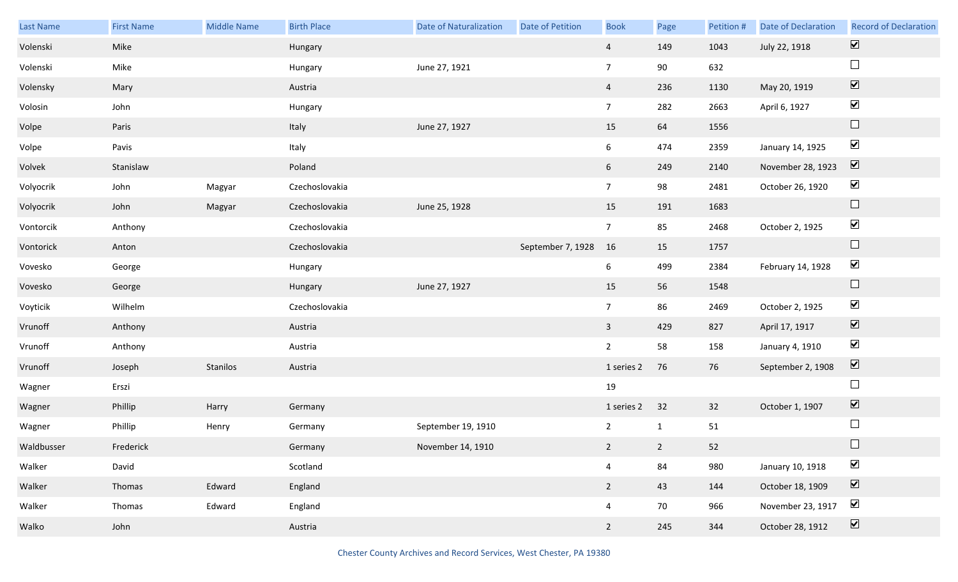| Last Name  | <b>First Name</b> | Middle Name | <b>Birth Place</b> | <b>Date of Naturalization</b> | Date of Petition  | <b>Book</b>     | Page           | Petition # | Date of Declaration | <b>Record of Declaration</b> |
|------------|-------------------|-------------|--------------------|-------------------------------|-------------------|-----------------|----------------|------------|---------------------|------------------------------|
| Volenski   | Mike              |             | Hungary            |                               |                   | $\overline{4}$  | 149            | 1043       | July 22, 1918       | $\boxed{\blacktriangledown}$ |
| Volenski   | Mike              |             | Hungary            | June 27, 1921                 |                   | $\overline{7}$  | 90             | 632        |                     | $\Box$                       |
| Volensky   | Mary              |             | Austria            |                               |                   | $\overline{4}$  | 236            | 1130       | May 20, 1919        | $\boxed{\blacktriangledown}$ |
| Volosin    | John              |             | Hungary            |                               |                   | 7 <sup>7</sup>  | 282            | 2663       | April 6, 1927       | $\blacktriangledown$         |
| Volpe      | Paris             |             | Italy              | June 27, 1927                 |                   | 15              | 64             | 1556       |                     | $\Box$                       |
| Volpe      | Pavis             |             | Italy              |                               |                   | 6               | 474            | 2359       | January 14, 1925    | $\blacktriangledown$         |
| Volvek     | Stanislaw         |             | Poland             |                               |                   | 6               | 249            | 2140       | November 28, 1923   | $\overline{\mathbf{v}}$      |
| Volyocrik  | John              | Magyar      | Czechoslovakia     |                               |                   | 7 <sup>7</sup>  | 98             | 2481       | October 26, 1920    | $\blacktriangledown$         |
| Volyocrik  | John              | Magyar      | Czechoslovakia     | June 25, 1928                 |                   | 15              | 191            | 1683       |                     | $\Box$                       |
| Vontorcik  | Anthony           |             | Czechoslovakia     |                               |                   | $7\overline{ }$ | 85             | 2468       | October 2, 1925     | $\blacktriangledown$         |
| Vontorick  | Anton             |             | Czechoslovakia     |                               | September 7, 1928 | 16              | 15             | 1757       |                     | $\Box$                       |
| Vovesko    | George            |             | Hungary            |                               |                   | 6               | 499            | 2384       | February 14, 1928   | $\blacktriangledown$         |
| Vovesko    | George            |             | Hungary            | June 27, 1927                 |                   | 15              | 56             | 1548       |                     | $\Box$                       |
| Voyticik   | Wilhelm           |             | Czechoslovakia     |                               |                   | $7\overline{ }$ | 86             | 2469       | October 2, 1925     | $\blacktriangledown$         |
| Vrunoff    | Anthony           |             | Austria            |                               |                   | $\overline{3}$  | 429            | 827        | April 17, 1917      | $\blacktriangledown$         |
| Vrunoff    | Anthony           |             | Austria            |                               |                   | $\overline{2}$  | 58             | 158        | January 4, 1910     | $\blacktriangledown$         |
| Vrunoff    | Joseph            | Stanilos    | Austria            |                               |                   | 1 series 2      | 76             | 76         | September 2, 1908   | $\blacktriangledown$         |
| Wagner     | Erszi             |             |                    |                               |                   | 19              |                |            |                     | $\Box$                       |
| Wagner     | Phillip           | Harry       | Germany            |                               |                   | 1 series 2      | 32             | 32         | October 1, 1907     | $\boxed{\blacktriangledown}$ |
| Wagner     | Phillip           | Henry       | Germany            | September 19, 1910            |                   | $\overline{2}$  | $\mathbf{1}$   | 51         |                     | $\Box$                       |
| Waldbusser | Frederick         |             | Germany            | November 14, 1910             |                   | $2^{\circ}$     | $\overline{2}$ | 52         |                     | $\Box$                       |
| Walker     | David             |             | Scotland           |                               |                   | $\overline{4}$  | 84             | 980        | January 10, 1918    | $\blacktriangledown$         |
| Walker     | Thomas            | Edward      | England            |                               |                   | $\overline{2}$  | 43             | 144        | October 18, 1909    | $\blacktriangledown$         |
| Walker     | Thomas            | Edward      | England            |                               |                   | $\overline{4}$  | 70             | 966        | November 23, 1917   | $\blacktriangledown$         |
| Walko      | John              |             | Austria            |                               |                   | $\overline{2}$  | 245            | 344        | October 28, 1912    | $\overline{\mathbf{v}}$      |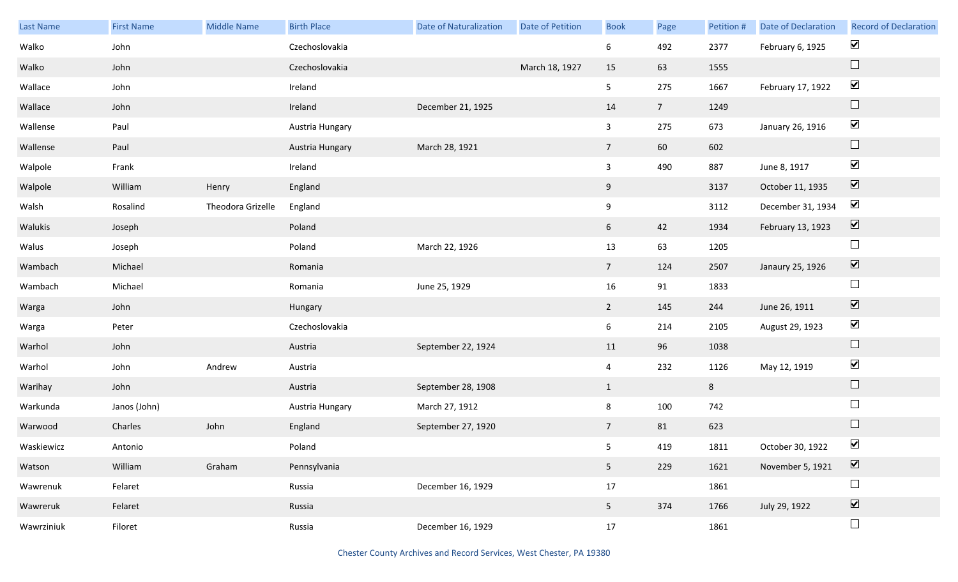| <b>Last Name</b> | <b>First Name</b> | <b>Middle Name</b> | <b>Birth Place</b> | <b>Date of Naturalization</b> | <b>Date of Petition</b> | <b>Book</b>     | Page           | Petition # | <b>Date of Declaration</b> | <b>Record of Declaration</b> |
|------------------|-------------------|--------------------|--------------------|-------------------------------|-------------------------|-----------------|----------------|------------|----------------------------|------------------------------|
| Walko            | John              |                    | Czechoslovakia     |                               |                         | 6               | 492            | 2377       | February 6, 1925           | $\blacktriangledown$         |
| Walko            | John              |                    | Czechoslovakia     |                               | March 18, 1927          | 15              | 63             | 1555       |                            | $\Box$                       |
| Wallace          | John              |                    | Ireland            |                               |                         | 5 <sub>1</sub>  | 275            | 1667       | February 17, 1922          | $\blacktriangledown$         |
| Wallace          | John              |                    | Ireland            | December 21, 1925             |                         | 14              | 7 <sup>7</sup> | 1249       |                            | $\Box$                       |
| Wallense         | Paul              |                    | Austria Hungary    |                               |                         | $\mathbf{3}$    | 275            | 673        | January 26, 1916           | $\blacktriangledown$         |
| Wallense         | Paul              |                    | Austria Hungary    | March 28, 1921                |                         | $7\overline{ }$ | 60             | 602        |                            | $\Box$                       |
| Walpole          | Frank             |                    | Ireland            |                               |                         | $\mathbf{3}$    | 490            | 887        | June 8, 1917               | $\blacktriangledown$         |
| Walpole          | William           | Henry              | England            |                               |                         | 9               |                | 3137       | October 11, 1935           | $\boxed{\blacktriangledown}$ |
| Walsh            | Rosalind          | Theodora Grizelle  | England            |                               |                         | 9               |                | 3112       | December 31, 1934          | $\blacktriangledown$         |
| Walukis          | Joseph            |                    | Poland             |                               |                         | 6               | 42             | 1934       | February 13, 1923          | $\boxed{\blacktriangledown}$ |
| Walus            | Joseph            |                    | Poland             | March 22, 1926                |                         | 13              | 63             | 1205       |                            | $\Box$                       |
| Wambach          | Michael           |                    | Romania            |                               |                         | 7 <sup>7</sup>  | 124            | 2507       | Janaury 25, 1926           | $\boxed{\blacktriangledown}$ |
| Wambach          | Michael           |                    | Romania            | June 25, 1929                 |                         | 16              | 91             | 1833       |                            | $\Box$                       |
| Warga            | John              |                    | Hungary            |                               |                         | $\overline{2}$  | 145            | 244        | June 26, 1911              | $\boxed{\blacktriangledown}$ |
| Warga            | Peter             |                    | Czechoslovakia     |                               |                         | $6\overline{6}$ | 214            | 2105       | August 29, 1923            | $\blacktriangledown$         |
| Warhol           | John              |                    | Austria            | September 22, 1924            |                         | 11              | 96             | 1038       |                            | $\Box$                       |
| Warhol           | John              | Andrew             | Austria            |                               |                         | $\overline{4}$  | 232            | 1126       | May 12, 1919               | $\blacktriangledown$         |
| Warihay          | John              |                    | Austria            | September 28, 1908            |                         | $\mathbf{1}$    |                | 8          |                            | $\Box$                       |
| Warkunda         | Janos (John)      |                    | Austria Hungary    | March 27, 1912                |                         | 8               | 100            | 742        |                            | $\Box$                       |
| Warwood          | Charles           | John               | England            | September 27, 1920            |                         | $\overline{7}$  | 81             | 623        |                            | $\Box$                       |
| Waskiewicz       | Antonio           |                    | Poland             |                               |                         | 5 <sub>5</sub>  | 419            | 1811       | October 30, 1922           | $\blacktriangledown$         |
| Watson           | William           | Graham             | Pennsylvania       |                               |                         | 5 <sub>1</sub>  | 229            | 1621       | November 5, 1921           | $\boxed{\blacktriangledown}$ |
| Wawrenuk         | Felaret           |                    | Russia             | December 16, 1929             |                         | 17              |                | 1861       |                            | $\Box$                       |
| Wawreruk         | Felaret           |                    | Russia             |                               |                         | 5 <sub>5</sub>  | 374            | 1766       | July 29, 1922              | $\overline{\mathbf{v}}$      |
| Wawrziniuk       | Filoret           |                    | Russia             | December 16, 1929             |                         | 17              |                | 1861       |                            | $\Box$                       |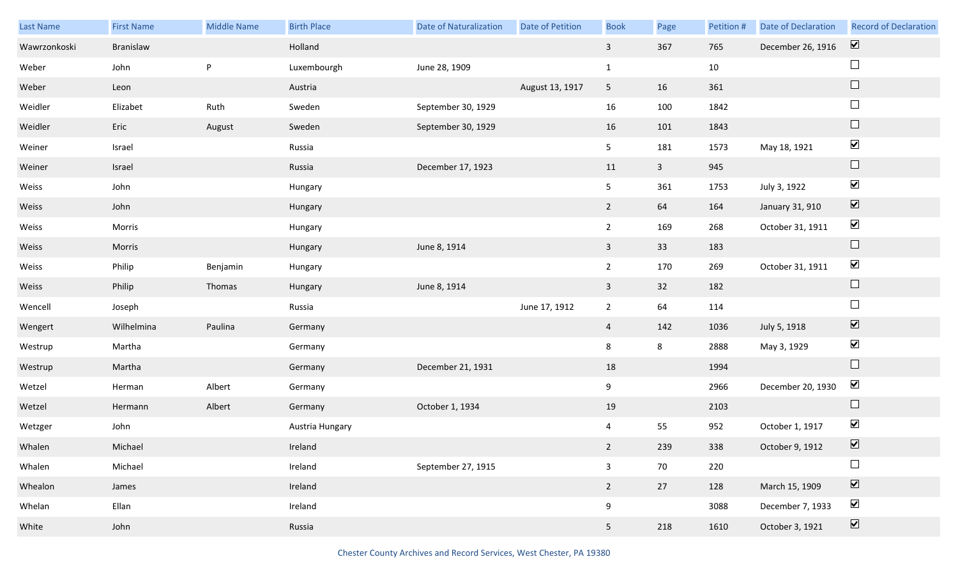| Last Name    | <b>First Name</b> | Middle Name | <b>Birth Place</b> | Date of Naturalization | Date of Petition | <b>Book</b>    | Page           | Petition # | <b>Date of Declaration</b> | <b>Record of Declaration</b> |
|--------------|-------------------|-------------|--------------------|------------------------|------------------|----------------|----------------|------------|----------------------------|------------------------------|
| Wawrzonkoski | Branislaw         |             | Holland            |                        |                  | $\mathbf{3}$   | 367            | 765        | December 26, 1916          | $\boxed{\blacktriangledown}$ |
| Weber        | John              | P           | Luxembourgh        | June 28, 1909          |                  | $\mathbf{1}$   |                | 10         |                            | $\sqcup$                     |
| Weber        | Leon              |             | Austria            |                        | August 13, 1917  | 5 <sub>5</sub> | 16             | 361        |                            | $\Box$                       |
| Weidler      | Elizabet          | Ruth        | Sweden             | September 30, 1929     |                  | 16             | 100            | 1842       |                            | $\Box$                       |
| Weidler      | Eric              | August      | Sweden             | September 30, 1929     |                  | 16             | 101            | 1843       |                            | $\Box$                       |
| Weiner       | Israel            |             | Russia             |                        |                  | 5 <sub>1</sub> | 181            | 1573       | May 18, 1921               | $\blacktriangledown$         |
| Weiner       | Israel            |             | Russia             | December 17, 1923      |                  | 11             | 3 <sup>7</sup> | 945        |                            | $\Box$                       |
| Weiss        | John              |             | Hungary            |                        |                  | 5 <sub>1</sub> | 361            | 1753       | July 3, 1922               | $\blacktriangledown$         |
| Weiss        | John              |             | Hungary            |                        |                  | $2^{\circ}$    | 64             | 164        | January 31, 910            | $\boxed{\blacktriangledown}$ |
| Weiss        | Morris            |             | Hungary            |                        |                  | $\overline{2}$ | 169            | 268        | October 31, 1911           | $\blacktriangledown$         |
| Weiss        | Morris            |             | Hungary            | June 8, 1914           |                  | $\overline{3}$ | 33             | 183        |                            | $\Box$                       |
| Weiss        | Philip            | Benjamin    | Hungary            |                        |                  | $2^{\circ}$    | 170            | 269        | October 31, 1911           | $\blacktriangledown$         |
| Weiss        | Philip            | Thomas      | Hungary            | June 8, 1914           |                  | $\mathbf{3}$   | 32             | 182        |                            | $\Box$                       |
| Wencell      | Joseph            |             | Russia             |                        | June 17, 1912    | $\overline{2}$ | 64             | 114        |                            | $\Box$                       |
| Wengert      | Wilhelmina        | Paulina     | Germany            |                        |                  | $\overline{4}$ | 142            | 1036       | July 5, 1918               | $\boxed{\blacktriangledown}$ |
| Westrup      | Martha            |             | Germany            |                        |                  | 8              | 8              | 2888       | May 3, 1929                | $\blacktriangledown$         |
| Westrup      | Martha            |             | Germany            | December 21, 1931      |                  | $18\,$         |                | 1994       |                            | $\Box$                       |
| Wetzel       | Herman            | Albert      | Germany            |                        |                  | 9              |                | 2966       | December 20, 1930          | $\blacktriangledown$         |
| Wetzel       | Hermann           | Albert      | Germany            | October 1, 1934        |                  | 19             |                | 2103       |                            | $\Box$                       |
| Wetzger      | John              |             | Austria Hungary    |                        |                  | 4              | 55             | 952        | October 1, 1917            | $\blacktriangledown$         |
| Whalen       | Michael           |             | Ireland            |                        |                  | $2^{\circ}$    | 239            | 338        | October 9, 1912            | $\overline{\mathbf{v}}$      |
| Whalen       | Michael           |             | Ireland            | September 27, 1915     |                  | $\mathbf{3}$   | 70             | 220        |                            | $\Box$                       |
| Whealon      | James             |             | Ireland            |                        |                  | $2^{\circ}$    | 27             | 128        | March 15, 1909             | $\overline{\mathbf{v}}$      |
| Whelan       | Ellan             |             | Ireland            |                        |                  | 9              |                | 3088       | December 7, 1933           | $\blacktriangleright$        |
| White        | John              |             | Russia             |                        |                  | 5 <sub>1</sub> | 218            | 1610       | October 3, 1921            | $\boxed{\blacktriangledown}$ |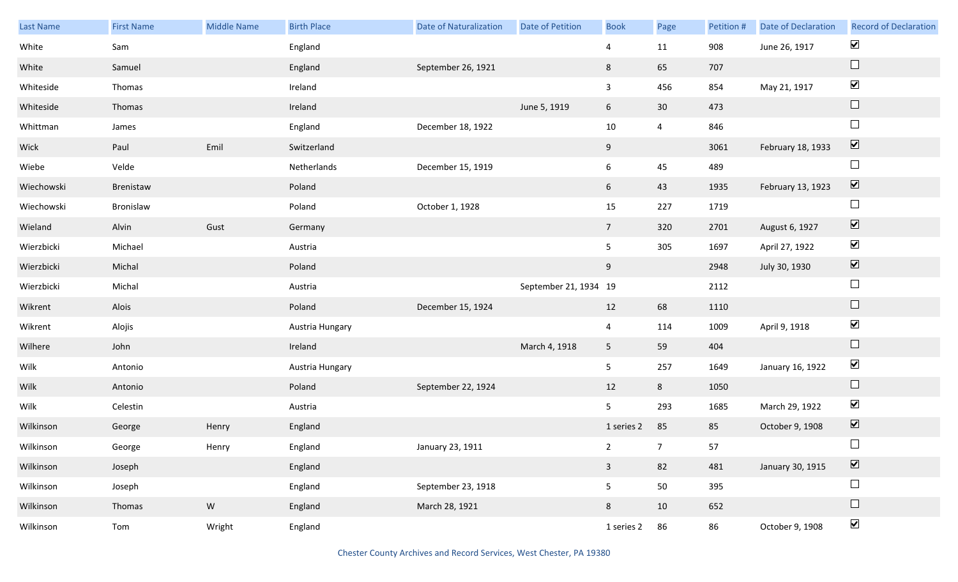| Last Name  | <b>First Name</b> | Middle Name | <b>Birth Place</b> | <b>Date of Naturalization</b> | Date of Petition      | <b>Book</b>     | Page            | Petition # | Date of Declaration | <b>Record of Declaration</b> |
|------------|-------------------|-------------|--------------------|-------------------------------|-----------------------|-----------------|-----------------|------------|---------------------|------------------------------|
| White      | Sam               |             | England            |                               |                       | 4               | 11              | 908        | June 26, 1917       | $\blacktriangleright$        |
| White      | Samuel            |             | England            | September 26, 1921            |                       | 8               | 65              | 707        |                     | $\Box$                       |
| Whiteside  | Thomas            |             | Ireland            |                               |                       | $\mathbf{3}$    | 456             | 854        | May 21, 1917        | $\blacktriangledown$         |
| Whiteside  | Thomas            |             | Ireland            |                               | June 5, 1919          | 6               | 30 <sup>°</sup> | 473        |                     | $\Box$                       |
| Whittman   | James             |             | England            | December 18, 1922             |                       | $10\,$          | $\overline{4}$  | 846        |                     | $\Box$                       |
| Wick       | Paul              | Emil        | Switzerland        |                               |                       | 9               |                 | 3061       | February 18, 1933   | $\boxed{\blacktriangledown}$ |
| Wiebe      | Velde             |             | Netherlands        | December 15, 1919             |                       | $6\overline{6}$ | 45              | 489        |                     | $\Box$                       |
| Wiechowski | Brenistaw         |             | Poland             |                               |                       | 6               | 43              | 1935       | February 13, 1923   | $\boxed{\blacktriangledown}$ |
| Wiechowski | Bronislaw         |             | Poland             | October 1, 1928               |                       | 15              | 227             | 1719       |                     | $\Box$                       |
| Wieland    | Alvin             | Gust        | Germany            |                               |                       | $7\overline{ }$ | 320             | 2701       | August 6, 1927      | $\boxed{\blacktriangledown}$ |
| Wierzbicki | Michael           |             | Austria            |                               |                       | 5 <sub>1</sub>  | 305             | 1697       | April 27, 1922      | $\blacktriangleright$        |
| Wierzbicki | Michal            |             | Poland             |                               |                       | 9               |                 | 2948       | July 30, 1930       | $\boxed{\blacktriangledown}$ |
| Wierzbicki | Michal            |             | Austria            |                               | September 21, 1934 19 |                 |                 | 2112       |                     | $\Box$                       |
| Wikrent    | Alois             |             | Poland             | December 15, 1924             |                       | 12              | 68              | 1110       |                     | $\Box$                       |
| Wikrent    | Alojis            |             | Austria Hungary    |                               |                       | $\overline{4}$  | 114             | 1009       | April 9, 1918       | $\blacktriangledown$         |
| Wilhere    | John              |             | Ireland            |                               | March 4, 1918         | 5 <sub>1</sub>  | 59              | 404        |                     | $\Box$                       |
| Wilk       | Antonio           |             | Austria Hungary    |                               |                       | 5               | 257             | 1649       | January 16, 1922    | $\blacktriangledown$         |
| Wilk       | Antonio           |             | Poland             | September 22, 1924            |                       | 12              | 8               | 1050       |                     | $\Box$                       |
| Wilk       | Celestin          |             | Austria            |                               |                       | 5 <sub>1</sub>  | 293             | 1685       | March 29, 1922      | $\blacktriangledown$         |
| Wilkinson  | George            | Henry       | England            |                               |                       | 1 series 2      | 85              | 85         | October 9, 1908     | $\boxed{\blacktriangledown}$ |
| Wilkinson  | George            | Henry       | England            | January 23, 1911              |                       | $2^{\circ}$     | $\overline{7}$  | 57         |                     | $\Box$                       |
| Wilkinson  | Joseph            |             | England            |                               |                       | $\mathbf{3}$    | 82              | 481        | January 30, 1915    | $\boxed{\blacktriangledown}$ |
| Wilkinson  | Joseph            |             | England            | September 23, 1918            |                       | 5 <sub>5</sub>  | 50              | 395        |                     | $\Box$                       |
| Wilkinson  | Thomas            | W           | England            | March 28, 1921                |                       | 8               | 10              | 652        |                     | $\Box$                       |
| Wilkinson  | Tom               | Wright      | England            |                               |                       | 1 series 2      | 86              | 86         | October 9, 1908     | $\blacktriangledown$         |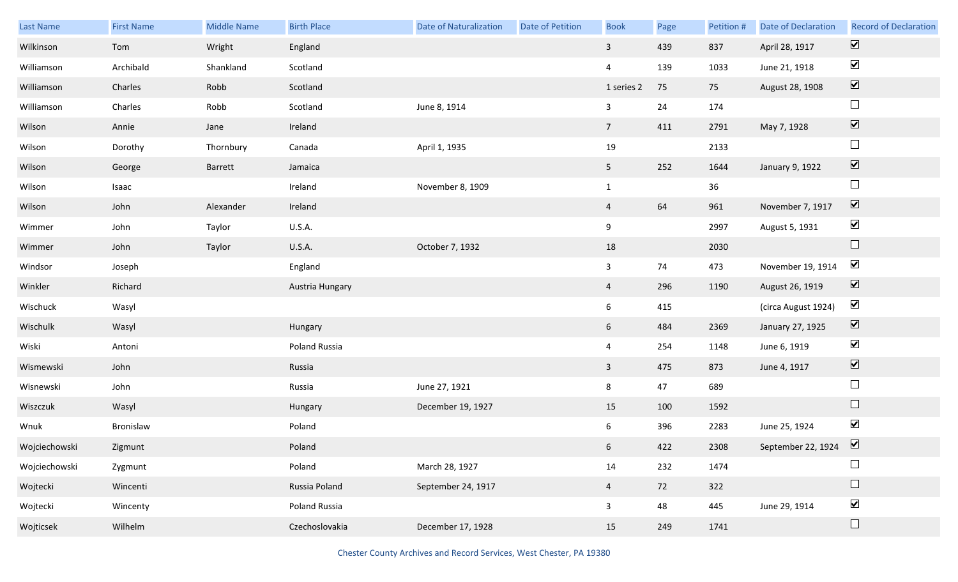| Last Name     | <b>First Name</b> | <b>Middle Name</b> | <b>Birth Place</b> | <b>Date of Naturalization</b> | <b>Date of Petition</b> | <b>Book</b>     | Page | Petition # | Date of Declaration                         | <b>Record of Declaration</b> |
|---------------|-------------------|--------------------|--------------------|-------------------------------|-------------------------|-----------------|------|------------|---------------------------------------------|------------------------------|
| Wilkinson     | Tom               | Wright             | England            |                               |                         | $\mathbf{3}$    | 439  | 837        | April 28, 1917                              | $\boxed{\blacktriangledown}$ |
| Williamson    | Archibald         | Shankland          | Scotland           |                               |                         | $\overline{4}$  | 139  | 1033       | June 21, 1918                               | $\blacktriangleright$        |
| Williamson    | Charles           | Robb               | Scotland           |                               |                         | 1 series 2      | 75   | 75         | August 28, 1908                             | $\boxed{\blacktriangledown}$ |
| Williamson    | Charles           | Robb               | Scotland           | June 8, 1914                  |                         | $\mathbf{3}$    | 24   | 174        |                                             | $\Box$                       |
| Wilson        | Annie             | Jane               | Ireland            |                               |                         | $7\overline{ }$ | 411  | 2791       | May 7, 1928                                 | $\boxed{\blacktriangledown}$ |
| Wilson        | Dorothy           | Thornbury          | Canada             | April 1, 1935                 |                         | 19              |      | 2133       |                                             | $\Box$                       |
| Wilson        | George            | Barrett            | Jamaica            |                               |                         | 5 <sub>1</sub>  | 252  | 1644       | January 9, 1922                             | $\boxed{\blacktriangledown}$ |
| Wilson        | Isaac             |                    | Ireland            | November 8, 1909              |                         | $\mathbf{1}$    |      | 36         |                                             | $\Box$                       |
| Wilson        | John              | Alexander          | Ireland            |                               |                         | $\overline{4}$  | 64   | 961        | November 7, 1917                            | $\boxed{\blacktriangledown}$ |
| Wimmer        | John              | Taylor             | U.S.A.             |                               |                         | 9               |      | 2997       | August 5, 1931                              | $\blacktriangledown$         |
| Wimmer        | John              | Taylor             | U.S.A.             | October 7, 1932               |                         | 18              |      | 2030       |                                             | $\hfill \square$             |
| Windsor       | Joseph            |                    | England            |                               |                         | $\mathbf{3}$    | 74   | 473        | November 19, 1914                           | $\blacktriangledown$         |
| Winkler       | Richard           |                    | Austria Hungary    |                               |                         | $\overline{4}$  | 296  | 1190       | August 26, 1919                             | $\boxed{\blacktriangledown}$ |
| Wischuck      | Wasyl             |                    |                    |                               |                         | 6               | 415  |            | (circa August 1924)                         | $\blacktriangledown$         |
| Wischulk      | Wasyl             |                    | Hungary            |                               |                         | 6 <sup>1</sup>  | 484  | 2369       | January 27, 1925                            | $\overline{\mathbf{v}}$      |
| Wiski         | Antoni            |                    | Poland Russia      |                               |                         | $\overline{4}$  | 254  | 1148       | June 6, 1919                                | $\blacktriangledown$         |
| Wismewski     | John              |                    | Russia             |                               |                         | $\mathbf{3}$    | 475  | 873        | June 4, 1917                                | $\boxed{\blacktriangledown}$ |
| Wisnewski     | John              |                    | Russia             | June 27, 1921                 |                         | 8               | 47   | 689        |                                             | $\Box$                       |
| Wiszczuk      | Wasyl             |                    | Hungary            | December 19, 1927             |                         | 15              | 100  | 1592       |                                             | $\Box$                       |
| Wnuk          | Bronislaw         |                    | Poland             |                               |                         | 6               | 396  | 2283       | June 25, 1924                               | $\blacktriangledown$         |
| Wojciechowski | Zigmunt           |                    | Poland             |                               |                         | $6\overline{6}$ | 422  | 2308       | September 22, 1924 $\boxed{\triangleright}$ |                              |
| Wojciechowski | Zygmunt           |                    | Poland             | March 28, 1927                |                         | $14\,$          | 232  | 1474       |                                             |                              |
| Wojtecki      | Wincenti          |                    | Russia Poland      | September 24, 1917            |                         | $\overline{4}$  | 72   | 322        |                                             | $\Box$                       |
| Wojtecki      | Wincenty          |                    | Poland Russia      |                               |                         | $\mathbf{3}$    | 48   | 445        | June 29, 1914                               | $\blacktriangledown$         |
| Wojticsek     | Wilhelm           |                    | Czechoslovakia     | December 17, 1928             |                         | 15              | 249  | 1741       |                                             | $\Box$                       |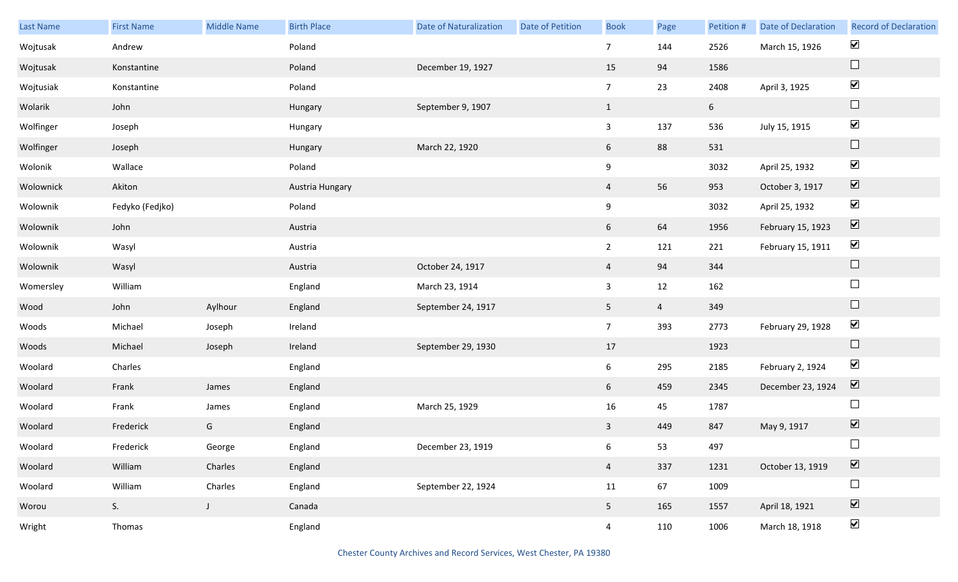| <b>Last Name</b> | <b>First Name</b> | Middle Name  | <b>Birth Place</b> | <b>Date of Naturalization</b> | Date of Petition | <b>Book</b>     | Page           | Petition # | Date of Declaration | <b>Record of Declaration</b> |
|------------------|-------------------|--------------|--------------------|-------------------------------|------------------|-----------------|----------------|------------|---------------------|------------------------------|
| Wojtusak         | Andrew            |              | Poland             |                               |                  | $\overline{7}$  | 144            | 2526       | March 15, 1926      | $\blacktriangleright$        |
| Wojtusak         | Konstantine       |              | Poland             | December 19, 1927             |                  | 15              | 94             | 1586       |                     | $\Box$                       |
| Wojtusiak        | Konstantine       |              | Poland             |                               |                  | $7\overline{ }$ | 23             | 2408       | April 3, 1925       | $\blacktriangledown$         |
| Wolarik          | John              |              | Hungary            | September 9, 1907             |                  | $\mathbf{1}$    |                | 6          |                     | $\Box$                       |
| Wolfinger        | Joseph            |              | Hungary            |                               |                  | $\mathbf{3}$    | 137            | 536        | July 15, 1915       | $\blacktriangledown$         |
| Wolfinger        | Joseph            |              | Hungary            | March 22, 1920                |                  | 6               | 88             | 531        |                     | $\Box$                       |
| Wolonik          | Wallace           |              | Poland             |                               |                  | $9\,$           |                | 3032       | April 25, 1932      | $\blacktriangledown$         |
| Wolownick        | Akiton            |              | Austria Hungary    |                               |                  | $\overline{4}$  | 56             | 953        | October 3, 1917     | $\boxed{\blacktriangledown}$ |
| Wolownik         | Fedyko (Fedjko)   |              | Poland             |                               |                  | 9               |                | 3032       | April 25, 1932      | $\blacktriangledown$         |
| Wolownik         | John              |              | Austria            |                               |                  | 6               | 64             | 1956       | February 15, 1923   | $\boxed{\blacktriangledown}$ |
| Wolownik         | Wasyl             |              | Austria            |                               |                  | $\overline{2}$  | 121            | 221        | February 15, 1911   | $\blacktriangledown$         |
| Wolownik         | Wasyl             |              | Austria            | October 24, 1917              |                  | $\overline{4}$  | 94             | 344        |                     | $\Box$                       |
| Womersley        | William           |              | England            | March 23, 1914                |                  | $\mathbf{3}$    | 12             | 162        |                     | $\Box$                       |
| Wood             | John              | Aylhour      | England            | September 24, 1917            |                  | 5 <sub>5</sub>  | $\overline{4}$ | 349        |                     | $\Box$                       |
| Woods            | Michael           | Joseph       | Ireland            |                               |                  | 7 <sup>7</sup>  | 393            | 2773       | February 29, 1928   | $\blacktriangledown$         |
| Woods            | Michael           | Joseph       | Ireland            | September 29, 1930            |                  | 17              |                | 1923       |                     | $\Box$                       |
| Woolard          | Charles           |              | England            |                               |                  | 6 <sup>1</sup>  | 295            | 2185       | February 2, 1924    | $\blacktriangledown$         |
| Woolard          | Frank             | James        | England            |                               |                  | 6               | 459            | 2345       | December 23, 1924   | $\overline{\mathbf{V}}$      |
| Woolard          | Frank             | James        | England            | March 25, 1929                |                  | 16              | 45             | 1787       |                     | $\Box$                       |
| Woolard          | Frederick         | G            | England            |                               |                  | $\mathbf{3}$    | 449            | 847        | May 9, 1917         | $\overline{\mathbf{v}}$      |
| Woolard          | Frederick         | George       | England            | December 23, 1919             |                  | 6               | 53             | 497        |                     | $\Box$                       |
| Woolard          | William           | Charles      | England            |                               |                  | $\overline{4}$  | 337            | 1231       | October 13, 1919    | $\boxed{\blacktriangledown}$ |
| Woolard          | William           | Charles      | England            | September 22, 1924            |                  | 11              | 67             | 1009       |                     | $\Box$                       |
| Worou            | S <sub>1</sub>    | $\mathsf{J}$ | Canada             |                               |                  | 5 <sub>1</sub>  | 165            | 1557       | April 18, 1921      | $\overline{\textbf{v}}$      |
| Wright           | Thomas            |              | England            |                               |                  | $\overline{4}$  | 110            | 1006       | March 18, 1918      | $\blacktriangledown$         |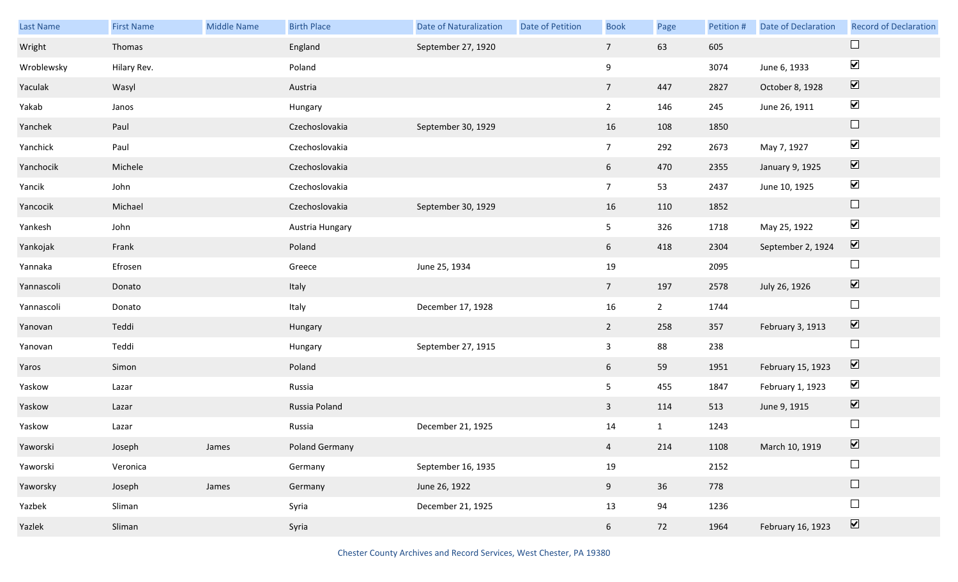| Last Name  | <b>First Name</b> | Middle Name | <b>Birth Place</b> | <b>Date of Naturalization</b> | Date of Petition | <b>Book</b>     | Page           | Petition # | <b>Date of Declaration</b> | <b>Record of Declaration</b> |
|------------|-------------------|-------------|--------------------|-------------------------------|------------------|-----------------|----------------|------------|----------------------------|------------------------------|
| Wright     | Thomas            |             | England            | September 27, 1920            |                  | $7\overline{ }$ | 63             | 605        |                            | $\sqcup$                     |
| Wroblewsky | Hilary Rev.       |             | Poland             |                               |                  | 9               |                | 3074       | June 6, 1933               | $\blacktriangledown$         |
| Yaculak    | Wasyl             |             | Austria            |                               |                  | $7\overline{ }$ | 447            | 2827       | October 8, 1928            | $\boxed{\blacktriangledown}$ |
| Yakab      | Janos             |             | Hungary            |                               |                  | $\overline{2}$  | 146            | 245        | June 26, 1911              | $\blacktriangledown$         |
| Yanchek    | Paul              |             | Czechoslovakia     | September 30, 1929            |                  | 16              | 108            | 1850       |                            | $\Box$                       |
| Yanchick   | Paul              |             | Czechoslovakia     |                               |                  | $7\overline{ }$ | 292            | 2673       | May 7, 1927                | $\blacktriangledown$         |
| Yanchocik  | Michele           |             | Czechoslovakia     |                               |                  | 6               | 470            | 2355       | January 9, 1925            | $\boxed{\blacktriangledown}$ |
| Yancik     | John              |             | Czechoslovakia     |                               |                  | 7 <sup>7</sup>  | 53             | 2437       | June 10, 1925              | $\blacktriangledown$         |
| Yancocik   | Michael           |             | Czechoslovakia     | September 30, 1929            |                  | 16              | 110            | 1852       |                            | $\Box$                       |
| Yankesh    | John              |             | Austria Hungary    |                               |                  | 5 <sub>5</sub>  | 326            | 1718       | May 25, 1922               | $\blacktriangledown$         |
| Yankojak   | Frank             |             | Poland             |                               |                  | 6               | 418            | 2304       | September 2, 1924          | $\boxed{\mathbf{v}}$         |
| Yannaka    | Efrosen           |             | Greece             | June 25, 1934                 |                  | 19              |                | 2095       |                            | $\Box$                       |
| Yannascoli | Donato            |             | Italy              |                               |                  | $7\overline{ }$ | 197            | 2578       | July 26, 1926              | $\boxed{\blacktriangledown}$ |
| Yannascoli | Donato            |             | Italy              | December 17, 1928             |                  | 16              | $\overline{2}$ | 1744       |                            | $\Box$                       |
| Yanovan    | Teddi             |             | Hungary            |                               |                  | $\overline{2}$  | 258            | 357        | February 3, 1913           | $\boxed{\blacktriangledown}$ |
| Yanovan    | Teddi             |             | Hungary            | September 27, 1915            |                  | $\mathbf{3}$    | 88             | 238        |                            | $\Box$                       |
| Yaros      | Simon             |             | Poland             |                               |                  | 6 <sup>1</sup>  | 59             | 1951       | February 15, 1923          | $\blacktriangledown$         |
| Yaskow     | Lazar             |             | Russia             |                               |                  | 5 <sub>5</sub>  | 455            | 1847       | February 1, 1923           | $\blacktriangledown$         |
| Yaskow     | Lazar             |             | Russia Poland      |                               |                  | $\mathbf{3}$    | 114            | 513        | June 9, 1915               | $\sum$                       |
| Yaskow     | Lazar             |             | Russia             | December 21, 1925             |                  | 14              | $\mathbf{1}$   | 1243       |                            | $\Box$                       |
| Yaworski   | Joseph            | James       | Poland Germany     |                               |                  | $\overline{4}$  | 214            | 1108       | March 10, 1919             | $\boxed{\mathbf{v}}$         |
| Yaworski   | Veronica          |             | Germany            | September 16, 1935            |                  | 19              |                | 2152       |                            | $\Box$                       |
| Yaworsky   | Joseph            | James       | Germany            | June 26, 1922                 |                  | 9 <sub>o</sub>  | 36             | 778        |                            | $\Box$                       |
| Yazbek     | Sliman            |             | Syria              | December 21, 1925             |                  | 13              | 94             | 1236       |                            | $\Box$                       |
| Yazlek     | Sliman            |             | Syria              |                               |                  | 6 <sup>1</sup>  | 72             | 1964       | February 16, 1923          | $\boxed{\blacktriangledown}$ |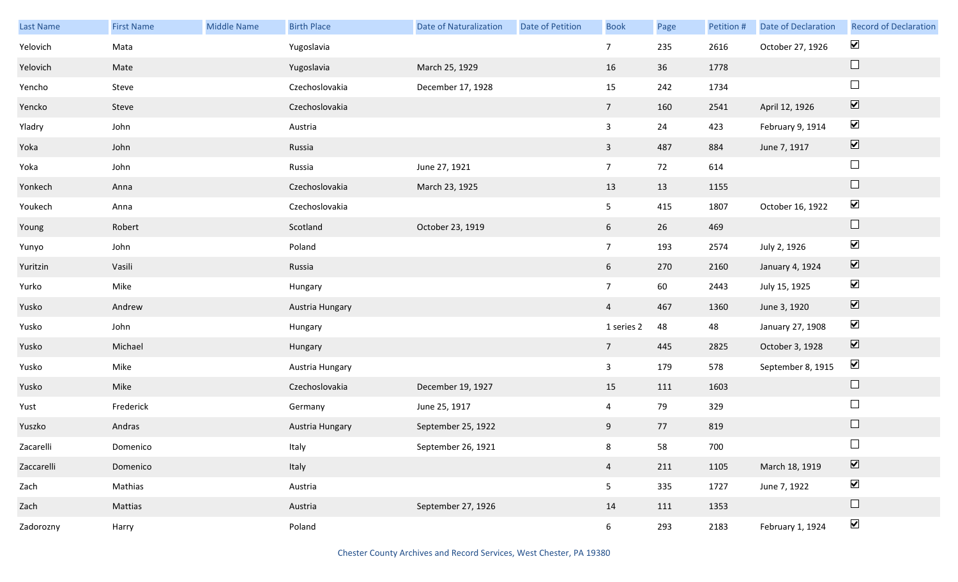| Last Name  | <b>First Name</b> | <b>Middle Name</b> | <b>Birth Place</b> | <b>Date of Naturalization</b> | <b>Date of Petition</b> | <b>Book</b>     | Page | Petition # | <b>Date of Declaration</b> | <b>Record of Declaration</b> |
|------------|-------------------|--------------------|--------------------|-------------------------------|-------------------------|-----------------|------|------------|----------------------------|------------------------------|
| Yelovich   | Mata              |                    | Yugoslavia         |                               |                         | $\overline{7}$  | 235  | 2616       | October 27, 1926           | $\blacktriangledown$         |
| Yelovich   | Mate              |                    | Yugoslavia         | March 25, 1929                |                         | 16              | 36   | 1778       |                            | $\Box$                       |
| Yencho     | Steve             |                    | Czechoslovakia     | December 17, 1928             |                         | 15              | 242  | 1734       |                            | $\Box$                       |
| Yencko     | Steve             |                    | Czechoslovakia     |                               |                         | $7\overline{ }$ | 160  | 2541       | April 12, 1926             | $\boxed{\blacktriangledown}$ |
| Yladry     | John              |                    | Austria            |                               |                         | $\mathbf{3}$    | 24   | 423        | February 9, 1914           | $\blacktriangledown$         |
| Yoka       | John              |                    | Russia             |                               |                         | $\mathbf{3}$    | 487  | 884        | June 7, 1917               | $\boxed{\blacktriangledown}$ |
| Yoka       | John              |                    | Russia             | June 27, 1921                 |                         | $7\overline{ }$ | 72   | 614        |                            | $\Box$                       |
| Yonkech    | Anna              |                    | Czechoslovakia     | March 23, 1925                |                         | 13              | 13   | 1155       |                            | $\Box$                       |
| Youkech    | Anna              |                    | Czechoslovakia     |                               |                         | 5 <sub>1</sub>  | 415  | 1807       | October 16, 1922           | $\blacktriangledown$         |
| Young      | Robert            |                    | Scotland           | October 23, 1919              |                         | $6\overline{6}$ | 26   | 469        |                            | $\Box$                       |
| Yunyo      | John              |                    | Poland             |                               |                         | $7\overline{ }$ | 193  | 2574       | July 2, 1926               | $\blacktriangledown$         |
| Yuritzin   | Vasili            |                    | Russia             |                               |                         | $6\overline{6}$ | 270  | 2160       | January 4, 1924            | $\boxed{\blacktriangledown}$ |
| Yurko      | Mike              |                    | Hungary            |                               |                         | 7 <sup>7</sup>  | 60   | 2443       | July 15, 1925              | $\blacktriangledown$         |
| Yusko      | Andrew            |                    | Austria Hungary    |                               |                         | $\overline{4}$  | 467  | 1360       | June 3, 1920               | $\boxed{\blacktriangledown}$ |
| Yusko      | John              |                    | Hungary            |                               |                         | 1 series 2      | 48   | 48         | January 27, 1908           | $\blacktriangledown$         |
| Yusko      | Michael           |                    | Hungary            |                               |                         | $7\overline{ }$ | 445  | 2825       | October 3, 1928            | $\boxed{\blacktriangledown}$ |
| Yusko      | Mike              |                    | Austria Hungary    |                               |                         | $\mathbf{3}$    | 179  | 578        | September 8, 1915          | $\blacktriangledown$         |
| Yusko      | Mike              |                    | Czechoslovakia     | December 19, 1927             |                         | 15              | 111  | 1603       |                            | $\Box$                       |
| Yust       | Frederick         |                    | Germany            | June 25, 1917                 |                         | $\overline{4}$  | 79   | 329        |                            | $\Box$                       |
| Yuszko     | Andras            |                    | Austria Hungary    | September 25, 1922            |                         | 9               | 77   | 819        |                            | $\Box$                       |
| Zacarelli  | Domenico          |                    | Italy              | September 26, 1921            |                         | 8               | 58   | 700        |                            | $\Box$                       |
| Zaccarelli | Domenico          |                    | Italy              |                               |                         | $\overline{4}$  | 211  | 1105       | March 18, 1919             | $\boxed{\blacktriangledown}$ |
| Zach       | Mathias           |                    | Austria            |                               |                         | 5 <sub>1</sub>  | 335  | 1727       | June 7, 1922               | $\blacktriangleright$        |
| Zach       | Mattias           |                    | Austria            | September 27, 1926            |                         | 14              | 111  | 1353       |                            | $\Box$                       |
| Zadorozny  | Harry             |                    | Poland             |                               |                         | 6 <sup>1</sup>  | 293  | 2183       | February 1, 1924           | $\blacktriangledown$         |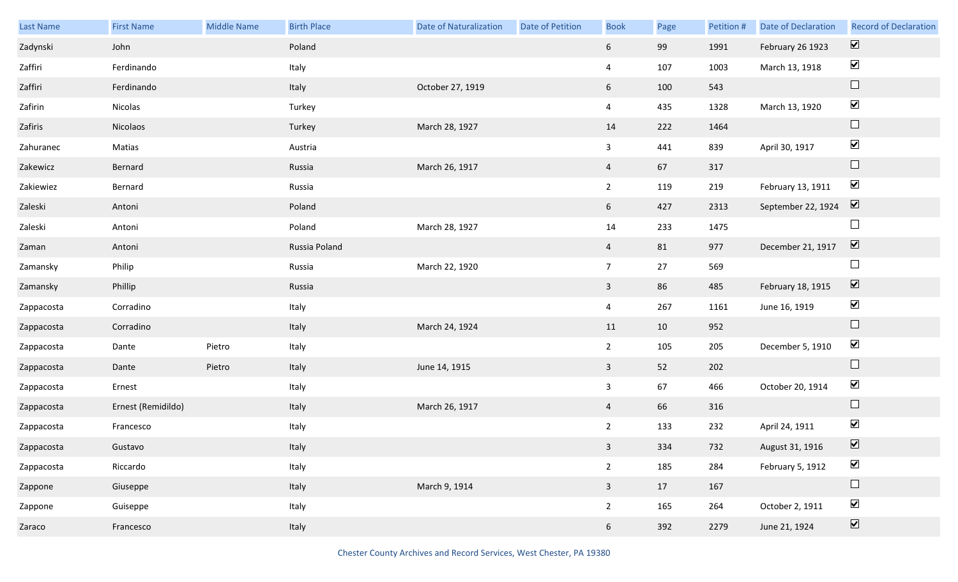| <b>Last Name</b> | <b>First Name</b>  | <b>Middle Name</b> | <b>Birth Place</b> | <b>Date of Naturalization</b> | <b>Date of Petition</b> | <b>Book</b>     | Page | Petition # | <b>Date of Declaration</b> | <b>Record of Declaration</b> |
|------------------|--------------------|--------------------|--------------------|-------------------------------|-------------------------|-----------------|------|------------|----------------------------|------------------------------|
| Zadynski         | John               |                    | Poland             |                               |                         | $6\overline{6}$ | 99   | 1991       | February 26 1923           | $\overline{\mathbf{v}}$      |
| Zaffiri          | Ferdinando         |                    | Italy              |                               |                         | $\overline{4}$  | 107  | 1003       | March 13, 1918             | $\blacktriangleright$        |
| Zaffiri          | Ferdinando         |                    | Italy              | October 27, 1919              |                         | 6 <sup>1</sup>  | 100  | 543        |                            | $\Box$                       |
| Zafirin          | Nicolas            |                    | Turkey             |                               |                         | $\overline{4}$  | 435  | 1328       | March 13, 1920             | $\blacktriangledown$         |
| Zafiris          | Nicolaos           |                    | Turkey             | March 28, 1927                |                         | 14              | 222  | 1464       |                            | $\Box$                       |
| Zahuranec        | Matias             |                    | Austria            |                               |                         | $\mathbf{3}$    | 441  | 839        | April 30, 1917             | $\blacktriangledown$         |
| Zakewicz         | Bernard            |                    | Russia             | March 26, 1917                |                         | $\overline{4}$  | 67   | 317        |                            | $\Box$                       |
| Zakiewiez        | Bernard            |                    | Russia             |                               |                         | $\overline{2}$  | 119  | 219        | February 13, 1911          | $\blacktriangledown$         |
| Zaleski          | Antoni             |                    | Poland             |                               |                         | 6 <sup>1</sup>  | 427  | 2313       | September 22, 1924         | $\boxed{\blacktriangledown}$ |
| Zaleski          | Antoni             |                    | Poland             | March 28, 1927                |                         | 14              | 233  | 1475       |                            | $\Box$                       |
| Zaman            | Antoni             |                    | Russia Poland      |                               |                         | $\overline{4}$  | 81   | 977        | December 21, 1917          | $\boxed{\blacktriangledown}$ |
| Zamansky         | Philip             |                    | Russia             | March 22, 1920                |                         | $7\overline{ }$ | 27   | 569        |                            | $\Box$                       |
| Zamansky         | Phillip            |                    | Russia             |                               |                         | $\overline{3}$  | 86   | 485        | February 18, 1915          | $\blacktriangledown$         |
| Zappacosta       | Corradino          |                    | Italy              |                               |                         | $\overline{4}$  | 267  | 1161       | June 16, 1919              | $\blacktriangledown$         |
| Zappacosta       | Corradino          |                    | Italy              | March 24, 1924                |                         | 11              | 10   | 952        |                            | $\Box$                       |
| Zappacosta       | Dante              | Pietro             | Italy              |                               |                         | $\overline{2}$  | 105  | 205        | December 5, 1910           | $\blacktriangledown$         |
| Zappacosta       | Dante              | Pietro             | Italy              | June 14, 1915                 |                         | $\mathbf{3}$    | 52   | 202        |                            | $\Box$                       |
| Zappacosta       | Ernest             |                    | Italy              |                               |                         | $\mathbf{3}$    | 67   | 466        | October 20, 1914           | $\blacktriangleright$        |
| Zappacosta       | Ernest (Remidildo) |                    | Italy              | March 26, 1917                |                         | $\overline{4}$  | 66   | 316        |                            | $\Box$                       |
| Zappacosta       | Francesco          |                    | Italy              |                               |                         | $\overline{2}$  | 133  | 232        | April 24, 1911             | $\blacktriangledown$         |
| Zappacosta       | Gustavo            |                    | Italy              |                               |                         | 3 <sup>7</sup>  | 334  | 732        | August 31, 1916            | $\boxed{\mathbf{v}}$         |
| Zappacosta       | Riccardo           |                    | Italy              |                               |                         | $2^{\circ}$     | 185  | 284        | February 5, 1912           | $\blacktriangledown$         |
| Zappone          | Giuseppe           |                    | Italy              | March 9, 1914                 |                         | $\mathbf{3}$    | 17   | 167        |                            | $\Box$                       |
| Zappone          | Guiseppe           |                    | Italy              |                               |                         | $2^{\circ}$     | 165  | 264        | October 2, 1911            | $\blacktriangledown$         |
| Zaraco           | Francesco          |                    | Italy              |                               |                         | 6 <sup>1</sup>  | 392  | 2279       | June 21, 1924              | $\boxed{\blacktriangledown}$ |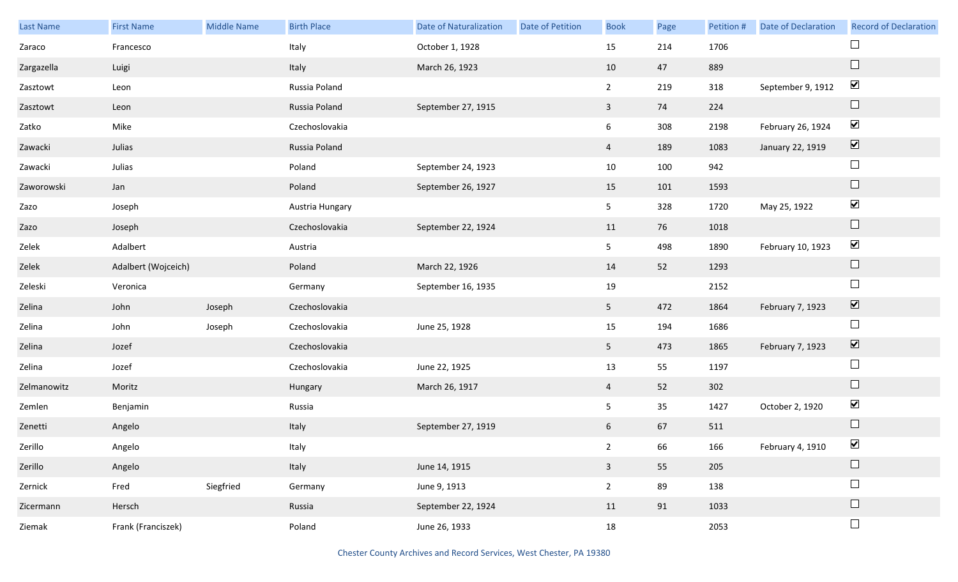| Last Name   | <b>First Name</b>   | Middle Name | <b>Birth Place</b> | <b>Date of Naturalization</b> | Date of Petition | <b>Book</b>     | Page | Petition # | Date of Declaration | <b>Record of Declaration</b> |
|-------------|---------------------|-------------|--------------------|-------------------------------|------------------|-----------------|------|------------|---------------------|------------------------------|
| Zaraco      | Francesco           |             | Italy              | October 1, 1928               |                  | 15              | 214  | 1706       |                     |                              |
| Zargazella  | Luigi               |             | Italy              | March 26, 1923                |                  | 10              | 47   | 889        |                     | $\Box$                       |
| Zasztowt    | Leon                |             | Russia Poland      |                               |                  | $\overline{2}$  | 219  | 318        | September 9, 1912   | $\blacktriangleright$        |
| Zasztowt    | Leon                |             | Russia Poland      | September 27, 1915            |                  | $\mathbf{3}$    | 74   | 224        |                     | $\Box$                       |
| Zatko       | Mike                |             | Czechoslovakia     |                               |                  | $6\overline{6}$ | 308  | 2198       | February 26, 1924   | $\blacktriangledown$         |
| Zawacki     | Julias              |             | Russia Poland      |                               |                  | $\overline{4}$  | 189  | 1083       | January 22, 1919    | $\boxed{\blacktriangledown}$ |
| Zawacki     | Julias              |             | Poland             | September 24, 1923            |                  | 10              | 100  | 942        |                     | $\Box$                       |
| Zaworowski  | Jan                 |             | Poland             | September 26, 1927            |                  | 15              | 101  | 1593       |                     | $\Box$                       |
| Zazo        | Joseph              |             | Austria Hungary    |                               |                  | 5 <sub>1</sub>  | 328  | 1720       | May 25, 1922        | $\blacktriangledown$         |
| Zazo        | Joseph              |             | Czechoslovakia     | September 22, 1924            |                  | 11              | 76   | 1018       |                     | $\Box$                       |
| Zelek       | Adalbert            |             | Austria            |                               |                  | 5 <sub>1</sub>  | 498  | 1890       | February 10, 1923   | $\blacktriangledown$         |
| Zelek       | Adalbert (Wojceich) |             | Poland             | March 22, 1926                |                  | 14              | 52   | 1293       |                     | $\hfill \square$             |
| Zeleski     | Veronica            |             | Germany            | September 16, 1935            |                  | 19              |      | 2152       |                     | $\Box$                       |
| Zelina      | John                | Joseph      | Czechoslovakia     |                               |                  | 5 <sub>1</sub>  | 472  | 1864       | February 7, 1923    | $\boxed{\blacktriangledown}$ |
| Zelina      | John                | Joseph      | Czechoslovakia     | June 25, 1928                 |                  | 15              | 194  | 1686       |                     | $\Box$                       |
| Zelina      | Jozef               |             | Czechoslovakia     |                               |                  | 5 <sub>1</sub>  | 473  | 1865       | February 7, 1923    | $\boxed{\blacktriangledown}$ |
| Zelina      | Jozef               |             | Czechoslovakia     | June 22, 1925                 |                  | 13              | 55   | 1197       |                     | $\Box$                       |
| Zelmanowitz | Moritz              |             | Hungary            | March 26, 1917                |                  | $\overline{4}$  | 52   | 302        |                     | $\Box$                       |
| Zemlen      | Benjamin            |             | Russia             |                               |                  | 5               | 35   | 1427       | October 2, 1920     | $\blacktriangledown$         |
| Zenetti     | Angelo              |             | Italy              | September 27, 1919            |                  | 6               | 67   | 511        |                     | $\Box$                       |
| Zerillo     | Angelo              |             | Italy              |                               |                  | $2^{\circ}$     | 66   | 166        | February 4, 1910    | $\blacktriangledown$         |
| Zerillo     | Angelo              |             | Italy              | June 14, 1915                 |                  | $\mathbf{3}$    | 55   | 205        |                     | $\Box$                       |
| Zernick     | Fred                | Siegfried   | Germany            | June 9, 1913                  |                  | $2^{\circ}$     | 89   | 138        |                     | $\Box$                       |
| Zicermann   | Hersch              |             | Russia             | September 22, 1924            |                  | 11              | 91   | 1033       |                     | $\Box$                       |
| Ziemak      | Frank (Franciszek)  |             | Poland             | June 26, 1933                 |                  | 18              |      | 2053       |                     | $\Box$                       |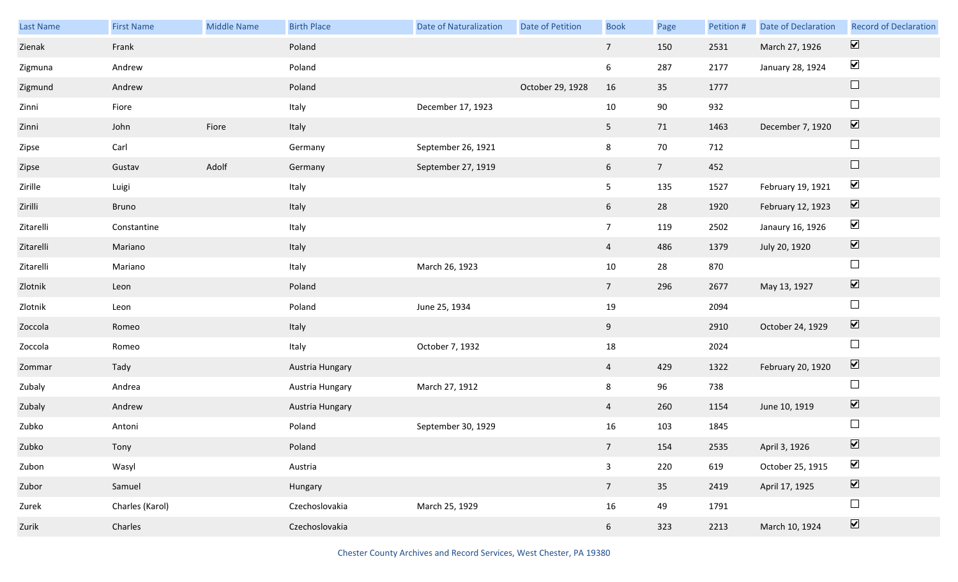| Last Name | <b>First Name</b> | <b>Middle Name</b> | <b>Birth Place</b> | <b>Date of Naturalization</b> | Date of Petition | <b>Book</b>     | Page           | Petition # | <b>Date of Declaration</b> | <b>Record of Declaration</b> |
|-----------|-------------------|--------------------|--------------------|-------------------------------|------------------|-----------------|----------------|------------|----------------------------|------------------------------|
| Zienak    | Frank             |                    | Poland             |                               |                  | $7\overline{ }$ | 150            | 2531       | March 27, 1926             | $\boxed{\blacktriangledown}$ |
| Zigmuna   | Andrew            |                    | Poland             |                               |                  | 6               | 287            | 2177       | January 28, 1924           | $\blacktriangledown$         |
| Zigmund   | Andrew            |                    | Poland             |                               | October 29, 1928 | 16              | 35             | 1777       |                            | $\Box$                       |
| Zinni     | Fiore             |                    | Italy              | December 17, 1923             |                  | 10              | 90             | 932        |                            | $\Box$                       |
| Zinni     | John              | Fiore              | Italy              |                               |                  | 5 <sub>1</sub>  | 71             | 1463       | December 7, 1920           | $\boxed{\blacktriangledown}$ |
| Zipse     | Carl              |                    | Germany            | September 26, 1921            |                  | 8               | 70             | 712        |                            | $\Box$                       |
| Zipse     | Gustav            | Adolf              | Germany            | September 27, 1919            |                  | 6               | 7 <sup>7</sup> | 452        |                            | $\Box$                       |
| Zirille   | Luigi             |                    | Italy              |                               |                  | 5 <sub>1</sub>  | 135            | 1527       | February 19, 1921          | $\blacktriangledown$         |
| Zirilli   | Bruno             |                    | Italy              |                               |                  | 6 <sup>1</sup>  | 28             | 1920       | February 12, 1923          | $\boxed{\blacktriangledown}$ |
| Zitarelli | Constantine       |                    | Italy              |                               |                  | $7\overline{ }$ | 119            | 2502       | Janaury 16, 1926           | $\blacktriangledown$         |
| Zitarelli | Mariano           |                    | Italy              |                               |                  | $\overline{4}$  | 486            | 1379       | July 20, 1920              | $\boxed{\blacktriangledown}$ |
| Zitarelli | Mariano           |                    | Italy              | March 26, 1923                |                  | 10              | 28             | 870        |                            | $\Box$                       |
| Zlotnik   | Leon              |                    | Poland             |                               |                  | 7 <sup>7</sup>  | 296            | 2677       | May 13, 1927               | $\boxed{\blacktriangledown}$ |
| Zlotnik   | Leon              |                    | Poland             | June 25, 1934                 |                  | 19              |                | 2094       |                            | $\Box$                       |
| Zoccola   | Romeo             |                    | Italy              |                               |                  | 9               |                | 2910       | October 24, 1929           | $\overline{\mathbf{v}}$      |
| Zoccola   | Romeo             |                    | Italy              | October 7, 1932               |                  | $18\,$          |                | 2024       |                            | $\Box$                       |
| Zommar    | Tady              |                    | Austria Hungary    |                               |                  | $\overline{4}$  | 429            | 1322       | February 20, 1920          | $\blacktriangledown$         |
| Zubaly    | Andrea            |                    | Austria Hungary    | March 27, 1912                |                  | 8               | 96             | 738        |                            | $\Box$                       |
| Zubaly    | Andrew            |                    | Austria Hungary    |                               |                  | $\overline{4}$  | 260            | 1154       | June 10, 1919              | $\overline{\mathbf{v}}$      |
| Zubko     | Antoni            |                    | Poland             | September 30, 1929            |                  | 16              | 103            | 1845       |                            | $\Box$                       |
| Zubko     | Tony              |                    | Poland             |                               |                  | 7 <sup>7</sup>  | 154            | 2535       | April 3, 1926              | $\triangledown$              |
| Zubon     | Wasyl             |                    | Austria            |                               |                  | $\mathbf{3}$    | 220            | 619        | October 25, 1915           | $\blacktriangledown$         |
| Zubor     | Samuel            |                    | Hungary            |                               |                  | $7\overline{ }$ | 35             | 2419       | April 17, 1925             | $\boxed{\blacktriangledown}$ |
| Zurek     | Charles (Karol)   |                    | Czechoslovakia     | March 25, 1929                |                  | 16              | 49             | 1791       |                            | $\Box$                       |
| Zurik     | Charles           |                    | Czechoslovakia     |                               |                  | 6 <sup>1</sup>  | 323            | 2213       | March 10, 1924             | $\boxed{\blacktriangledown}$ |